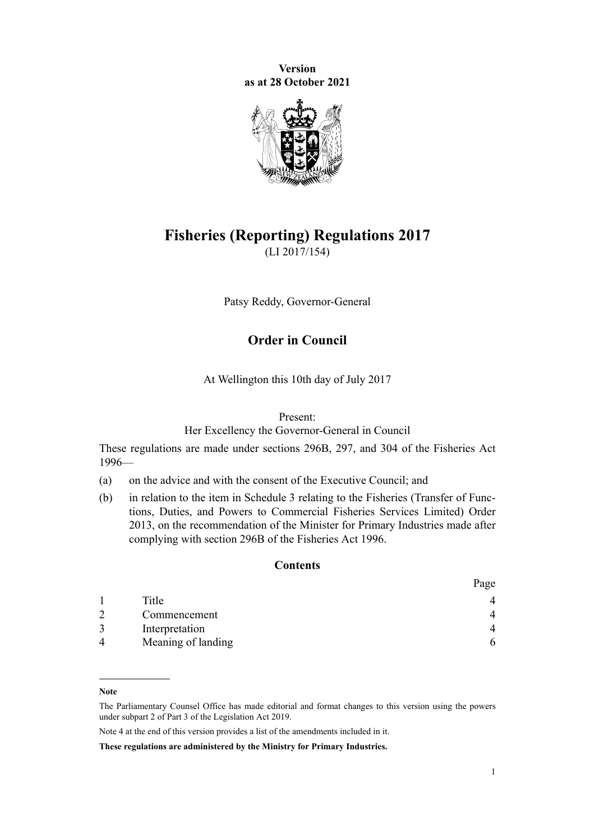**Version as at 28 October 2021**



# **Fisheries (Reporting) Regulations 2017** (LI 2017/154)

Patsy Reddy, Governor-General

# **Order in Council**

At Wellington this 10th day of July 2017

#### Present:

Her Excellency the Governor-General in Council

These regulations are made under [sections 296B](http://legislation.govt.nz/pdflink.aspx?id=DLM399509), [297](http://legislation.govt.nz/pdflink.aspx?id=DLM399599), and [304](http://legislation.govt.nz/pdflink.aspx?id=DLM399935) of the [Fisheries Act](http://legislation.govt.nz/pdflink.aspx?id=DLM394191) [1996](http://legislation.govt.nz/pdflink.aspx?id=DLM394191)—

- (a) on the advice and with the consent of the Executive Council; and
- (b) in relation to the item in [Schedule 3](#page-68-0) relating to the [Fisheries \(Transfer of Func‐](http://legislation.govt.nz/pdflink.aspx?id=DLM5549031) [tions, Duties, and Powers to Commercial Fisheries Services Limited\) Order](http://legislation.govt.nz/pdflink.aspx?id=DLM5549031) [2013](http://legislation.govt.nz/pdflink.aspx?id=DLM5549031), on the recommendation of the Minister for Primary Industries made after complying with [section 296B](http://legislation.govt.nz/pdflink.aspx?id=DLM399509) of the Fisheries Act 1996.

#### **Contents**

|                          |                    | Page |
|--------------------------|--------------------|------|
|                          | Title              |      |
| - 2                      | Commencement       |      |
|                          | Interpretation     |      |
| $\boldsymbol{\varDelta}$ | Meaning of landing | 6    |

**Note**

The Parliamentary Counsel Office has made editorial and format changes to this version using the powers under [subpart 2](http://legislation.govt.nz/pdflink.aspx?id=DLM7298371) of Part 3 of the Legislation Act 2019.

Note 4 at the end of this version provides a list of the amendments included in it.

**These regulations are administered by the Ministry for Primary Industries.**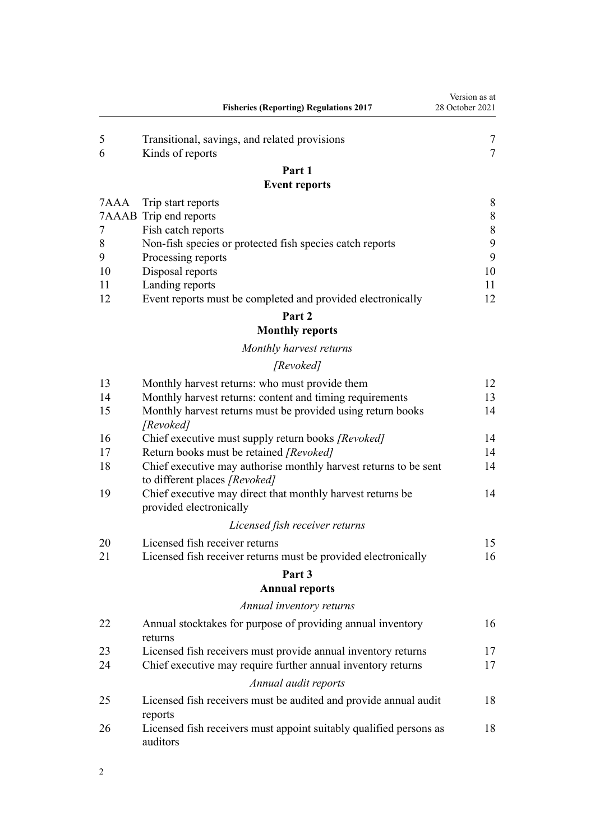|      | <b>Fisheries (Reporting) Regulations 2017</b>                                                     | Version as at<br>28 October 2021 |
|------|---------------------------------------------------------------------------------------------------|----------------------------------|
| 5    | Transitional, savings, and related provisions                                                     | 7                                |
| 6    | Kinds of reports                                                                                  | $\overline{7}$                   |
|      | Part 1                                                                                            |                                  |
|      | <b>Event reports</b>                                                                              |                                  |
| 7AAA | Trip start reports                                                                                | 8                                |
|      | 7AAAB Trip end reports                                                                            | 8                                |
| 7    | Fish catch reports                                                                                | 8                                |
| 8    | Non-fish species or protected fish species catch reports                                          | 9                                |
| 9    | Processing reports                                                                                | 9                                |
| 10   | Disposal reports                                                                                  | 10                               |
| 11   | Landing reports                                                                                   | 11                               |
| 12   | Event reports must be completed and provided electronically                                       | 12                               |
|      | Part 2<br><b>Monthly reports</b>                                                                  |                                  |
|      | Monthly harvest returns                                                                           |                                  |
|      |                                                                                                   |                                  |
|      | [Revoked]                                                                                         |                                  |
| 13   | Monthly harvest returns: who must provide them                                                    | 12                               |
| 14   | Monthly harvest returns: content and timing requirements                                          | 13                               |
| 15   | Monthly harvest returns must be provided using return books<br>[Revoked]                          | 14                               |
| 16   | Chief executive must supply return books [Revoked]                                                | 14                               |
| 17   | Return books must be retained [Revoked]                                                           | 14                               |
| 18   | Chief executive may authorise monthly harvest returns to be sent<br>to different places [Revoked] | 14                               |
| 19   | Chief executive may direct that monthly harvest returns be<br>provided electronically             | 14                               |
|      | Licensed fish receiver returns                                                                    |                                  |
| 20   | Licensed fish receiver returns                                                                    | 15                               |
| 21   | Licensed fish receiver returns must be provided electronically                                    | 16                               |
|      |                                                                                                   |                                  |
|      | Part 3<br><b>Annual reports</b>                                                                   |                                  |
|      | Annual inventory returns                                                                          |                                  |
| 22   | Annual stocktakes for purpose of providing annual inventory                                       | 16                               |
|      | returns                                                                                           |                                  |
| 23   | Licensed fish receivers must provide annual inventory returns                                     | 17                               |
| 24   | Chief executive may require further annual inventory returns                                      | 17                               |
|      | Annual audit reports                                                                              |                                  |
| 25   | Licensed fish receivers must be audited and provide annual audit<br>reports                       | 18                               |
| 26   | Licensed fish receivers must appoint suitably qualified persons as<br>auditors                    | 18                               |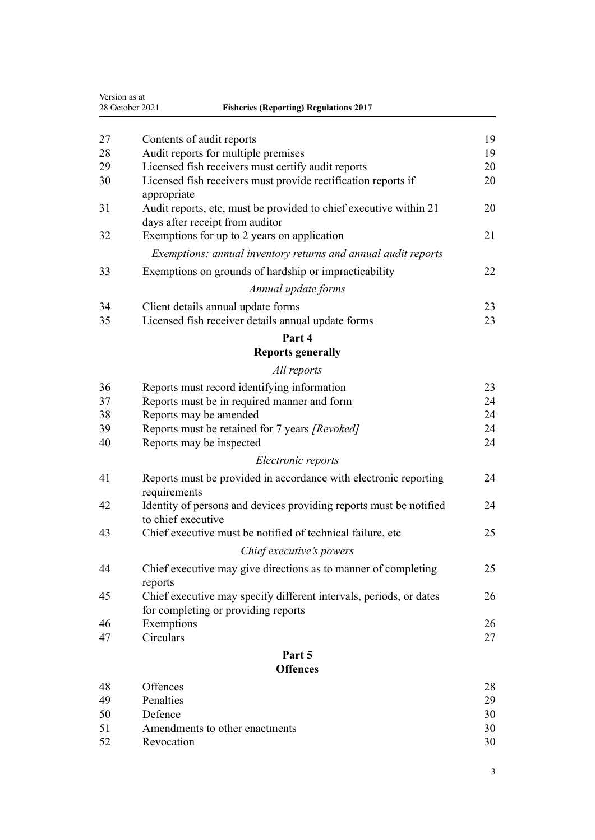|    | 28 October 2021<br><b>Fisheries (Reporting) Regulations 2017</b>                                     |    |
|----|------------------------------------------------------------------------------------------------------|----|
|    |                                                                                                      |    |
| 27 | Contents of audit reports                                                                            | 19 |
| 28 | Audit reports for multiple premises                                                                  | 19 |
| 29 | Licensed fish receivers must certify audit reports                                                   | 20 |
| 30 | Licensed fish receivers must provide rectification reports if<br>appropriate                         | 20 |
| 31 | Audit reports, etc, must be provided to chief executive within 21<br>days after receipt from auditor | 20 |
| 32 | Exemptions for up to 2 years on application                                                          | 21 |
|    | Exemptions: annual inventory returns and annual audit reports                                        |    |
| 33 | Exemptions on grounds of hardship or impracticability                                                | 22 |
|    | Annual update forms                                                                                  |    |
| 34 | Client details annual update forms                                                                   | 23 |
| 35 | Licensed fish receiver details annual update forms                                                   | 23 |
|    | Part 4                                                                                               |    |
|    | <b>Reports generally</b>                                                                             |    |
|    | All reports                                                                                          |    |
| 36 | Reports must record identifying information                                                          | 23 |
| 37 | Reports must be in required manner and form                                                          | 24 |
| 38 | Reports may be amended                                                                               | 24 |
| 39 | Reports must be retained for 7 years [Revoked]                                                       | 24 |
| 40 | Reports may be inspected                                                                             | 24 |
|    | Electronic reports                                                                                   |    |
| 41 | Reports must be provided in accordance with electronic reporting<br>requirements                     | 24 |
| 42 | Identity of persons and devices providing reports must be notified<br>to chief executive             | 24 |
| 43 | Chief executive must be notified of technical failure, etc                                           | 25 |
|    | Chief executive's powers                                                                             |    |
| 44 | Chief executive may give directions as to manner of completing                                       | 25 |
|    | reports                                                                                              |    |
| 45 | Chief executive may specify different intervals, periods, or dates                                   | 26 |
|    | for completing or providing reports                                                                  |    |
| 46 | Exemptions                                                                                           | 26 |
| 47 | Circulars                                                                                            | 27 |
|    | Part 5                                                                                               |    |
|    | <b>Offences</b>                                                                                      |    |
| 48 | Offences                                                                                             | 28 |
| 49 | Penalties                                                                                            | 29 |
| 50 | Defence                                                                                              | 30 |
| 51 | Amendments to other enactments                                                                       | 30 |
|    | Revocation                                                                                           | 30 |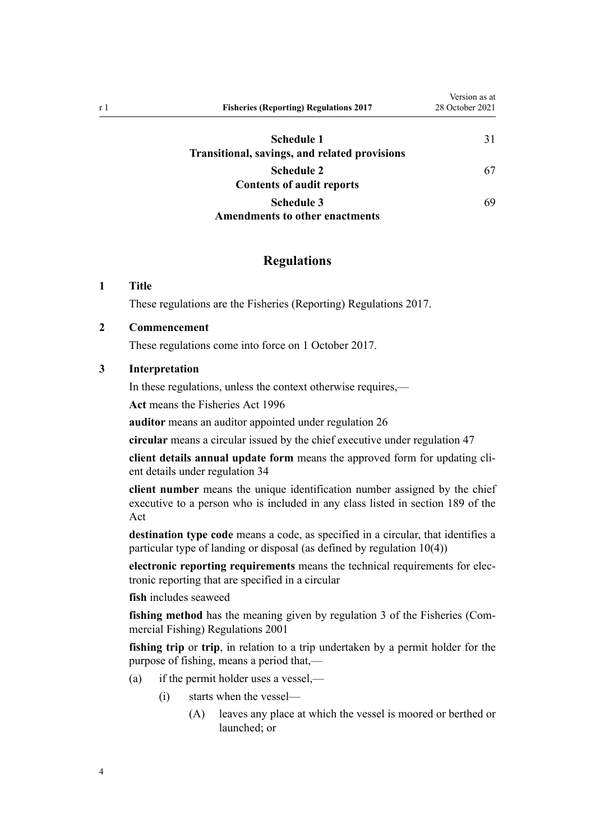<span id="page-3-0"></span>

| r 1 | <b>Fisheries (Reporting) Regulations 2017</b> | Version as at<br>28 October 2021 |
|-----|-----------------------------------------------|----------------------------------|
|     | Schedule 1                                    | 31                               |
|     | Transitional, savings, and related provisions |                                  |
|     | <b>Schedule 2</b>                             | 67                               |
|     | <b>Contents of audit reports</b>              |                                  |
|     | <b>Schedule 3</b>                             | 69                               |
|     | <b>Amendments to other enactments</b>         |                                  |

# **Regulations**

### **1 Title**

These regulations are the Fisheries (Reporting) Regulations 2017.

### **2 Commencement**

These regulations come into force on 1 October 2017.

### **3 Interpretation**

In these regulations, unless the context otherwise requires,—

**Act** means the [Fisheries Act 1996](http://legislation.govt.nz/pdflink.aspx?id=DLM394191)

**auditor** means an auditor appointed under [regulation 26](#page-17-0)

**circular** means a circular issued by the chief executive under [regulation 47](#page-26-0)

**client details annual update form** means the approved form for updating cli‐ ent details under [regulation 34](#page-22-0)

**client number** means the unique identification number assigned by the chief executive to a person who is included in any class listed in [section 189](http://legislation.govt.nz/pdflink.aspx?id=DLM398377) of the Act

**destination type code** means a code, as specified in a circular, that identifies a particular type of landing or disposal (as defined by [regulation 10\(4\)](#page-9-0))

**electronic reporting requirements** means the technical requirements for elec‐ tronic reporting that are specified in a circular

**fish** includes seaweed

**fishing method** has the meaning given by [regulation 3](http://legislation.govt.nz/pdflink.aspx?id=DLM76412) of the Fisheries (Commercial Fishing) Regulations 2001

**fishing trip** or **trip**, in relation to a trip undertaken by a permit holder for the purpose of fishing, means a period that,—

- (a) if the permit holder uses a vessel,—
	- (i) starts when the vessel—
		- (A) leaves any place at which the vessel is moored or berthed or launched; or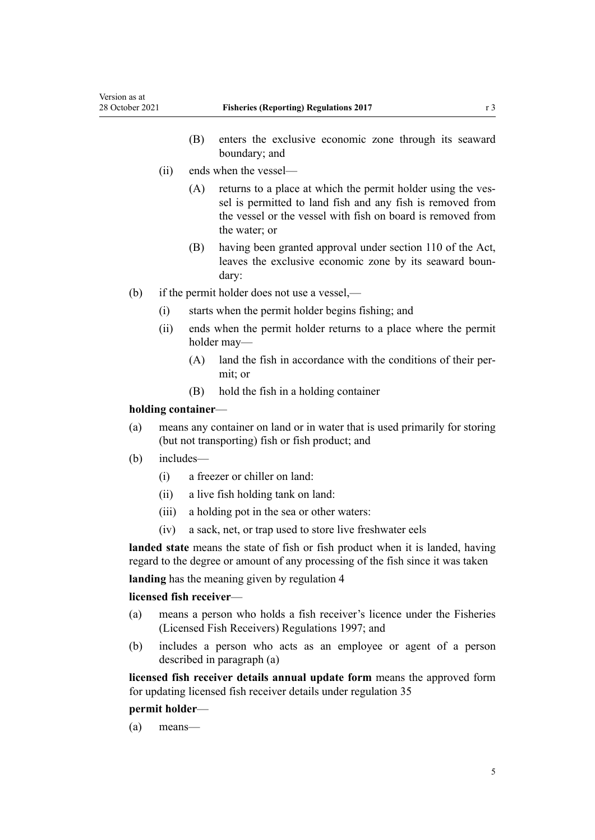- (B) enters the exclusive economic zone through its seaward boundary; and
- (ii) ends when the vessel—
	- (A) returns to a place at which the permit holder using the vessel is permitted to land fish and any fish is removed from the vessel or the vessel with fish on board is removed from the water; or
	- (B) having been granted approval under [section 110](http://legislation.govt.nz/pdflink.aspx?id=DLM396997) of the Act, leaves the exclusive economic zone by its seaward boun‐ dary:
- (b) if the permit holder does not use a vessel,—
	- (i) starts when the permit holder begins fishing; and
	- (ii) ends when the permit holder returns to a place where the permit holder may—
		- (A) land the fish in accordance with the conditions of their per‐ mit; or
		- (B) hold the fish in a holding container

### **holding container**—

- (a) means any container on land or in water that is used primarily for storing (but not transporting) fish or fish product; and
- (b) includes—
	- (i) a freezer or chiller on land:
	- (ii) a live fish holding tank on land:
	- (iii) a holding pot in the sea or other waters:
	- (iv) a sack, net, or trap used to store live freshwater eels

**landed state** means the state of fish or fish product when it is landed, having regard to the degree or amount of any processing of the fish since it was taken

**landing** has the meaning given by [regulation 4](#page-5-0)

### **licensed fish receiver**—

- (a) means a person who holds a fish receiver's licence under the [Fisheries](http://legislation.govt.nz/pdflink.aspx?id=DLM241426) [\(Licensed Fish Receivers\) Regulations 1997;](http://legislation.govt.nz/pdflink.aspx?id=DLM241426) and
- (b) includes a person who acts as an employee or agent of a person described in paragraph (a)

**licensed fish receiver details annual update form** means the approved form for updating licensed fish receiver details under [regulation 35](#page-22-0)

#### **permit holder**—

(a) means—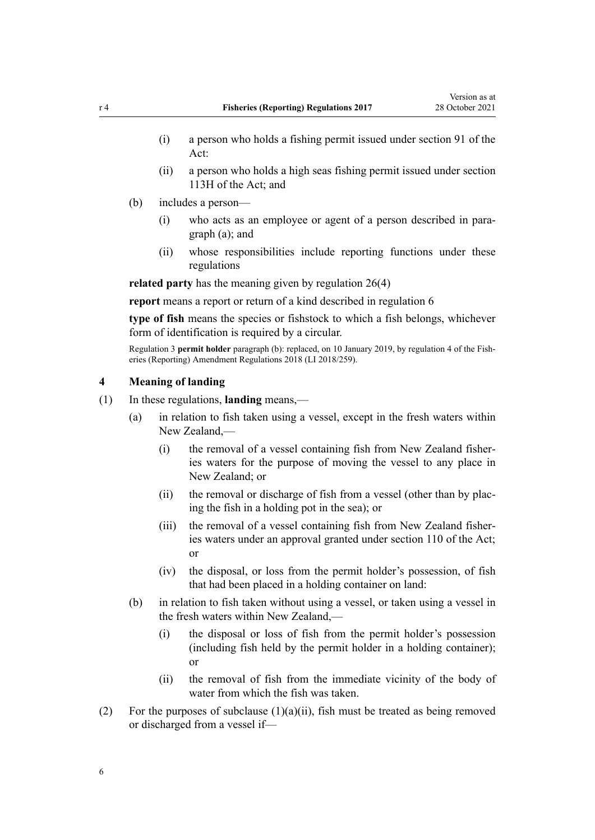- <span id="page-5-0"></span>(i) a person who holds a fishing permit issued under [section 91](http://legislation.govt.nz/pdflink.aspx?id=DLM396924) of the Act:
- (ii) a person who holds a high seas fishing permit issued under [section](http://legislation.govt.nz/pdflink.aspx?id=DLM397340) [113H](http://legislation.govt.nz/pdflink.aspx?id=DLM397340) of the Act; and
- (b) includes a person—
	- (i) who acts as an employee or agent of a person described in para‐ graph (a); and
	- (ii) whose responsibilities include reporting functions under these regulations

**related party** has the meaning given by [regulation 26\(4\)](#page-17-0)

**report** means a report or return of a kind described in [regulation 6](#page-6-0)

**type of fish** means the species or fishstock to which a fish belongs, whichever form of identification is required by a circular.

Regulation 3 **permit holder** paragraph (b): replaced, on 10 January 2019, by [regulation 4](http://legislation.govt.nz/pdflink.aspx?id=LMS140448) of the Fish‐ eries (Reporting) Amendment Regulations 2018 (LI 2018/259).

#### **4 Meaning of landing**

- (1) In these regulations, **landing** means,—
	- (a) in relation to fish taken using a vessel, except in the fresh waters within New Zealand,—
		- (i) the removal of a vessel containing fish from New Zealand fisheries waters for the purpose of moving the vessel to any place in New Zealand; or
		- (ii) the removal or discharge of fish from a vessel (other than by placing the fish in a holding pot in the sea); or
		- (iii) the removal of a vessel containing fish from New Zealand fisheries waters under an approval granted under [section 110](http://legislation.govt.nz/pdflink.aspx?id=DLM396997) of the Act; or
		- (iv) the disposal, or loss from the permit holder's possession, of fish that had been placed in a holding container on land:
	- (b) in relation to fish taken without using a vessel, or taken using a vessel in the fresh waters within New Zealand,—
		- (i) the disposal or loss of fish from the permit holder's possession (including fish held by the permit holder in a holding container); or
		- (ii) the removal of fish from the immediate vicinity of the body of water from which the fish was taken.
- (2) For the purposes of subclause  $(1)(a)(ii)$ , fish must be treated as being removed or discharged from a vessel if—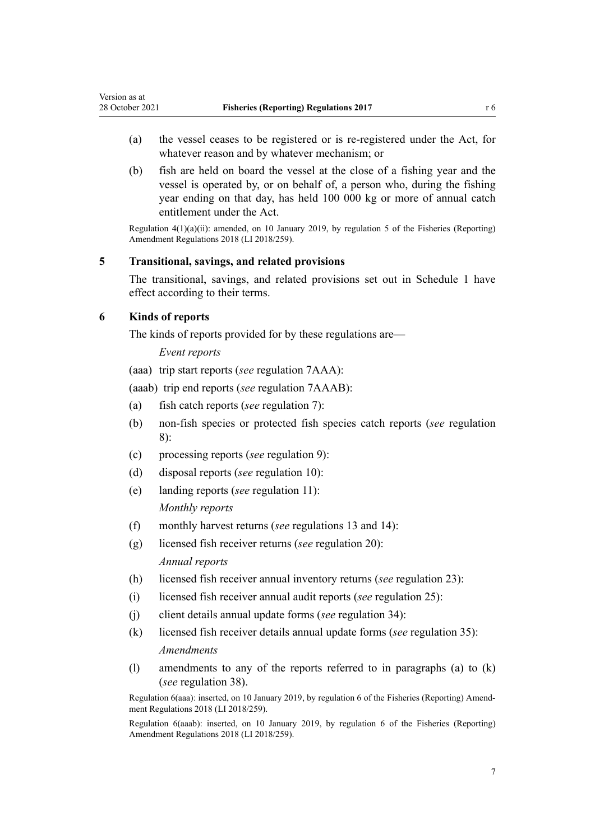- <span id="page-6-0"></span>(a) the vessel ceases to be registered or is re-registered under the Act, for whatever reason and by whatever mechanism; or
- (b) fish are held on board the vessel at the close of a fishing year and the vessel is operated by, or on behalf of, a person who, during the fishing year ending on that day, has held 100 000 kg or more of annual catch entitlement under the Act.

Regulation 4(1)(a)(ii): amended, on 10 January 2019, by [regulation 5](http://legislation.govt.nz/pdflink.aspx?id=LMS140449) of the Fisheries (Reporting) Amendment Regulations 2018 (LI 2018/259).

### **5 Transitional, savings, and related provisions**

The transitional, savings, and related provisions set out in [Schedule 1](#page-30-0) have effect according to their terms.

### **6 Kinds of reports**

The kinds of reports provided for by these regulations are—

#### *Event reports*

(aaa) trip start reports (*see* [regulation 7AAA](#page-7-0)):

(aaab) trip end reports (*see* [regulation 7AAAB](#page-7-0)):

- (a) fish catch reports (*see* [regulation 7\)](#page-7-0):
- (b) non-fish species or protected fish species catch reports (*see* [regulation](#page-8-0) [8\)](#page-8-0):
- (c) processing reports (*see* [regulation 9\)](#page-8-0):
- (d) disposal reports (*see* [regulation 10\)](#page-9-0):
- (e) landing reports (*see* [regulation 11](#page-10-0)): *Monthly reports*
- (f) monthly harvest returns (*see* [regulations 13](#page-11-0) and [14](#page-12-0)):
- (g) licensed fish receiver returns (*see* [regulation 20\)](#page-14-0): *Annual reports*
- (h) licensed fish receiver annual inventory returns (*see* [regulation 23](#page-16-0)):
- (i) licensed fish receiver annual audit reports (*see* [regulation 25](#page-17-0)):
- (j) client details annual update forms (*see* [regulation 34\)](#page-22-0):
- (k) licensed fish receiver details annual update forms (*see* [regulation 35\)](#page-22-0): *Amendments*
- (l) amendments to any of the reports referred to in paragraphs (a) to (k) (*see* [regulation 38\)](#page-23-0).

Regulation 6(aaa): inserted, on 10 January 2019, by [regulation 6](http://legislation.govt.nz/pdflink.aspx?id=LMS140450) of the Fisheries (Reporting) Amend‐ ment Regulations 2018 (LI 2018/259).

Regulation 6(aaab): inserted, on 10 January 2019, by [regulation 6](http://legislation.govt.nz/pdflink.aspx?id=LMS140450) of the Fisheries (Reporting) Amendment Regulations 2018 (LI 2018/259).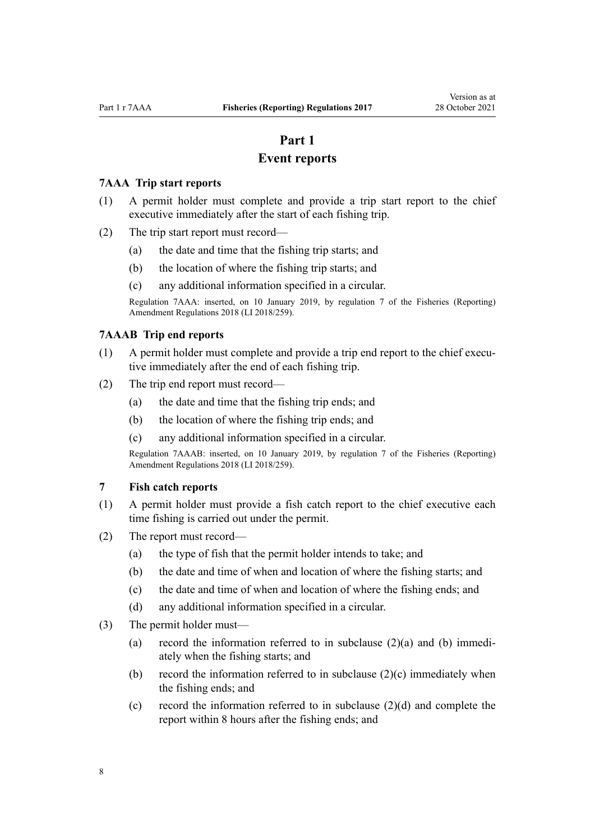# **Part 1**

# **Event reports**

### <span id="page-7-0"></span>**7AAA Trip start reports**

- (1) A permit holder must complete and provide a trip start report to the chief executive immediately after the start of each fishing trip.
- (2) The trip start report must record—
	- (a) the date and time that the fishing trip starts; and
	- (b) the location of where the fishing trip starts; and
	- (c) any additional information specified in a circular.

Regulation 7AAA: inserted, on 10 January 2019, by [regulation 7](http://legislation.govt.nz/pdflink.aspx?id=LMS140453) of the Fisheries (Reporting) Amendment Regulations 2018 (LI 2018/259).

#### **7AAAB Trip end reports**

- (1) A permit holder must complete and provide a trip end report to the chief executive immediately after the end of each fishing trip.
- (2) The trip end report must record—
	- (a) the date and time that the fishing trip ends; and
	- (b) the location of where the fishing trip ends; and
	- (c) any additional information specified in a circular.

Regulation 7AAAB: inserted, on 10 January 2019, by [regulation 7](http://legislation.govt.nz/pdflink.aspx?id=LMS140453) of the Fisheries (Reporting) Amendment Regulations 2018 (LI 2018/259).

### **7 Fish catch reports**

- (1) A permit holder must provide a fish catch report to the chief executive each time fishing is carried out under the permit.
- (2) The report must record—
	- (a) the type of fish that the permit holder intends to take; and
	- (b) the date and time of when and location of where the fishing starts; and
	- (c) the date and time of when and location of where the fishing ends; and
	- (d) any additional information specified in a circular.
- (3) The permit holder must—
	- (a) record the information referred to in subclause  $(2)(a)$  and (b) immediately when the fishing starts; and
	- (b) record the information referred to in subclause (2)(c) immediately when the fishing ends; and
	- (c) record the information referred to in subclause  $(2)(d)$  and complete the report within 8 hours after the fishing ends; and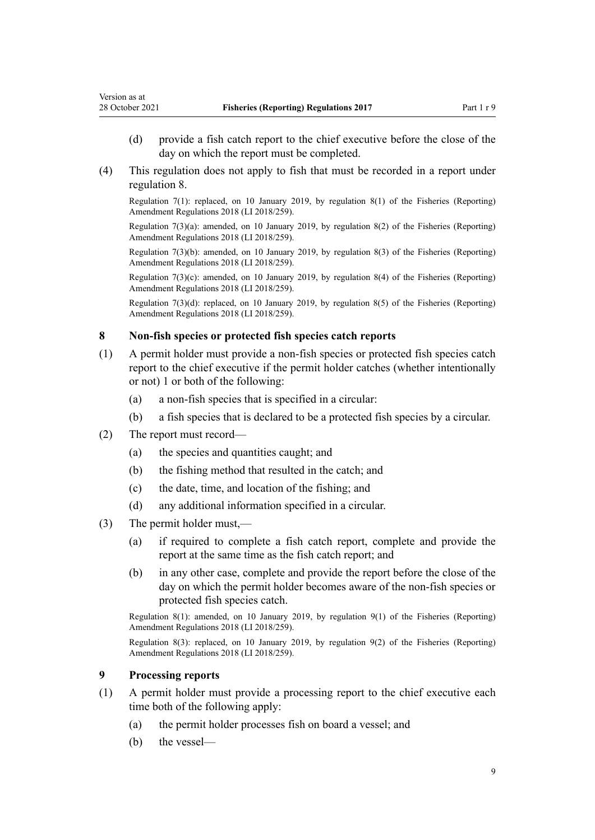- <span id="page-8-0"></span>(d) provide a fish catch report to the chief executive before the close of the day on which the report must be completed.
- (4) This regulation does not apply to fish that must be recorded in a report under regulation 8.

Regulation 7(1): replaced, on 10 January 2019, by [regulation 8\(1\)](http://legislation.govt.nz/pdflink.aspx?id=LMS140454) of the Fisheries (Reporting) Amendment Regulations 2018 (LI 2018/259).

Regulation 7(3)(a): amended, on 10 January 2019, by [regulation 8\(2\)](http://legislation.govt.nz/pdflink.aspx?id=LMS140454) of the Fisheries (Reporting) Amendment Regulations 2018 (LI 2018/259).

Regulation 7(3)(b): amended, on 10 January 2019, by [regulation 8\(3\)](http://legislation.govt.nz/pdflink.aspx?id=LMS140454) of the Fisheries (Reporting) Amendment Regulations 2018 (LI 2018/259).

Regulation 7(3)(c): amended, on 10 January 2019, by [regulation 8\(4\)](http://legislation.govt.nz/pdflink.aspx?id=LMS140454) of the Fisheries (Reporting) Amendment Regulations 2018 (LI 2018/259).

Regulation 7(3)(d): replaced, on 10 January 2019, by [regulation 8\(5\)](http://legislation.govt.nz/pdflink.aspx?id=LMS140454) of the Fisheries (Reporting) Amendment Regulations 2018 (LI 2018/259).

#### **8 Non-fish species or protected fish species catch reports**

- (1) A permit holder must provide a non-fish species or protected fish species catch report to the chief executive if the permit holder catches (whether intentionally or not) 1 or both of the following:
	- (a) a non-fish species that is specified in a circular:
	- (b) a fish species that is declared to be a protected fish species by a circular.
- (2) The report must record—
	- (a) the species and quantities caught; and
	- (b) the fishing method that resulted in the catch; and
	- (c) the date, time, and location of the fishing; and
	- (d) any additional information specified in a circular.
- (3) The permit holder must,—
	- (a) if required to complete a fish catch report, complete and provide the report at the same time as the fish catch report; and
	- (b) in any other case, complete and provide the report before the close of the day on which the permit holder becomes aware of the non-fish species or protected fish species catch.

Regulation 8(1): amended, on 10 January 2019, by [regulation 9\(1\)](http://legislation.govt.nz/pdflink.aspx?id=LMS140455) of the Fisheries (Reporting) Amendment Regulations 2018 (LI 2018/259).

Regulation 8(3): replaced, on 10 January 2019, by [regulation 9\(2\)](http://legislation.govt.nz/pdflink.aspx?id=LMS140455) of the Fisheries (Reporting) Amendment Regulations 2018 (LI 2018/259).

### **9 Processing reports**

- (1) A permit holder must provide a processing report to the chief executive each time both of the following apply:
	- (a) the permit holder processes fish on board a vessel; and
	- (b) the vessel—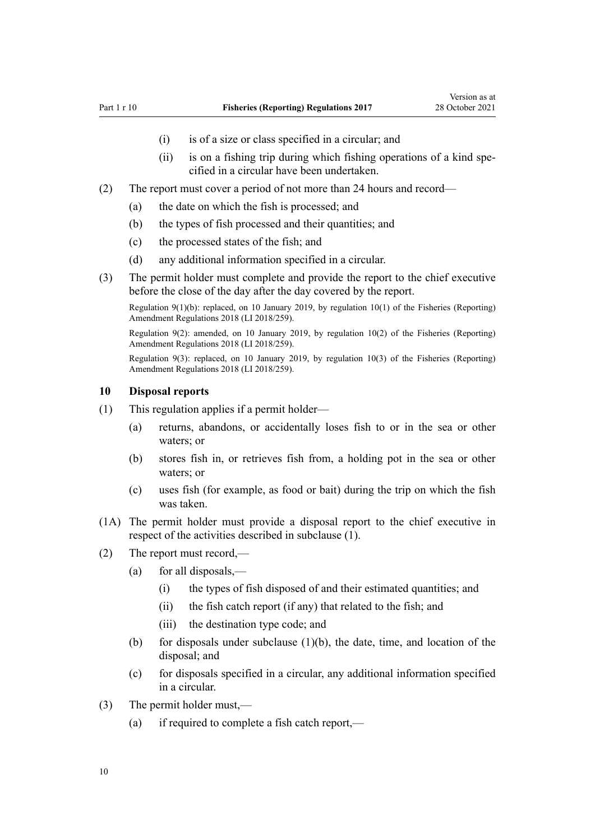- (i) is of a size or class specified in a circular; and
- (ii) is on a fishing trip during which fishing operations of a kind specified in a circular have been undertaken.
- <span id="page-9-0"></span>(2) The report must cover a period of not more than 24 hours and record—
	- (a) the date on which the fish is processed; and
	- (b) the types of fish processed and their quantities; and
	- (c) the processed states of the fish; and
	- (d) any additional information specified in a circular.
- (3) The permit holder must complete and provide the report to the chief executive before the close of the day after the day covered by the report.

Regulation 9(1)(b): replaced, on 10 January 2019, by [regulation 10\(1\)](http://legislation.govt.nz/pdflink.aspx?id=LMS140456) of the Fisheries (Reporting) Amendment Regulations 2018 (LI 2018/259).

Regulation 9(2): amended, on 10 January 2019, by [regulation 10\(2\)](http://legislation.govt.nz/pdflink.aspx?id=LMS140456) of the Fisheries (Reporting) Amendment Regulations 2018 (LI 2018/259).

Regulation 9(3): replaced, on 10 January 2019, by [regulation 10\(3\)](http://legislation.govt.nz/pdflink.aspx?id=LMS140456) of the Fisheries (Reporting) Amendment Regulations 2018 (LI 2018/259).

#### **10 Disposal reports**

- (1) This regulation applies if a permit holder—
	- (a) returns, abandons, or accidentally loses fish to or in the sea or other waters; or
	- (b) stores fish in, or retrieves fish from, a holding pot in the sea or other waters; or
	- (c) uses fish (for example, as food or bait) during the trip on which the fish was taken.
- (1A) The permit holder must provide a disposal report to the chief executive in respect of the activities described in subclause (1).
- (2) The report must record,—
	- (a) for all disposals,—
		- (i) the types of fish disposed of and their estimated quantities; and
		- (ii) the fish catch report (if any) that related to the fish; and
		- (iii) the destination type code; and
	- (b) for disposals under subclause  $(1)(b)$ , the date, time, and location of the disposal; and
	- (c) for disposals specified in a circular, any additional information specified in a circular.
- (3) The permit holder must,—
	- (a) if required to complete a fish catch report,—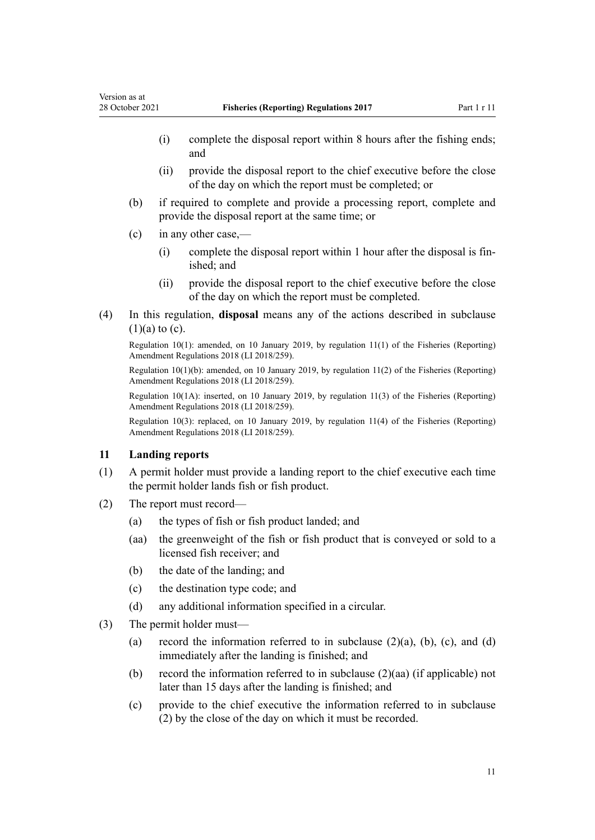- <span id="page-10-0"></span>(i) complete the disposal report within 8 hours after the fishing ends; and
- (ii) provide the disposal report to the chief executive before the close of the day on which the report must be completed; or
- (b) if required to complete and provide a processing report, complete and provide the disposal report at the same time; or
- (c) in any other case,—
	- (i) complete the disposal report within 1 hour after the disposal is fin‐ ished; and
	- (ii) provide the disposal report to the chief executive before the close of the day on which the report must be completed.
- (4) In this regulation, **disposal** means any of the actions described in subclause  $(1)(a)$  to  $(c)$ .

Regulation 10(1): amended, on 10 January 2019, by [regulation 11\(1\)](http://legislation.govt.nz/pdflink.aspx?id=LMS140457) of the Fisheries (Reporting) Amendment Regulations 2018 (LI 2018/259).

Regulation 10(1)(b): amended, on 10 January 2019, by [regulation 11\(2\)](http://legislation.govt.nz/pdflink.aspx?id=LMS140457) of the Fisheries (Reporting) Amendment Regulations 2018 (LI 2018/259).

Regulation 10(1A): inserted, on 10 January 2019, by [regulation 11\(3\)](http://legislation.govt.nz/pdflink.aspx?id=LMS140457) of the Fisheries (Reporting) Amendment Regulations 2018 (LI 2018/259).

Regulation 10(3): replaced, on 10 January 2019, by [regulation 11\(4\)](http://legislation.govt.nz/pdflink.aspx?id=LMS140457) of the Fisheries (Reporting) Amendment Regulations 2018 (LI 2018/259).

### **11 Landing reports**

- (1) A permit holder must provide a landing report to the chief executive each time the permit holder lands fish or fish product.
- (2) The report must record—
	- (a) the types of fish or fish product landed; and
	- (aa) the greenweight of the fish or fish product that is conveyed or sold to a licensed fish receiver; and
	- (b) the date of the landing; and
	- (c) the destination type code; and
	- (d) any additional information specified in a circular.
- (3) The permit holder must—
	- (a) record the information referred to in subclause  $(2)(a)$ ,  $(b)$ ,  $(c)$ , and  $(d)$ immediately after the landing is finished; and
	- (b) record the information referred to in subclause (2)(aa) (if applicable) not later than 15 days after the landing is finished; and
	- (c) provide to the chief executive the information referred to in subclause (2) by the close of the day on which it must be recorded.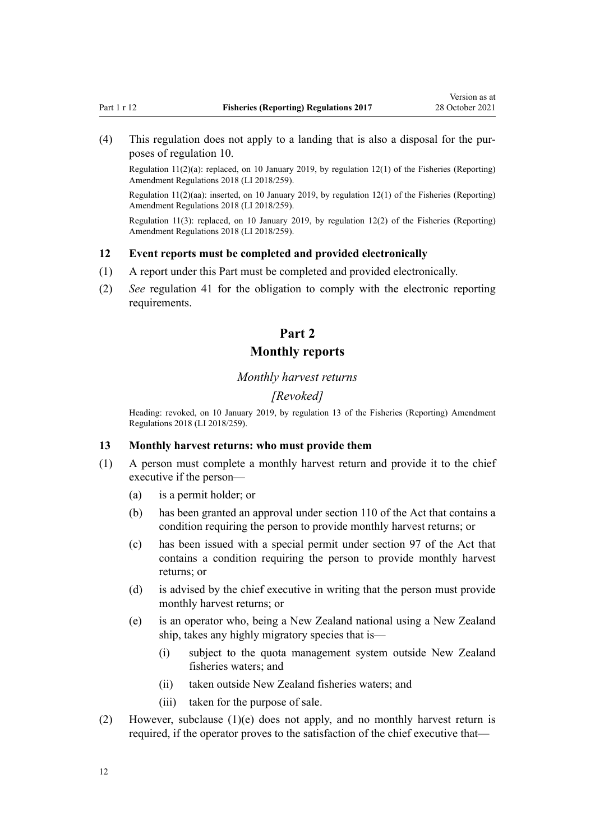<span id="page-11-0"></span>(4) This regulation does not apply to a landing that is also a disposal for the pur‐ poses of [regulation 10](#page-9-0).

Regulation 11(2)(a): replaced, on 10 January 2019, by [regulation 12\(1\)](http://legislation.govt.nz/pdflink.aspx?id=LMS140458) of the Fisheries (Reporting) Amendment Regulations 2018 (LI 2018/259).

Regulation 11(2)(aa): inserted, on 10 January 2019, by [regulation 12\(1\)](http://legislation.govt.nz/pdflink.aspx?id=LMS140458) of the Fisheries (Reporting) Amendment Regulations 2018 (LI 2018/259).

Regulation 11(3): replaced, on 10 January 2019, by [regulation 12\(2\)](http://legislation.govt.nz/pdflink.aspx?id=LMS140458) of the Fisheries (Reporting) Amendment Regulations 2018 (LI 2018/259).

#### **12 Event reports must be completed and provided electronically**

- (1) A report under this Part must be completed and provided electronically.
- (2) *See* [regulation 41](#page-23-0) for the obligation to comply with the electronic reporting requirements.

# **Part 2 Monthly reports**

#### *Monthly harvest returns*

#### *[Revoked]*

Heading: revoked, on 10 January 2019, by [regulation 13](http://legislation.govt.nz/pdflink.aspx?id=LMS140459) of the Fisheries (Reporting) Amendment Regulations 2018 (LI 2018/259).

### **13 Monthly harvest returns: who must provide them**

- (1) A person must complete a monthly harvest return and provide it to the chief executive if the person—
	- (a) is a permit holder; or
	- (b) has been granted an approval under [section 110](http://legislation.govt.nz/pdflink.aspx?id=DLM396997) of the Act that contains a condition requiring the person to provide monthly harvest returns; or
	- (c) has been issued with a special permit under [section 97](http://legislation.govt.nz/pdflink.aspx?id=DLM396952) of the Act that contains a condition requiring the person to provide monthly harvest returns; or
	- (d) is advised by the chief executive in writing that the person must provide monthly harvest returns; or
	- (e) is an operator who, being a New Zealand national using a New Zealand ship, takes any highly migratory species that is—
		- (i) subject to the quota management system outside New Zealand fisheries waters; and
		- (ii) taken outside New Zealand fisheries waters; and
		- (iii) taken for the purpose of sale.
- (2) However, subclause  $(1)(e)$  does not apply, and no monthly harvest return is required, if the operator proves to the satisfaction of the chief executive that—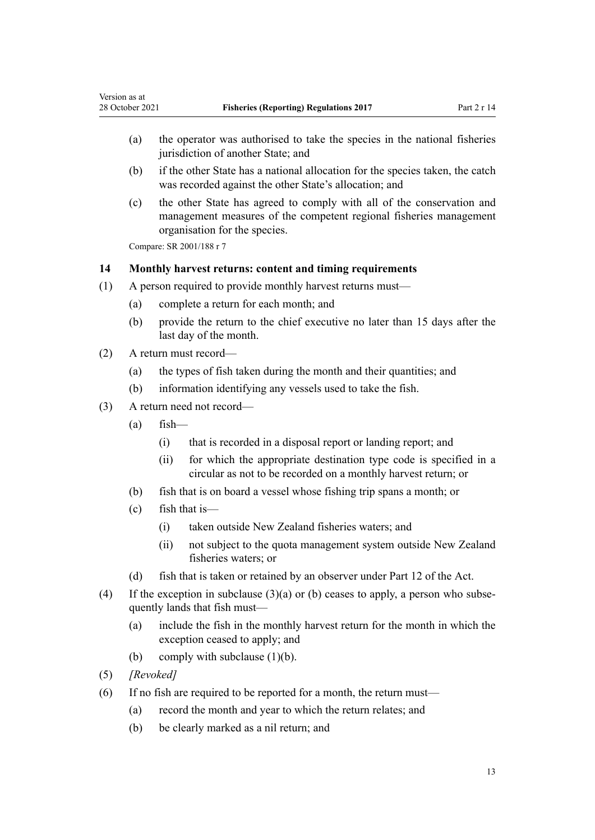- (a) the operator was authorised to take the species in the national fisheries jurisdiction of another State; and
- (b) if the other State has a national allocation for the species taken, the catch was recorded against the other State's allocation; and
- (c) the other State has agreed to comply with all of the conservation and management measures of the competent regional fisheries management organisation for the species.

Compare: SR 2001/188 [r 7](http://legislation.govt.nz/pdflink.aspx?id=DLM61825)

<span id="page-12-0"></span>Version as at

### **14 Monthly harvest returns: content and timing requirements**

- (1) A person required to provide monthly harvest returns must—
	- (a) complete a return for each month; and
	- (b) provide the return to the chief executive no later than 15 days after the last day of the month.
- (2) A return must record—
	- (a) the types of fish taken during the month and their quantities; and
	- (b) information identifying any vessels used to take the fish.
- (3) A return need not record—
	- $(a)$  fish—
		- (i) that is recorded in a disposal report or landing report; and
		- (ii) for which the appropriate destination type code is specified in a circular as not to be recorded on a monthly harvest return; or
	- (b) fish that is on board a vessel whose fishing trip spans a month; or
	- (c) fish that is—
		- (i) taken outside New Zealand fisheries waters; and
		- (ii) not subject to the quota management system outside New Zealand fisheries waters; or
	- (d) fish that is taken or retained by an observer under [Part 12](http://legislation.govt.nz/pdflink.aspx?id=DLM398666) of the Act.
- (4) If the exception in subclause  $(3)(a)$  or (b) ceases to apply, a person who subsequently lands that fish must—
	- (a) include the fish in the monthly harvest return for the month in which the exception ceased to apply; and
	- (b) comply with subclause  $(1)(b)$ .
- (5) *[Revoked]*
- (6) If no fish are required to be reported for a month, the return must—
	- (a) record the month and year to which the return relates; and
	- (b) be clearly marked as a nil return; and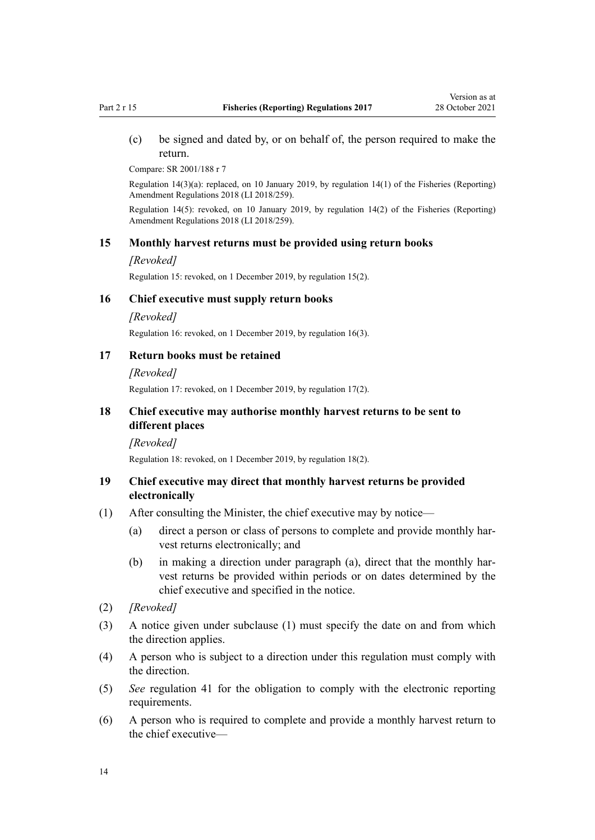<span id="page-13-0"></span>(c) be signed and dated by, or on behalf of, the person required to make the return.

Compare: SR 2001/188 [r 7](http://legislation.govt.nz/pdflink.aspx?id=DLM61825)

Regulation 14(3)(a): replaced, on 10 January 2019, by [regulation 14\(1\)](http://legislation.govt.nz/pdflink.aspx?id=LMS140460) of the Fisheries (Reporting) Amendment Regulations 2018 (LI 2018/259).

Regulation 14(5): revoked, on 10 January 2019, by [regulation 14\(2\)](http://legislation.govt.nz/pdflink.aspx?id=LMS140460) of the Fisheries (Reporting) Amendment Regulations 2018 (LI 2018/259).

#### **15 Monthly harvest returns must be provided using return books**

#### *[Revoked]*

Regulation 15: revoked, on 1 December 2019, by regulation 15(2).

#### **16 Chief executive must supply return books**

*[Revoked]*

Regulation 16: revoked, on 1 December 2019, by regulation 16(3).

### **17 Return books must be retained**

*[Revoked]*

Regulation 17: revoked, on 1 December 2019, by regulation 17(2).

### **18 Chief executive may authorise monthly harvest returns to be sent to different places**

*[Revoked]*

Regulation 18: revoked, on 1 December 2019, by regulation 18(2).

### **19 Chief executive may direct that monthly harvest returns be provided electronically**

- (1) After consulting the Minister, the chief executive may by notice—
	- (a) direct a person or class of persons to complete and provide monthly har‐ vest returns electronically; and
	- (b) in making a direction under paragraph (a), direct that the monthly harvest returns be provided within periods or on dates determined by the chief executive and specified in the notice.
- (2) *[Revoked]*
- (3) A notice given under subclause (1) must specify the date on and from which the direction applies.
- (4) A person who is subject to a direction under this regulation must comply with the direction.
- (5) *See* [regulation 41](#page-23-0) for the obligation to comply with the electronic reporting requirements.
- (6) A person who is required to complete and provide a monthly harvest return to the chief executive—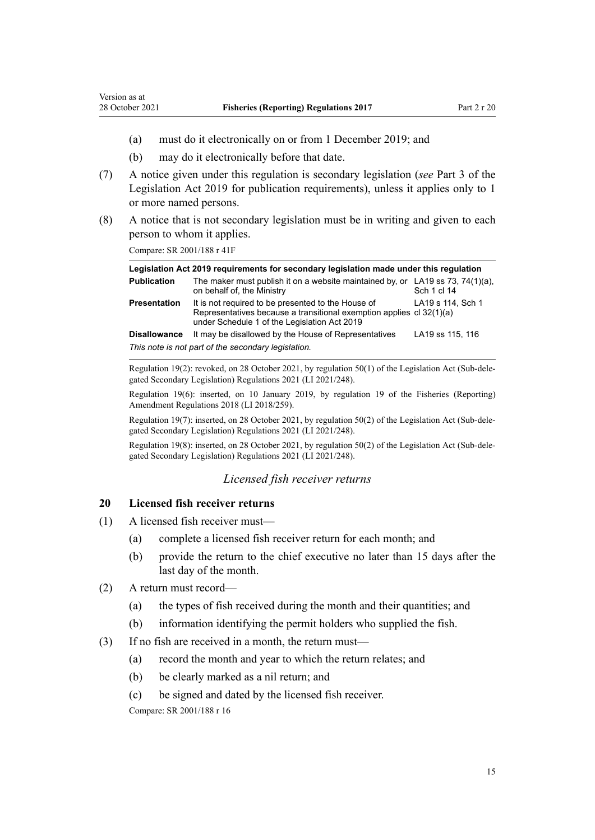- (a) must do it electronically on or from 1 December 2019; and
- (b) may do it electronically before that date.
- (7) A notice given under this regulation is secondary legislation (*see* [Part 3](http://legislation.govt.nz/pdflink.aspx?id=DLM7298343) of the Legislation Act 2019 for publication requirements), unless it applies only to 1 or more named persons.
- (8) A notice that is not secondary legislation must be in writing and given to each person to whom it applies.

Compare: SR 2001/188 [r 41F](http://legislation.govt.nz/pdflink.aspx?id=DLM2407419)

<span id="page-14-0"></span>Version as at

| Legislation Act 2019 requirements for secondary legislation made under this regulation |                                                                                                                                                                            |                   |  |
|----------------------------------------------------------------------------------------|----------------------------------------------------------------------------------------------------------------------------------------------------------------------------|-------------------|--|
| <b>Publication</b>                                                                     | The maker must publish it on a website maintained by, or LA19 ss 73, 74(1)(a),<br>on behalf of, the Ministry                                                               | Sch 1 cl 14       |  |
| <b>Presentation</b>                                                                    | It is not required to be presented to the House of<br>Representatives because a transitional exemption applies cl 32(1)(a)<br>under Schedule 1 of the Legislation Act 2019 | LA19 s 114, Sch 1 |  |
| <b>Disallowance</b>                                                                    | It may be disallowed by the House of Representatives                                                                                                                       | LA19 ss 115, 116  |  |
|                                                                                        | This note is not part of the secondary legislation.                                                                                                                        |                   |  |

Regulation 19(2): revoked, on 28 October 2021, by [regulation 50\(1\)](http://legislation.govt.nz/pdflink.aspx?id=LMS509169) of the Legislation Act (Sub-delegated Secondary Legislation) Regulations 2021 (LI 2021/248).

Regulation 19(6): inserted, on 10 January 2019, by [regulation 19](http://legislation.govt.nz/pdflink.aspx?id=LMS140465) of the Fisheries (Reporting) Amendment Regulations 2018 (LI 2018/259).

Regulation 19(7): inserted, on 28 October 2021, by [regulation 50\(2\)](http://legislation.govt.nz/pdflink.aspx?id=LMS509169) of the Legislation Act (Sub-dele‐ gated Secondary Legislation) Regulations 2021 (LI 2021/248).

Regulation 19(8): inserted, on 28 October 2021, by [regulation 50\(2\)](http://legislation.govt.nz/pdflink.aspx?id=LMS509169) of the Legislation Act (Sub-dele‐ gated Secondary Legislation) Regulations 2021 (LI 2021/248).

### *Licensed fish receiver returns*

### **20 Licensed fish receiver returns**

- (1) A licensed fish receiver must—
	- (a) complete a licensed fish receiver return for each month; and
	- (b) provide the return to the chief executive no later than 15 days after the last day of the month.
- (2) A return must record—
	- (a) the types of fish received during the month and their quantities; and
	- (b) information identifying the permit holders who supplied the fish.
- (3) If no fish are received in a month, the return must—
	- (a) record the month and year to which the return relates; and
	- (b) be clearly marked as a nil return; and
	- (c) be signed and dated by the licensed fish receiver.

Compare: SR 2001/188 [r 16](http://legislation.govt.nz/pdflink.aspx?id=DLM61862)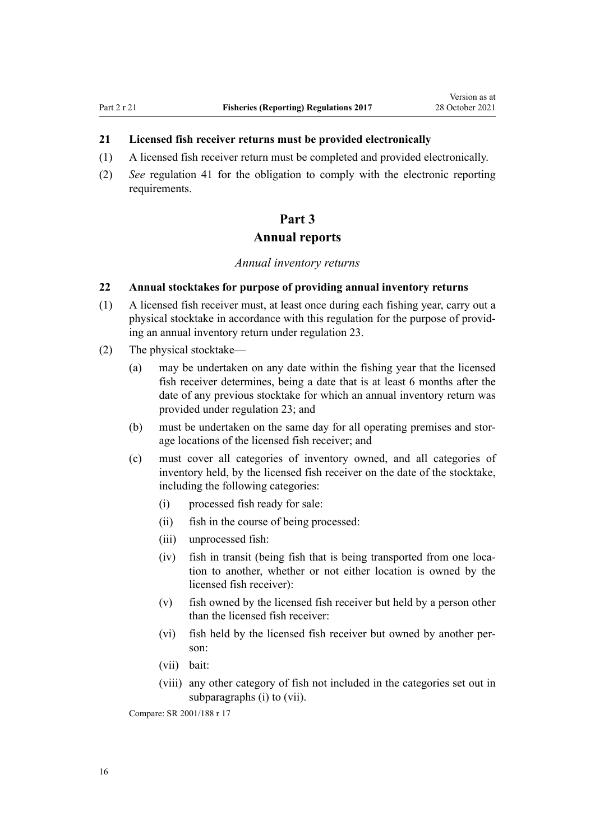### <span id="page-15-0"></span>**21 Licensed fish receiver returns must be provided electronically**

- (1) A licensed fish receiver return must be completed and provided electronically.
- (2) *See* [regulation 41](#page-23-0) for the obligation to comply with the electronic reporting requirements.

# **Part 3 Annual reports**

*Annual inventory returns*

### **22 Annual stocktakes for purpose of providing annual inventory returns**

- (1) A licensed fish receiver must, at least once during each fishing year, carry out a physical stocktake in accordance with this regulation for the purpose of provid‐ ing an annual inventory return under [regulation 23](#page-16-0).
- (2) The physical stocktake—
	- (a) may be undertaken on any date within the fishing year that the licensed fish receiver determines, being a date that is at least 6 months after the date of any previous stocktake for which an annual inventory return was provided under [regulation 23](#page-16-0); and
	- (b) must be undertaken on the same day for all operating premises and stor‐ age locations of the licensed fish receiver; and
	- (c) must cover all categories of inventory owned, and all categories of inventory held, by the licensed fish receiver on the date of the stocktake, including the following categories:
		- (i) processed fish ready for sale:
		- (ii) fish in the course of being processed:
		- (iii) unprocessed fish:
		- (iv) fish in transit (being fish that is being transported from one loca‐ tion to another, whether or not either location is owned by the licensed fish receiver):
		- (v) fish owned by the licensed fish receiver but held by a person other than the licensed fish receiver:
		- (vi) fish held by the licensed fish receiver but owned by another per‐ son:
		- (vii) bait:
		- (viii) any other category of fish not included in the categories set out in subparagraphs (i) to (vii).

Compare: SR 2001/188 [r 17](http://legislation.govt.nz/pdflink.aspx?id=DLM61865)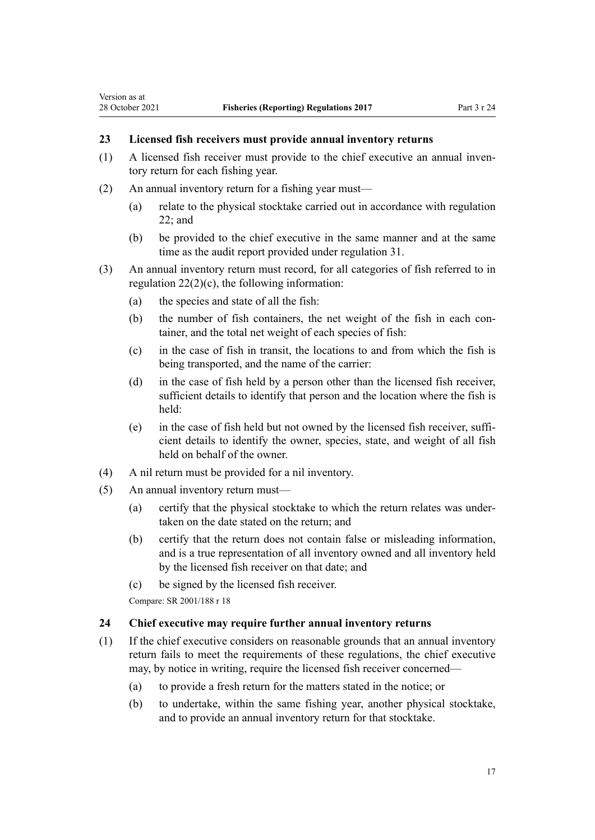# <span id="page-16-0"></span>**23 Licensed fish receivers must provide annual inventory returns**

- (1) A licensed fish receiver must provide to the chief executive an annual inven‐ tory return for each fishing year.
- (2) An annual inventory return for a fishing year must—
	- (a) relate to the physical stocktake carried out in accordance with [regulation](#page-15-0) [22;](#page-15-0) and
	- (b) be provided to the chief executive in the same manner and at the same time as the audit report provided under [regulation 31.](#page-19-0)
- (3) An annual inventory return must record, for all categories of fish referred to in regulation  $22(2)(c)$ , the following information:
	- (a) the species and state of all the fish:
	- (b) the number of fish containers, the net weight of the fish in each container, and the total net weight of each species of fish:
	- (c) in the case of fish in transit, the locations to and from which the fish is being transported, and the name of the carrier:
	- (d) in the case of fish held by a person other than the licensed fish receiver, sufficient details to identify that person and the location where the fish is held:
	- (e) in the case of fish held but not owned by the licensed fish receiver, suffi‐ cient details to identify the owner, species, state, and weight of all fish held on behalf of the owner.
- (4) A nil return must be provided for a nil inventory.
- (5) An annual inventory return must—
	- (a) certify that the physical stocktake to which the return relates was under‐ taken on the date stated on the return; and
	- (b) certify that the return does not contain false or misleading information, and is a true representation of all inventory owned and all inventory held by the licensed fish receiver on that date; and
	- (c) be signed by the licensed fish receiver.

Compare: SR 2001/188 [r 18](http://legislation.govt.nz/pdflink.aspx?id=DLM61866)

### **24 Chief executive may require further annual inventory returns**

- (1) If the chief executive considers on reasonable grounds that an annual inventory return fails to meet the requirements of these regulations, the chief executive may, by notice in writing, require the licensed fish receiver concerned—
	- (a) to provide a fresh return for the matters stated in the notice; or
	- (b) to undertake, within the same fishing year, another physical stocktake, and to provide an annual inventory return for that stocktake.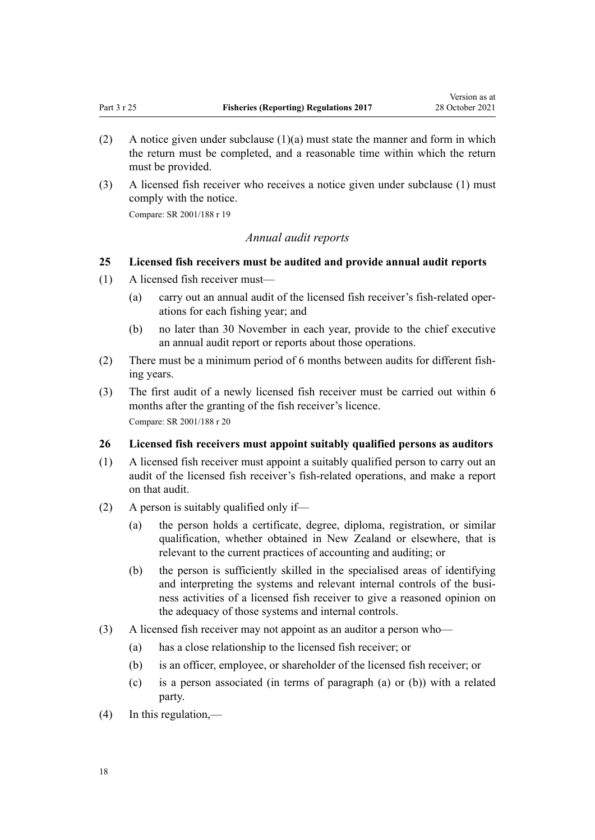- <span id="page-17-0"></span>(2) A notice given under subclause  $(1)(a)$  must state the manner and form in which the return must be completed, and a reasonable time within which the return must be provided.
- (3) A licensed fish receiver who receives a notice given under subclause (1) must comply with the notice.

Compare: SR 2001/188 [r 19](http://legislation.govt.nz/pdflink.aspx?id=DLM61867)

### *Annual audit reports*

### **25 Licensed fish receivers must be audited and provide annual audit reports**

- (1) A licensed fish receiver must—
	- (a) carry out an annual audit of the licensed fish receiver's fish-related oper‐ ations for each fishing year; and
	- (b) no later than 30 November in each year, provide to the chief executive an annual audit report or reports about those operations.
- (2) There must be a minimum period of 6 months between audits for different fish‐ ing years.
- (3) The first audit of a newly licensed fish receiver must be carried out within 6 months after the granting of the fish receiver's licence. Compare: SR 2001/188 [r 20](http://legislation.govt.nz/pdflink.aspx?id=DLM61868)

#### **26 Licensed fish receivers must appoint suitably qualified persons as auditors**

- (1) A licensed fish receiver must appoint a suitably qualified person to carry out an audit of the licensed fish receiver's fish-related operations, and make a report on that audit.
- (2) A person is suitably qualified only if—
	- (a) the person holds a certificate, degree, diploma, registration, or similar qualification, whether obtained in New Zealand or elsewhere, that is relevant to the current practices of accounting and auditing; or
	- (b) the person is sufficiently skilled in the specialised areas of identifying and interpreting the systems and relevant internal controls of the business activities of a licensed fish receiver to give a reasoned opinion on the adequacy of those systems and internal controls.
- (3) A licensed fish receiver may not appoint as an auditor a person who—
	- (a) has a close relationship to the licensed fish receiver; or
	- (b) is an officer, employee, or shareholder of the licensed fish receiver; or
	- (c) is a person associated (in terms of paragraph (a) or (b)) with a related party.
- (4) In this regulation,—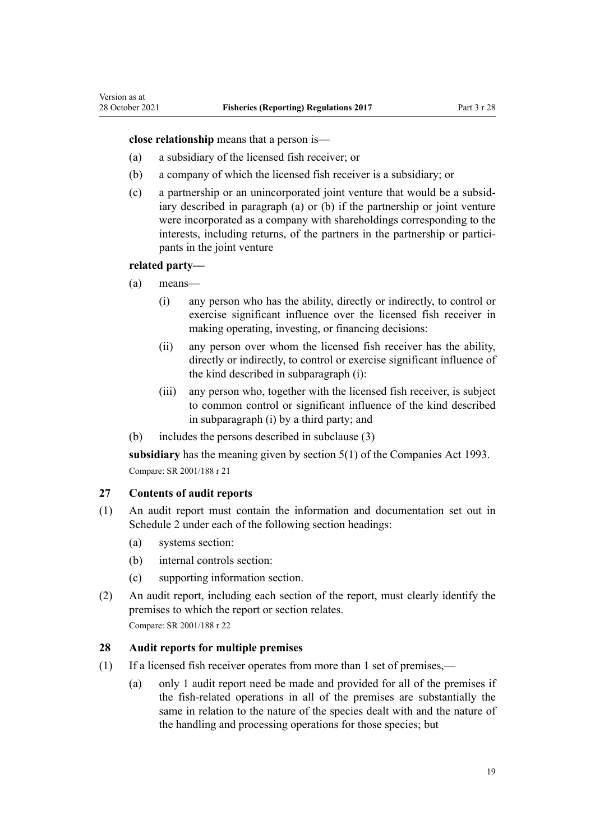<span id="page-18-0"></span>**close relationship** means that a person is—

- (a) a subsidiary of the licensed fish receiver; or
- (b) a company of which the licensed fish receiver is a subsidiary; or
- (c) a partnership or an unincorporated joint venture that would be a subsid‐ iary described in paragraph (a) or (b) if the partnership or joint venture were incorporated as a company with shareholdings corresponding to the interests, including returns, of the partners in the partnership or participants in the joint venture

#### **related party—**

- (a) means—
	- (i) any person who has the ability, directly or indirectly, to control or exercise significant influence over the licensed fish receiver in making operating, investing, or financing decisions:
	- (ii) any person over whom the licensed fish receiver has the ability, directly or indirectly, to control or exercise significant influence of the kind described in subparagraph (i):
	- (iii) any person who, together with the licensed fish receiver, is subject to common control or significant influence of the kind described in subparagraph (i) by a third party; and
- (b) includes the persons described in subclause (3)

**subsidiary** has the meaning given by [section 5\(1\)](http://legislation.govt.nz/pdflink.aspx?id=DLM319999) of the Companies Act 1993. Compare: SR 2001/188 [r 21](http://legislation.govt.nz/pdflink.aspx?id=DLM61871)

#### **27 Contents of audit reports**

- (1) An audit report must contain the information and documentation set out in Schedule 2 under each of the following section headings:
	- (a) systems section:
	- (b) internal controls section:
	- (c) supporting information section.
- (2) An audit report, including each section of the report, must clearly identify the premises to which the report or section relates. Compare: SR 2001/188 [r 22](http://legislation.govt.nz/pdflink.aspx?id=DLM61872)

#### **28 Audit reports for multiple premises**

- (1) If a licensed fish receiver operates from more than 1 set of premises,—
	- (a) only 1 audit report need be made and provided for all of the premises if the fish-related operations in all of the premises are substantially the same in relation to the nature of the species dealt with and the nature of the handling and processing operations for those species; but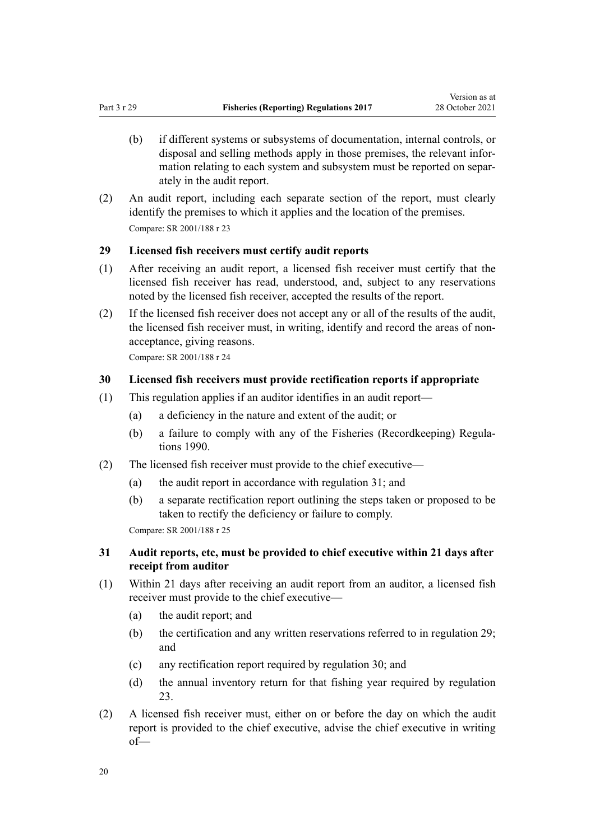- <span id="page-19-0"></span>(b) if different systems or subsystems of documentation, internal controls, or disposal and selling methods apply in those premises, the relevant infor‐ mation relating to each system and subsystem must be reported on separately in the audit report.
- (2) An audit report, including each separate section of the report, must clearly identify the premises to which it applies and the location of the premises. Compare: SR 2001/188 [r 23](http://legislation.govt.nz/pdflink.aspx?id=DLM61873)

### **29 Licensed fish receivers must certify audit reports**

- (1) After receiving an audit report, a licensed fish receiver must certify that the licensed fish receiver has read, understood, and, subject to any reservations noted by the licensed fish receiver, accepted the results of the report.
- (2) If the licensed fish receiver does not accept any or all of the results of the audit, the licensed fish receiver must, in writing, identify and record the areas of nonacceptance, giving reasons.

Compare: SR 2001/188 [r 24](http://legislation.govt.nz/pdflink.aspx?id=DLM61874)

### **30 Licensed fish receivers must provide rectification reports if appropriate**

- (1) This regulation applies if an auditor identifies in an audit report—
	- (a) a deficiency in the nature and extent of the audit; or
	- (b) a failure to comply with any of the [Fisheries \(Recordkeeping\) Regula‐](http://legislation.govt.nz/pdflink.aspx?id=DLM139497) [tions 1990](http://legislation.govt.nz/pdflink.aspx?id=DLM139497).
- (2) The licensed fish receiver must provide to the chief executive—
	- (a) the audit report in accordance with regulation 31; and
	- (b) a separate rectification report outlining the steps taken or proposed to be taken to rectify the deficiency or failure to comply.

Compare: SR 2001/188 [r 25](http://legislation.govt.nz/pdflink.aspx?id=DLM61875)

## **31 Audit reports, etc, must be provided to chief executive within 21 days after receipt from auditor**

- (1) Within 21 days after receiving an audit report from an auditor, a licensed fish receiver must provide to the chief executive—
	- (a) the audit report; and
	- (b) the certification and any written reservations referred to in regulation 29; and
	- (c) any rectification report required by regulation 30; and
	- (d) the annual inventory return for that fishing year required by [regulation](#page-16-0) [23.](#page-16-0)
- (2) A licensed fish receiver must, either on or before the day on which the audit report is provided to the chief executive, advise the chief executive in writing of—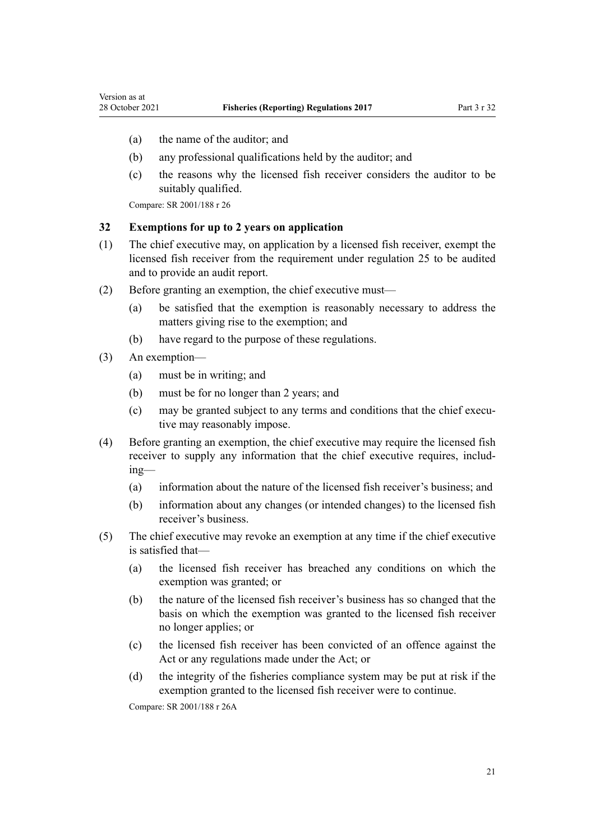- <span id="page-20-0"></span>(a) the name of the auditor; and
- (b) any professional qualifications held by the auditor; and
- (c) the reasons why the licensed fish receiver considers the auditor to be suitably qualified.

Compare: SR 2001/188 [r 26](http://legislation.govt.nz/pdflink.aspx?id=DLM61876)

### **32 Exemptions for up to 2 years on application**

- (1) The chief executive may, on application by a licensed fish receiver, exempt the licensed fish receiver from the requirement under [regulation 25](#page-17-0) to be audited and to provide an audit report.
- (2) Before granting an exemption, the chief executive must—
	- (a) be satisfied that the exemption is reasonably necessary to address the matters giving rise to the exemption; and
	- (b) have regard to the purpose of these regulations.
- (3) An exemption—
	- (a) must be in writing; and
	- (b) must be for no longer than 2 years; and
	- (c) may be granted subject to any terms and conditions that the chief executive may reasonably impose.
- (4) Before granting an exemption, the chief executive may require the licensed fish receiver to supply any information that the chief executive requires, including—
	- (a) information about the nature of the licensed fish receiver's business; and
	- (b) information about any changes (or intended changes) to the licensed fish receiver's business.
- (5) The chief executive may revoke an exemption at any time if the chief executive is satisfied that—
	- (a) the licensed fish receiver has breached any conditions on which the exemption was granted; or
	- (b) the nature of the licensed fish receiver's business has so changed that the basis on which the exemption was granted to the licensed fish receiver no longer applies; or
	- (c) the licensed fish receiver has been convicted of an offence against the Act or any regulations made under the Act; or
	- (d) the integrity of the fisheries compliance system may be put at risk if the exemption granted to the licensed fish receiver were to continue.

Compare: SR 2001/188 [r 26A](http://legislation.govt.nz/pdflink.aspx?id=DLM1069718)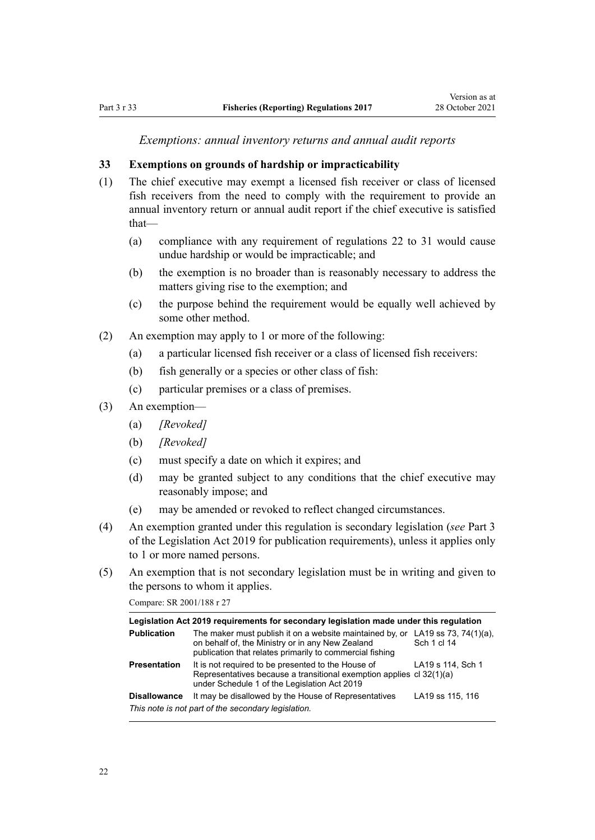*Exemptions: annual inventory returns and annual audit reports*

### <span id="page-21-0"></span>**33 Exemptions on grounds of hardship or impracticability**

- (1) The chief executive may exempt a licensed fish receiver or class of licensed fish receivers from the need to comply with the requirement to provide an annual inventory return or annual audit report if the chief executive is satisfied that—
	- (a) compliance with any requirement of [regulations 22 to 31](#page-15-0) would cause undue hardship or would be impracticable; and
	- (b) the exemption is no broader than is reasonably necessary to address the matters giving rise to the exemption; and
	- (c) the purpose behind the requirement would be equally well achieved by some other method.
- (2) An exemption may apply to 1 or more of the following:
	- (a) a particular licensed fish receiver or a class of licensed fish receivers:
	- (b) fish generally or a species or other class of fish:
	- (c) particular premises or a class of premises.
- (3) An exemption—
	- (a) *[Revoked]*
	- (b) *[Revoked]*
	- (c) must specify a date on which it expires; and
	- (d) may be granted subject to any conditions that the chief executive may reasonably impose; and
	- (e) may be amended or revoked to reflect changed circumstances.
- (4) An exemption granted under this regulation is secondary legislation (*see* [Part 3](http://legislation.govt.nz/pdflink.aspx?id=DLM7298343) of the Legislation Act 2019 for publication requirements), unless it applies only to 1 or more named persons.
- (5) An exemption that is not secondary legislation must be in writing and given to the persons to whom it applies.

Compare: SR 2001/188 [r 27](http://legislation.govt.nz/pdflink.aspx?id=DLM61877)

| Legislation Act 2019 requirements for secondary legislation made under this regulation |                                                                                                                                                                            |                                          |  |
|----------------------------------------------------------------------------------------|----------------------------------------------------------------------------------------------------------------------------------------------------------------------------|------------------------------------------|--|
| <b>Publication</b>                                                                     | The maker must publish it on a website maintained by, or<br>on behalf of, the Ministry or in any New Zealand<br>publication that relates primarily to commercial fishing   | LA19 ss 73, 74 $(1)(a)$ ,<br>Sch 1 cl 14 |  |
| <b>Presentation</b>                                                                    | It is not required to be presented to the House of<br>Representatives because a transitional exemption applies cl 32(1)(a)<br>under Schedule 1 of the Legislation Act 2019 | LA19 s 114, Sch 1                        |  |
| <b>Disallowance</b>                                                                    | It may be disallowed by the House of Representatives                                                                                                                       | LA19 ss 115, 116                         |  |
| This note is not part of the secondary legislation.                                    |                                                                                                                                                                            |                                          |  |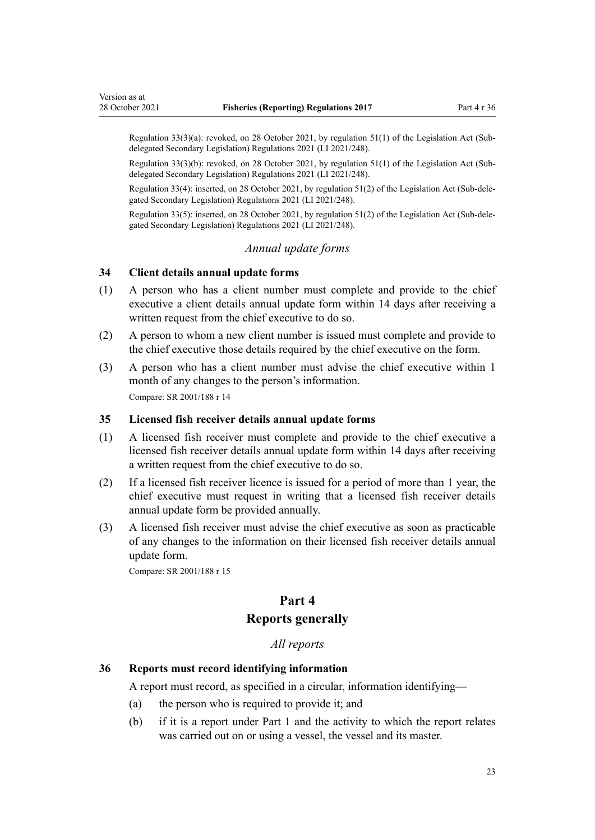<span id="page-22-0"></span>Regulation 33(3)(a): revoked, on 28 October 2021, by [regulation 51\(1\)](http://legislation.govt.nz/pdflink.aspx?id=LMS509170) of the Legislation Act (Subdelegated Secondary Legislation) Regulations 2021 (LI 2021/248).

Regulation 33(3)(b): revoked, on 28 October 2021, by [regulation 51\(1\)](http://legislation.govt.nz/pdflink.aspx?id=LMS509170) of the Legislation Act (Subdelegated Secondary Legislation) Regulations 2021 (LI 2021/248).

Regulation 33(4): inserted, on 28 October 2021, by [regulation 51\(2\)](http://legislation.govt.nz/pdflink.aspx?id=LMS509170) of the Legislation Act (Sub-dele‐ gated Secondary Legislation) Regulations 2021 (LI 2021/248).

Regulation 33(5): inserted, on 28 October 2021, by [regulation 51\(2\)](http://legislation.govt.nz/pdflink.aspx?id=LMS509170) of the Legislation Act (Sub-dele‐ gated Secondary Legislation) Regulations 2021 (LI 2021/248).

#### *Annual update forms*

### **34 Client details annual update forms**

- (1) A person who has a client number must complete and provide to the chief executive a client details annual update form within 14 days after receiving a written request from the chief executive to do so.
- (2) A person to whom a new client number is issued must complete and provide to the chief executive those details required by the chief executive on the form.
- (3) A person who has a client number must advise the chief executive within 1 month of any changes to the person's information. Compare: SR 2001/188 [r 14](http://legislation.govt.nz/pdflink.aspx?id=DLM61860)

#### **35 Licensed fish receiver details annual update forms**

- (1) A licensed fish receiver must complete and provide to the chief executive a licensed fish receiver details annual update form within 14 days after receiving a written request from the chief executive to do so.
- (2) If a licensed fish receiver licence is issued for a period of more than 1 year, the chief executive must request in writing that a licensed fish receiver details annual update form be provided annually.
- (3) A licensed fish receiver must advise the chief executive as soon as practicable of any changes to the information on their licensed fish receiver details annual update form.

Compare: SR 2001/188 [r 15](http://legislation.govt.nz/pdflink.aspx?id=DLM61861)

### **Part 4**

### **Reports generally**

### *All reports*

#### **36 Reports must record identifying information**

A report must record, as specified in a circular, information identifying—

- (a) the person who is required to provide it; and
- (b) if it is a report under [Part 1](#page-7-0) and the activity to which the report relates was carried out on or using a vessel, the vessel and its master.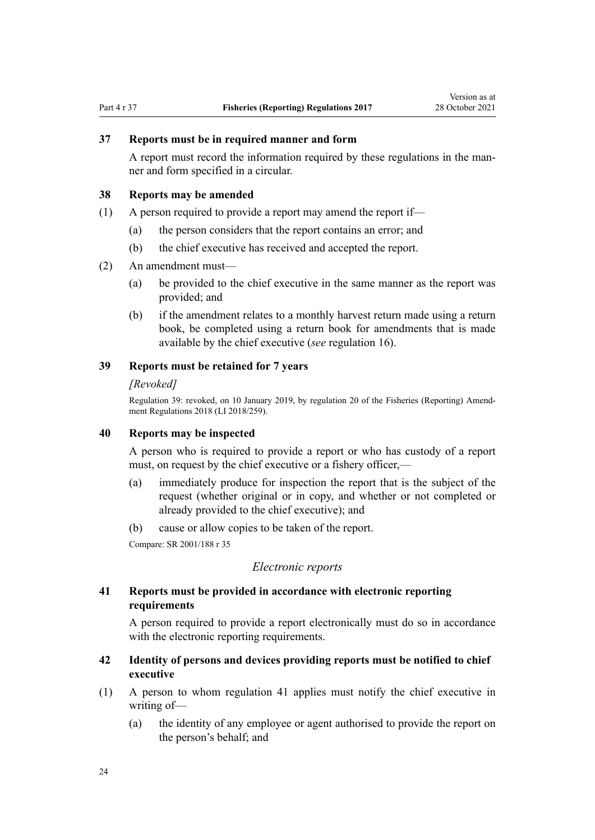<span id="page-23-0"></span>

### **37 Reports must be in required manner and form**

A report must record the information required by these regulations in the man‐ ner and form specified in a circular.

#### **38 Reports may be amended**

- (1) A person required to provide a report may amend the report if—
	- (a) the person considers that the report contains an error; and
	- (b) the chief executive has received and accepted the report.
- (2) An amendment must—
	- (a) be provided to the chief executive in the same manner as the report was provided; and
	- (b) if the amendment relates to a monthly harvest return made using a return book, be completed using a return book for amendments that is made available by the chief executive (*see* [regulation 16](#page-13-0)).

### **39 Reports must be retained for 7 years**

#### *[Revoked]*

Regulation 39: revoked, on 10 January 2019, by [regulation 20](http://legislation.govt.nz/pdflink.aspx?id=LMS140466) of the Fisheries (Reporting) Amend‐ ment Regulations 2018 (LI 2018/259).

### **40 Reports may be inspected**

A person who is required to provide a report or who has custody of a report must, on request by the chief executive or a fishery officer,—

- (a) immediately produce for inspection the report that is the subject of the request (whether original or in copy, and whether or not completed or already provided to the chief executive); and
- (b) cause or allow copies to be taken of the report.

Compare: SR 2001/188 [r 35](http://legislation.govt.nz/pdflink.aspx?id=DLM61891)

# *Electronic reports*

### **41 Reports must be provided in accordance with electronic reporting requirements**

A person required to provide a report electronically must do so in accordance with the electronic reporting requirements.

### **42 Identity of persons and devices providing reports must be notified to chief executive**

- (1) A person to whom regulation 41 applies must notify the chief executive in writing of—
	- (a) the identity of any employee or agent authorised to provide the report on the person's behalf; and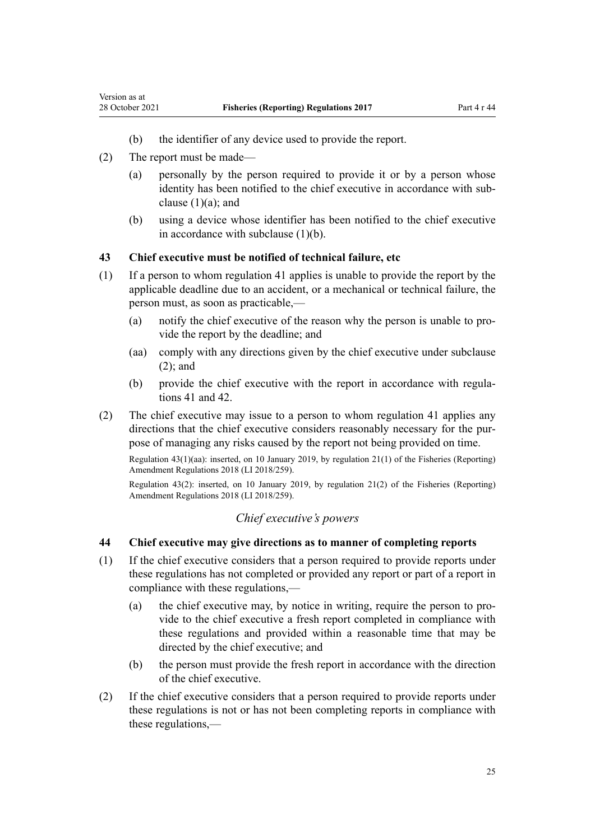(2) The report must be made—

<span id="page-24-0"></span>Version as at

- (a) personally by the person required to provide it or by a person whose identity has been notified to the chief executive in accordance with subclause  $(1)(a)$ ; and
- (b) using a device whose identifier has been notified to the chief executive in accordance with subclause (1)(b).

### **43 Chief executive must be notified of technical failure, etc**

- (1) If a person to whom [regulation 41](#page-23-0) applies is unable to provide the report by the applicable deadline due to an accident, or a mechanical or technical failure, the person must, as soon as practicable,—
	- (a) notify the chief executive of the reason why the person is unable to pro‐ vide the report by the deadline; and
	- (aa) comply with any directions given by the chief executive under subclause (2); and
	- (b) provide the chief executive with the report in accordance with regula[tions 41](#page-23-0) and [42.](#page-23-0)
- (2) The chief executive may issue to a person to whom [regulation 41](#page-23-0) applies any directions that the chief executive considers reasonably necessary for the purpose of managing any risks caused by the report not being provided on time.

Regulation 43(1)(aa): inserted, on 10 January 2019, by [regulation 21\(1\)](http://legislation.govt.nz/pdflink.aspx?id=LMS140467) of the Fisheries (Reporting) Amendment Regulations 2018 (LI 2018/259).

Regulation 43(2): inserted, on 10 January 2019, by [regulation 21\(2\)](http://legislation.govt.nz/pdflink.aspx?id=LMS140467) of the Fisheries (Reporting) Amendment Regulations 2018 (LI 2018/259).

### *Chief executive's powers*

### **44 Chief executive may give directions as to manner of completing reports**

- (1) If the chief executive considers that a person required to provide reports under these regulations has not completed or provided any report or part of a report in compliance with these regulations,—
	- (a) the chief executive may, by notice in writing, require the person to provide to the chief executive a fresh report completed in compliance with these regulations and provided within a reasonable time that may be directed by the chief executive; and
	- (b) the person must provide the fresh report in accordance with the direction of the chief executive.
- (2) If the chief executive considers that a person required to provide reports under these regulations is not or has not been completing reports in compliance with these regulations,—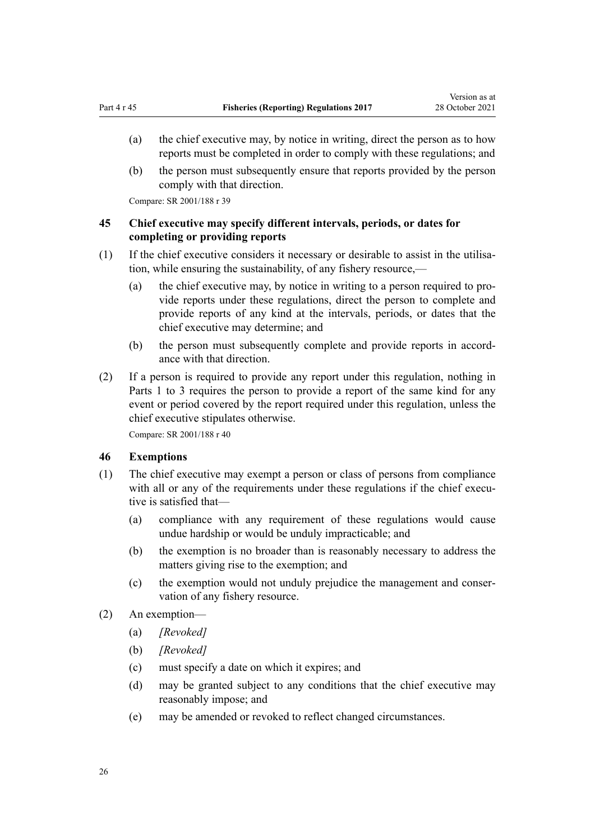- <span id="page-25-0"></span>(a) the chief executive may, by notice in writing, direct the person as to how reports must be completed in order to comply with these regulations; and
- (b) the person must subsequently ensure that reports provided by the person comply with that direction.

Compare: SR 2001/188 [r 39](http://legislation.govt.nz/pdflink.aspx?id=DLM62903)

# **45 Chief executive may specify different intervals, periods, or dates for completing or providing reports**

- (1) If the chief executive considers it necessary or desirable to assist in the utilisation, while ensuring the sustainability, of any fishery resource,—
	- (a) the chief executive may, by notice in writing to a person required to pro‐ vide reports under these regulations, direct the person to complete and provide reports of any kind at the intervals, periods, or dates that the chief executive may determine; and
	- (b) the person must subsequently complete and provide reports in accordance with that direction.
- (2) If a person is required to provide any report under this regulation, nothing in [Parts 1 to 3](#page-7-0) requires the person to provide a report of the same kind for any event or period covered by the report required under this regulation, unless the chief executive stipulates otherwise.

Compare: SR 2001/188 [r 40](http://legislation.govt.nz/pdflink.aspx?id=DLM62904)

### **46 Exemptions**

- (1) The chief executive may exempt a person or class of persons from compliance with all or any of the requirements under these regulations if the chief executive is satisfied that—
	- (a) compliance with any requirement of these regulations would cause undue hardship or would be unduly impracticable; and
	- (b) the exemption is no broader than is reasonably necessary to address the matters giving rise to the exemption; and
	- (c) the exemption would not unduly prejudice the management and conser‐ vation of any fishery resource.
- (2) An exemption—
	- (a) *[Revoked]*
	- (b) *[Revoked]*
	- (c) must specify a date on which it expires; and
	- (d) may be granted subject to any conditions that the chief executive may reasonably impose; and
	- (e) may be amended or revoked to reflect changed circumstances.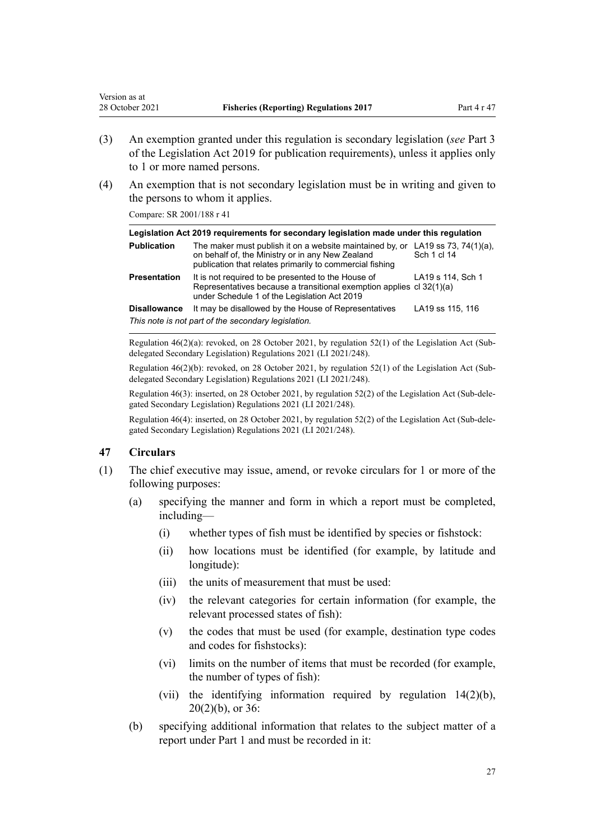- (3) An exemption granted under this regulation is secondary legislation (*see* [Part 3](http://legislation.govt.nz/pdflink.aspx?id=DLM7298343) of the Legislation Act 2019 for publication requirements), unless it applies only to 1 or more named persons.
- (4) An exemption that is not secondary legislation must be in writing and given to the persons to whom it applies.

Compare: SR 2001/188 [r 41](http://legislation.govt.nz/pdflink.aspx?id=DLM62905)

<span id="page-26-0"></span>Version as at

| Legislation Act 2019 requirements for secondary legislation made under this regulation |                                                                                                                                                                            |                                          |  |
|----------------------------------------------------------------------------------------|----------------------------------------------------------------------------------------------------------------------------------------------------------------------------|------------------------------------------|--|
| <b>Publication</b>                                                                     | The maker must publish it on a website maintained by, or<br>on behalf of, the Ministry or in any New Zealand<br>publication that relates primarily to commercial fishing   | LA19 ss 73, 74 $(1)(a)$ ,<br>Sch 1 cl 14 |  |
| <b>Presentation</b>                                                                    | It is not required to be presented to the House of<br>Representatives because a transitional exemption applies cl 32(1)(a)<br>under Schedule 1 of the Legislation Act 2019 | LA19 s 114, Sch 1                        |  |
| <b>Disallowance</b>                                                                    | It may be disallowed by the House of Representatives                                                                                                                       | LA19 ss 115, 116                         |  |
|                                                                                        | This note is not part of the secondary legislation.                                                                                                                        |                                          |  |

Regulation 46(2)(a): revoked, on 28 October 2021, by [regulation 52\(1\)](http://legislation.govt.nz/pdflink.aspx?id=LMS509171) of the Legislation Act (Subdelegated Secondary Legislation) Regulations 2021 (LI 2021/248).

Regulation 46(2)(b): revoked, on 28 October 2021, by [regulation 52\(1\)](http://legislation.govt.nz/pdflink.aspx?id=LMS509171) of the Legislation Act (Subdelegated Secondary Legislation) Regulations 2021 (LI 2021/248).

Regulation 46(3): inserted, on 28 October 2021, by [regulation 52\(2\)](http://legislation.govt.nz/pdflink.aspx?id=LMS509171) of the Legislation Act (Sub-dele‐ gated Secondary Legislation) Regulations 2021 (LI 2021/248).

Regulation 46(4): inserted, on 28 October 2021, by [regulation 52\(2\)](http://legislation.govt.nz/pdflink.aspx?id=LMS509171) of the Legislation Act (Sub-dele‐ gated Secondary Legislation) Regulations 2021 (LI 2021/248).

# **47 Circulars**

- (1) The chief executive may issue, amend, or revoke circulars for 1 or more of the following purposes:
	- (a) specifying the manner and form in which a report must be completed, including—
		- (i) whether types of fish must be identified by species or fishstock:
		- (ii) how locations must be identified (for example, by latitude and longitude):
		- (iii) the units of measurement that must be used:
		- (iv) the relevant categories for certain information (for example, the relevant processed states of fish):
		- (v) the codes that must be used (for example, destination type codes and codes for fishstocks):
		- (vi) limits on the number of items that must be recorded (for example, the number of types of fish):
		- (vii) the identifying information required by [regulation 14\(2\)\(b\)](#page-12-0), [20\(2\)\(b\),](#page-14-0) or [36](#page-22-0):
	- (b) specifying additional information that relates to the subject matter of a report under [Part 1](#page-7-0) and must be recorded in it: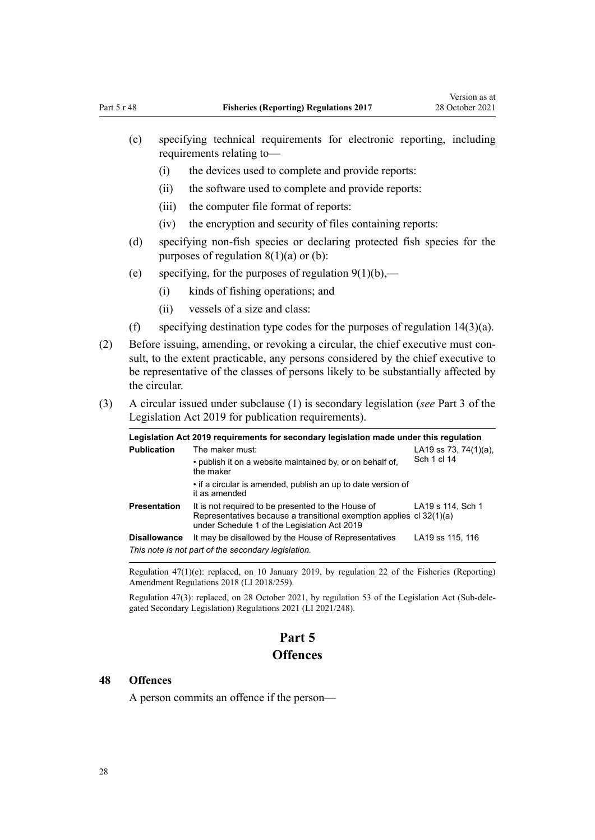- <span id="page-27-0"></span>(c) specifying technical requirements for electronic reporting, including requirements relating to—
	- (i) the devices used to complete and provide reports:
	- (ii) the software used to complete and provide reports:
	- (iii) the computer file format of reports:
	- (iv) the encryption and security of files containing reports:
- (d) specifying non-fish species or declaring protected fish species for the purposes of regulation  $8(1)(a)$  or (b):
- (e) specifying, for the purposes of regulation  $9(1)(b)$ ,—
	- (i) kinds of fishing operations; and
	- (ii) vessels of a size and class:
- (f) specifying destination type codes for the purposes of regulation  $14(3)(a)$ .
- (2) Before issuing, amending, or revoking a circular, the chief executive must consult, to the extent practicable, any persons considered by the chief executive to be representative of the classes of persons likely to be substantially affected by the circular.
- (3) A circular issued under subclause (1) is secondary legislation (*see* [Part 3](http://legislation.govt.nz/pdflink.aspx?id=DLM7298343) of the Legislation Act 2019 for publication requirements).

| Legislation Act 2019 requirements for secondary legislation made under this regulation |                                                                                                                                                                            |                       |
|----------------------------------------------------------------------------------------|----------------------------------------------------------------------------------------------------------------------------------------------------------------------------|-----------------------|
| <b>Publication</b>                                                                     | The maker must:                                                                                                                                                            | LA19 ss 73, 74(1)(a), |
|                                                                                        | • publish it on a website maintained by, or on behalf of,<br>the maker                                                                                                     | Sch 1 cl 14           |
|                                                                                        | • if a circular is amended, publish an up to date version of<br>it as amended                                                                                              |                       |
| <b>Presentation</b>                                                                    | It is not required to be presented to the House of<br>Representatives because a transitional exemption applies cl 32(1)(a)<br>under Schedule 1 of the Legislation Act 2019 | LA19 s 114, Sch 1     |
| <b>Disallowance</b>                                                                    | It may be disallowed by the House of Representatives                                                                                                                       | LA19 ss 115, 116      |
|                                                                                        | This note is not part of the secondary legislation.                                                                                                                        |                       |

Regulation 47(1)(e): replaced, on 10 January 2019, by [regulation 22](http://legislation.govt.nz/pdflink.aspx?id=LMS140468) of the Fisheries (Reporting) Amendment Regulations 2018 (LI 2018/259).

Regulation 47(3): replaced, on 28 October 2021, by [regulation 53](http://legislation.govt.nz/pdflink.aspx?id=LMS473413) of the Legislation Act (Sub-dele‐ gated Secondary Legislation) Regulations 2021 (LI 2021/248).

# **Part 5 Offences**

#### **48 Offences**

A person commits an offence if the person—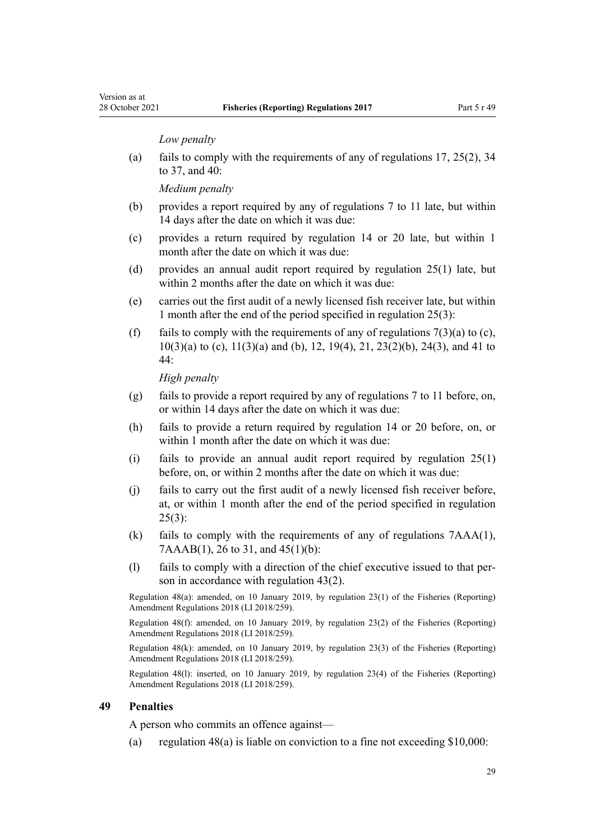#### *Low penalty*

<span id="page-28-0"></span>Version as at

(a) fails to comply with the requirements of any of [regulations 17](#page-13-0), [25\(2\)](#page-17-0), [34](#page-22-0) [to 37,](#page-22-0) and [40](#page-23-0):

*Medium penalty*

- (b) provides a report required by any of [regulations 7 to 11](#page-7-0) late, but within 14 days after the date on which it was due:
- (c) provides a return required by [regulation 14](#page-12-0) or [20](#page-14-0) late, but within 1 month after the date on which it was due:
- (d) provides an annual audit report required by [regulation 25\(1\)](#page-17-0) late, but within 2 months after the date on which it was due:
- (e) carries out the first audit of a newly licensed fish receiver late, but within 1 month after the end of the period specified in [regulation 25\(3\):](#page-17-0)
- (f) fails to comply with the requirements of any of regulations  $7(3)(a)$  to (c), [10\(3\)\(a\) to \(c\)](#page-9-0), [11\(3\)\(a\) and \(b\),](#page-10-0) [12](#page-11-0), [19\(4\)](#page-13-0), [21](#page-15-0), [23\(2\)\(b\)](#page-16-0), [24\(3\)](#page-16-0), and [41 to](#page-23-0) [44:](#page-23-0)

*High penalty*

- (g) fails to provide a report required by any of [regulations 7 to 11](#page-7-0) before, on, or within 14 days after the date on which it was due:
- (h) fails to provide a return required by [regulation 14](#page-12-0) or [20](#page-14-0) before, on, or within 1 month after the date on which it was due:
- (i) fails to provide an annual audit report required by regulation  $25(1)$ before, on, or within 2 months after the date on which it was due:
- (j) fails to carry out the first audit of a newly licensed fish receiver before, at, or within 1 month after the end of the period specified in [regulation](#page-17-0)  $25(3)$ :
- (k) fails to comply with the requirements of any of regulations [7AAA\(1\)](#page-7-0), [7AAAB\(1\),](#page-7-0) [26 to 31](#page-17-0), and [45\(1\)\(b\):](#page-25-0)
- (l) fails to comply with a direction of the chief executive issued to that per‐ son in accordance with [regulation 43\(2\)](#page-24-0).

Regulation 48(a): amended, on 10 January 2019, by [regulation 23\(1\)](http://legislation.govt.nz/pdflink.aspx?id=LMS140469) of the Fisheries (Reporting) Amendment Regulations 2018 (LI 2018/259).

Regulation 48(f): amended, on 10 January 2019, by [regulation 23\(2\)](http://legislation.govt.nz/pdflink.aspx?id=LMS140469) of the Fisheries (Reporting) Amendment Regulations 2018 (LI 2018/259).

Regulation 48(k): amended, on 10 January 2019, by [regulation 23\(3\)](http://legislation.govt.nz/pdflink.aspx?id=LMS140469) of the Fisheries (Reporting) Amendment Regulations 2018 (LI 2018/259).

Regulation 48(l): inserted, on 10 January 2019, by [regulation 23\(4\)](http://legislation.govt.nz/pdflink.aspx?id=LMS140469) of the Fisheries (Reporting) Amendment Regulations 2018 (LI 2018/259).

#### **49 Penalties**

A person who commits an offence against—

(a) regulation  $48(a)$  is liable on conviction to a fine not exceeding \$10,000: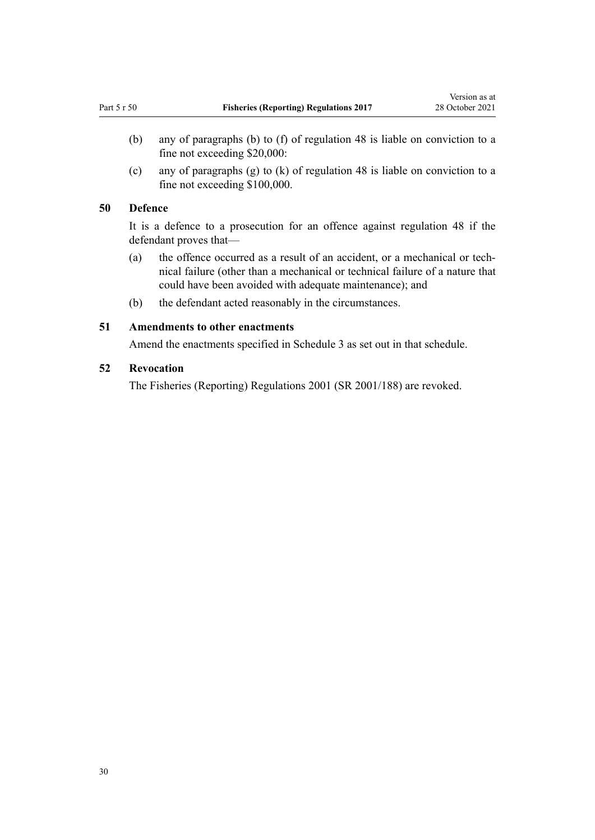- <span id="page-29-0"></span>(b) any of paragraphs (b) to (f) of [regulation 48](#page-27-0) is liable on conviction to a fine not exceeding \$20,000:
- (c) any of paragraphs (g) to (k) of [regulation 48](#page-27-0) is liable on conviction to a fine not exceeding \$100,000.

### **50 Defence**

It is a defence to a prosecution for an offence against [regulation 48](#page-27-0) if the defendant proves that—

- (a) the offence occurred as a result of an accident, or a mechanical or tech‐ nical failure (other than a mechanical or technical failure of a nature that could have been avoided with adequate maintenance); and
- (b) the defendant acted reasonably in the circumstances.

## **51 Amendments to other enactments**

Amend the enactments specified in [Schedule 3](#page-68-0) as set out in that schedule.

### **52 Revocation**

The [Fisheries \(Reporting\) Regulations 2001](http://legislation.govt.nz/pdflink.aspx?id=DLM60577) (SR 2001/188) are revoked.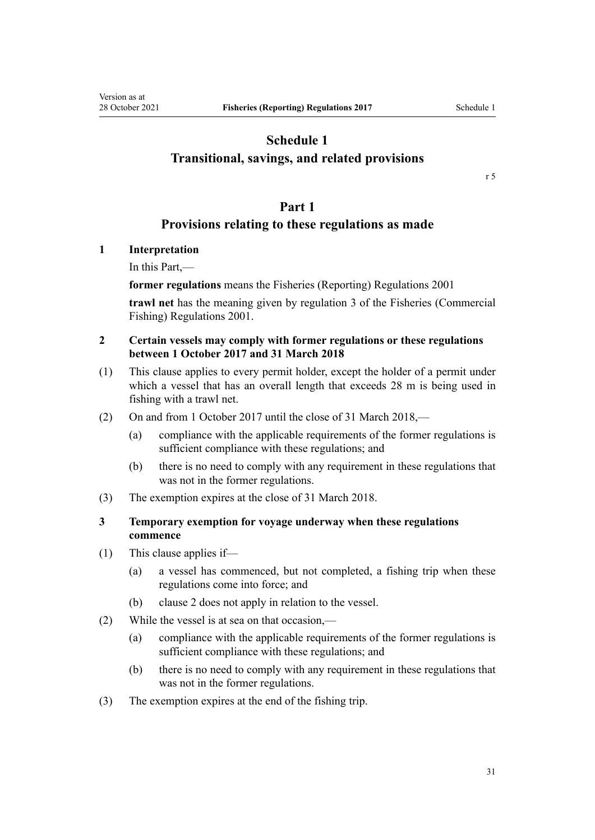# <span id="page-30-0"></span>**Schedule 1 Transitional, savings, and related provisions**

[r 5](#page-6-0)

# **Part 1**

# **Provisions relating to these regulations as made**

**1 Interpretation**

In this Part,—

**former regulations** means the [Fisheries \(Reporting\) Regulations 2001](http://legislation.govt.nz/pdflink.aspx?id=DLM60577)

**trawl net** has the meaning given by [regulation 3](http://legislation.govt.nz/pdflink.aspx?id=DLM76412) of the Fisheries (Commercial Fishing) Regulations 2001.

# **2 Certain vessels may comply with former regulations or these regulations between 1 October 2017 and 31 March 2018**

- (1) This clause applies to every permit holder, except the holder of a permit under which a vessel that has an overall length that exceeds 28 m is being used in fishing with a trawl net.
- (2) On and from 1 October 2017 until the close of 31 March 2018,—
	- (a) compliance with the applicable requirements of the former regulations is sufficient compliance with these regulations; and
	- (b) there is no need to comply with any requirement in these regulations that was not in the former regulations.
- (3) The exemption expires at the close of 31 March 2018.

# **3 Temporary exemption for voyage underway when these regulations commence**

- (1) This clause applies if—
	- (a) a vessel has commenced, but not completed, a fishing trip when these regulations come into force; and
	- (b) clause 2 does not apply in relation to the vessel.
- (2) While the vessel is at sea on that occasion,—
	- (a) compliance with the applicable requirements of the former regulations is sufficient compliance with these regulations; and
	- (b) there is no need to comply with any requirement in these regulations that was not in the former regulations.
- (3) The exemption expires at the end of the fishing trip.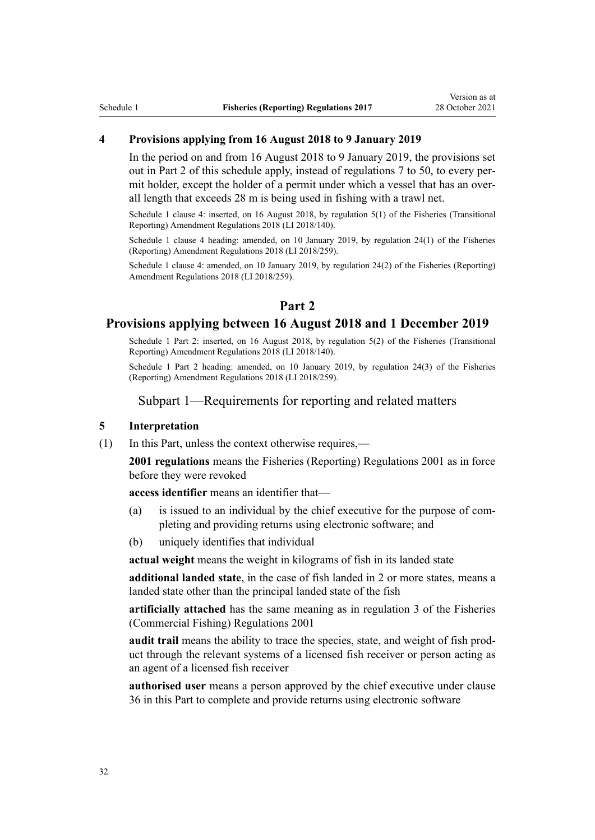### **4 Provisions applying from 16 August 2018 to 9 January 2019**

In the period on and from 16 August 2018 to 9 January 2019, the provisions set out in Part 2 of this schedule apply, instead of [regulations 7 to 50,](#page-7-0) to every per‐ mit holder, except the holder of a permit under which a vessel that has an overall length that exceeds 28 m is being used in fishing with a trawl net.

Schedule 1 clause 4: inserted, on 16 August 2018, by [regulation 5\(1\)](http://legislation.govt.nz/pdflink.aspx?id=LMS72664) of the Fisheries (Transitional Reporting) Amendment Regulations 2018 (LI 2018/140).

Schedule 1 clause 4 heading: amended, on 10 January 2019, by [regulation 24\(1\)](http://legislation.govt.nz/pdflink.aspx?id=LMS140470) of the Fisheries (Reporting) Amendment Regulations 2018 (LI 2018/259).

Schedule 1 clause 4: amended, on 10 January 2019, by [regulation 24\(2\)](http://legislation.govt.nz/pdflink.aspx?id=LMS140470) of the Fisheries (Reporting) Amendment Regulations 2018 (LI 2018/259).

# **Part 2**

### **Provisions applying between 16 August 2018 and 1 December 2019**

Schedule 1 Part 2: inserted, on 16 August 2018, by [regulation 5\(2\)](http://legislation.govt.nz/pdflink.aspx?id=LMS72664) of the Fisheries (Transitional Reporting) Amendment Regulations 2018 (LI 2018/140).

Schedule 1 Part 2 heading: amended, on 10 January 2019, by [regulation 24\(3\)](http://legislation.govt.nz/pdflink.aspx?id=LMS140470) of the Fisheries (Reporting) Amendment Regulations 2018 (LI 2018/259).

### Subpart 1—Requirements for reporting and related matters

#### **5 Interpretation**

(1) In this Part, unless the context otherwise requires,—

**2001 regulations** means the [Fisheries \(Reporting\) Regulations 2001](http://legislation.govt.nz/pdflink.aspx?id=DLM60577) as in force before they were revoked

**access identifier** means an identifier that—

- (a) is issued to an individual by the chief executive for the purpose of completing and providing returns using electronic software; and
- (b) uniquely identifies that individual

**actual weight** means the weight in kilograms of fish in its landed state

**additional landed state**, in the case of fish landed in 2 or more states, means a landed state other than the principal landed state of the fish

**artificially attached** has the same meaning as in [regulation 3](http://legislation.govt.nz/pdflink.aspx?id=DLM76412) of the Fisheries (Commercial Fishing) Regulations 2001

**audit trail** means the ability to trace the species, state, and weight of fish prod‐ uct through the relevant systems of a licensed fish receiver or person acting as an agent of a licensed fish receiver

**authorised user** means a person approved by the chief executive under [clause](#page-58-0) [36](#page-58-0) in this Part to complete and provide returns using electronic software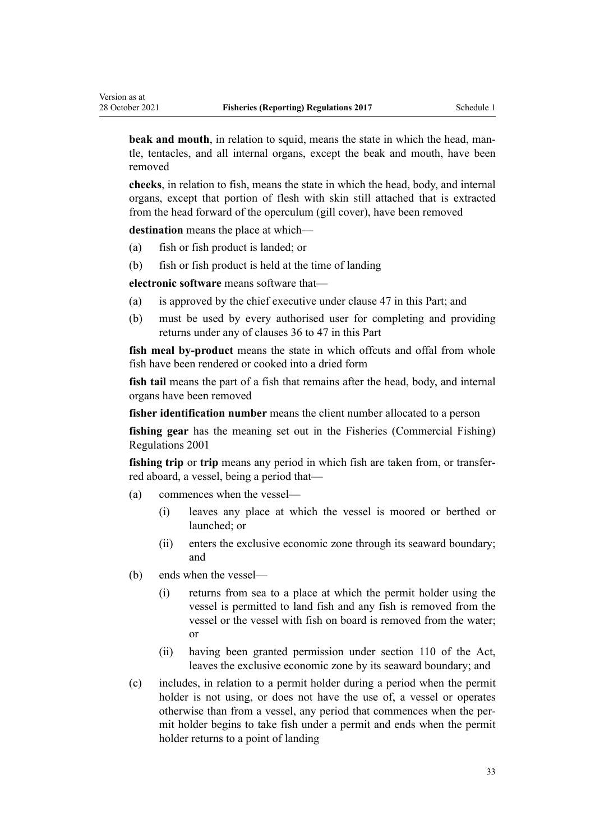**beak and mouth**, in relation to squid, means the state in which the head, mantle, tentacles, and all internal organs, except the beak and mouth, have been removed

**cheeks**, in relation to fish, means the state in which the head, body, and internal organs, except that portion of flesh with skin still attached that is extracted from the head forward of the operculum (gill cover), have been removed

**destination** means the place at which—

- (a) fish or fish product is landed; or
- (b) fish or fish product is held at the time of landing

**electronic software** means software that—

- (a) is approved by the chief executive under [clause 47](#page-62-0) in this Part; and
- (b) must be used by every authorised user for completing and providing returns under any of [clauses 36 to 47](#page-58-0) in this Part

**fish meal by-product** means the state in which offcuts and offal from whole fish have been rendered or cooked into a dried form

**fish tail** means the part of a fish that remains after the head, body, and internal organs have been removed

**fisher identification number** means the client number allocated to a person

**fishing gear** has the meaning set out in the [Fisheries \(Commercial Fishing\)](http://legislation.govt.nz/pdflink.aspx?id=DLM76406) [Regulations 2001](http://legislation.govt.nz/pdflink.aspx?id=DLM76406)

**fishing trip** or **trip** means any period in which fish are taken from, or transferred aboard, a vessel, being a period that—

- (a) commences when the vessel—
	- (i) leaves any place at which the vessel is moored or berthed or launched; or
	- (ii) enters the exclusive economic zone through its seaward boundary; and
- (b) ends when the vessel—
	- (i) returns from sea to a place at which the permit holder using the vessel is permitted to land fish and any fish is removed from the vessel or the vessel with fish on board is removed from the water; or
	- (ii) having been granted permission under [section 110](http://legislation.govt.nz/pdflink.aspx?id=DLM396997) of the Act, leaves the exclusive economic zone by its seaward boundary; and
- (c) includes, in relation to a permit holder during a period when the permit holder is not using, or does not have the use of, a vessel or operates otherwise than from a vessel, any period that commences when the per‐ mit holder begins to take fish under a permit and ends when the permit holder returns to a point of landing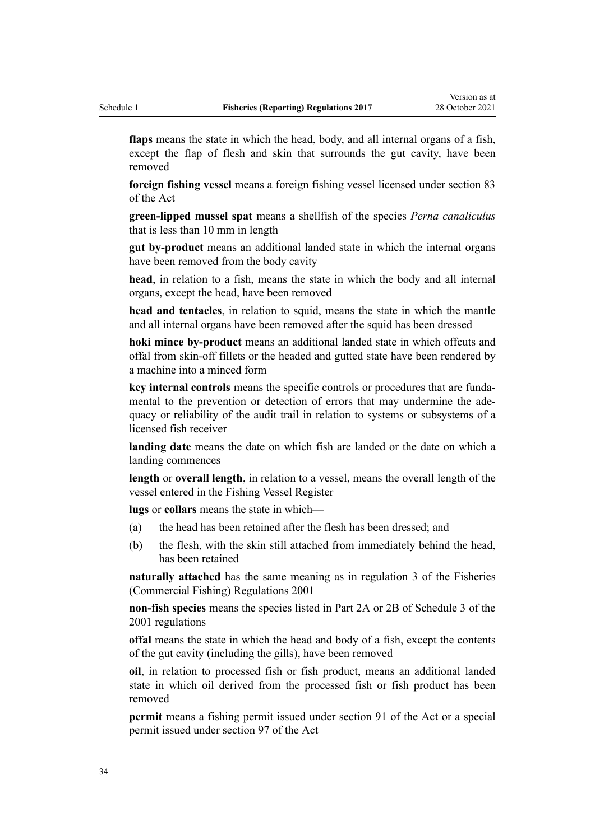**flaps** means the state in which the head, body, and all internal organs of a fish, except the flap of flesh and skin that surrounds the gut cavity, have been removed

**foreign fishing vessel** means a foreign fishing vessel licensed under [section 83](http://legislation.govt.nz/pdflink.aspx?id=DLM396597) of the Act

**green-lipped mussel spat** means a shellfish of the species *Perna canaliculus* that is less than 10 mm in length

**gut by-product** means an additional landed state in which the internal organs have been removed from the body cavity

**head**, in relation to a fish, means the state in which the body and all internal organs, except the head, have been removed

**head and tentacles**, in relation to squid, means the state in which the mantle and all internal organs have been removed after the squid has been dressed

**hoki mince by-product** means an additional landed state in which offcuts and offal from skin-off fillets or the headed and gutted state have been rendered by a machine into a minced form

key internal controls means the specific controls or procedures that are fundamental to the prevention or detection of errors that may undermine the adequacy or reliability of the audit trail in relation to systems or subsystems of a licensed fish receiver

**landing date** means the date on which fish are landed or the date on which a landing commences

**length** or **overall length**, in relation to a vessel, means the overall length of the vessel entered in the Fishing Vessel Register

**lugs** or **collars** means the state in which—

- (a) the head has been retained after the flesh has been dressed; and
- (b) the flesh, with the skin still attached from immediately behind the head, has been retained

**naturally attached** has the same meaning as in [regulation 3](http://legislation.govt.nz/pdflink.aspx?id=DLM76412) of the Fisheries (Commercial Fishing) Regulations 2001

**non-fish species** means the species listed in Part 2A or 2B of [Schedule 3](http://legislation.govt.nz/pdflink.aspx?id=DLM62960) of the 2001 regulations

**offal** means the state in which the head and body of a fish, except the contents of the gut cavity (including the gills), have been removed

**oil**, in relation to processed fish or fish product, means an additional landed state in which oil derived from the processed fish or fish product has been removed

**permit** means a fishing permit issued under [section 91](http://legislation.govt.nz/pdflink.aspx?id=DLM396924) of the Act or a special permit issued under [section 97](http://legislation.govt.nz/pdflink.aspx?id=DLM396952) of the Act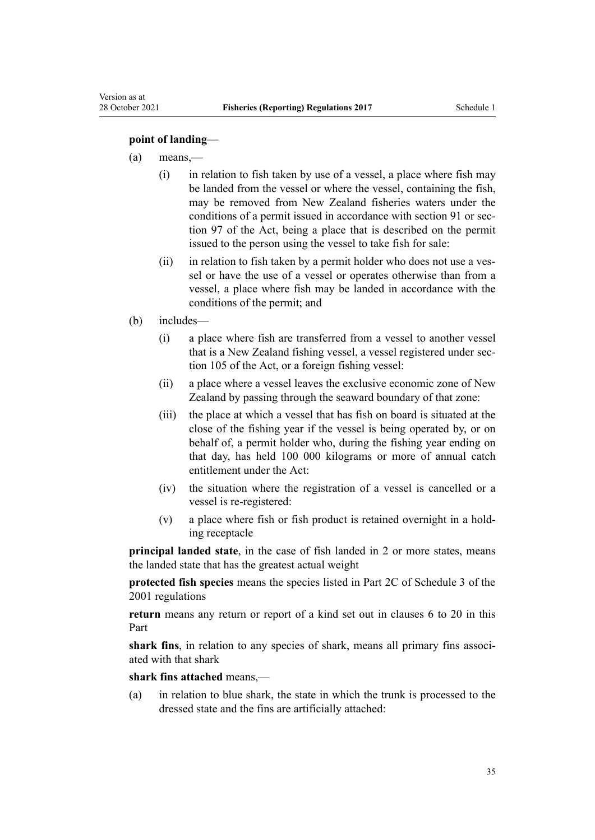### **point of landing**—

Version as at

- (a) means,—
	- (i) in relation to fish taken by use of a vessel, a place where fish may be landed from the vessel or where the vessel, containing the fish, may be removed from New Zealand fisheries waters under the conditions of a permit issued in accordance with [section 91](http://legislation.govt.nz/pdflink.aspx?id=DLM396924) or sec[tion 97](http://legislation.govt.nz/pdflink.aspx?id=DLM396952) of the Act, being a place that is described on the permit issued to the person using the vessel to take fish for sale:
	- (ii) in relation to fish taken by a permit holder who does not use a vessel or have the use of a vessel or operates otherwise than from a vessel, a place where fish may be landed in accordance with the conditions of the permit; and
- (b) includes—
	- (i) a place where fish are transferred from a vessel to another vessel that is a New Zealand fishing vessel, a vessel registered under [sec‐](http://legislation.govt.nz/pdflink.aspx?id=DLM396982) [tion 105](http://legislation.govt.nz/pdflink.aspx?id=DLM396982) of the Act, or a foreign fishing vessel:
	- (ii) a place where a vessel leaves the exclusive economic zone of New Zealand by passing through the seaward boundary of that zone:
	- (iii) the place at which a vessel that has fish on board is situated at the close of the fishing year if the vessel is being operated by, or on behalf of, a permit holder who, during the fishing year ending on that day, has held 100 000 kilograms or more of annual catch entitlement under the Act:
	- (iv) the situation where the registration of a vessel is cancelled or a vessel is re-registered:
	- (v) a place where fish or fish product is retained overnight in a hold‐ ing receptacle

**principal landed state**, in the case of fish landed in 2 or more states, means the landed state that has the greatest actual weight

**protected fish species** means the species listed in Part 2C of [Schedule 3](http://legislation.govt.nz/pdflink.aspx?id=DLM62960) of the 2001 regulations

**return** means any return or report of a kind set out in [clauses 6 to 20](#page-36-0) in this Part

shark fins, in relation to any species of shark, means all primary fins associated with that shark

**shark fins attached** means,—

(a) in relation to blue shark, the state in which the trunk is processed to the dressed state and the fins are artificially attached: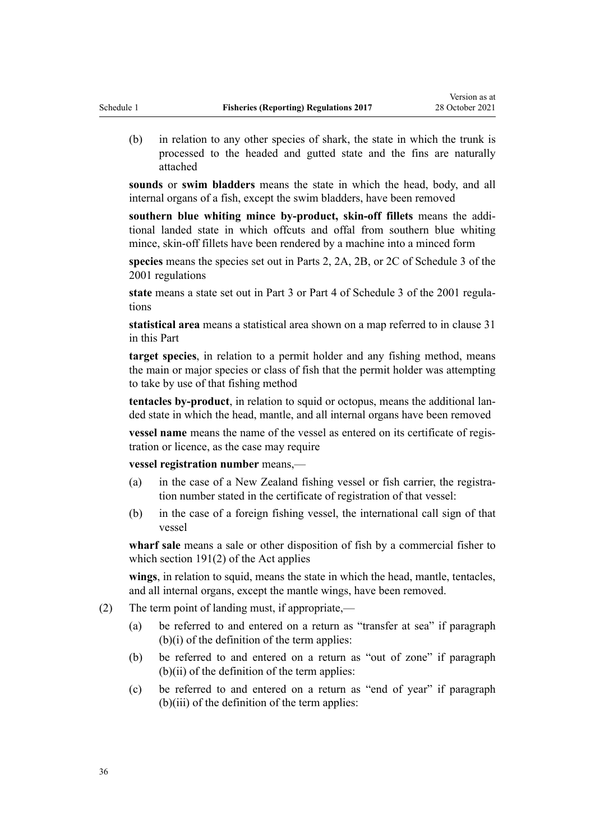(b) in relation to any other species of shark, the state in which the trunk is processed to the headed and gutted state and the fins are naturally attached

**sounds** or **swim bladders** means the state in which the head, body, and all internal organs of a fish, except the swim bladders, have been removed

**southern blue whiting mince by-product, skin-off fillets** means the addi‐ tional landed state in which offcuts and offal from southern blue whiting mince, skin-off fillets have been rendered by a machine into a minced form

**species** means the species set out in Parts 2, 2A, 2B, or 2C of [Schedule 3](http://legislation.govt.nz/pdflink.aspx?id=DLM62960) of the 2001 regulations

**state** means a state set out in Part 3 or Part 4 of [Schedule 3](http://legislation.govt.nz/pdflink.aspx?id=DLM62960) of the 2001 regula‐ tions

**statistical area** means a statistical area shown on a map referred to in [clause 31](#page-55-0) in this Part

**target species**, in relation to a permit holder and any fishing method, means the main or major species or class of fish that the permit holder was attempting to take by use of that fishing method

**tentacles by-product**, in relation to squid or octopus, means the additional lan‐ ded state in which the head, mantle, and all internal organs have been removed

**vessel name** means the name of the vessel as entered on its certificate of registration or licence, as the case may require

**vessel registration number** means,—

- (a) in the case of a New Zealand fishing vessel or fish carrier, the registration number stated in the certificate of registration of that vessel:
- (b) in the case of a foreign fishing vessel, the international call sign of that vessel

**wharf sale** means a sale or other disposition of fish by a commercial fisher to which [section 191\(2\)](http://legislation.govt.nz/pdflink.aspx?id=DLM398383) of the Act applies

**wings**, in relation to squid, means the state in which the head, mantle, tentacles, and all internal organs, except the mantle wings, have been removed.

- (2) The term point of landing must, if appropriate,—
	- (a) be referred to and entered on a return as "transfer at sea" if paragraph (b)(i) of the definition of the term applies:
	- (b) be referred to and entered on a return as "out of zone" if paragraph  $(b)(ii)$  of the definition of the term applies:
	- (c) be referred to and entered on a return as "end of year" if paragraph (b)(iii) of the definition of the term applies: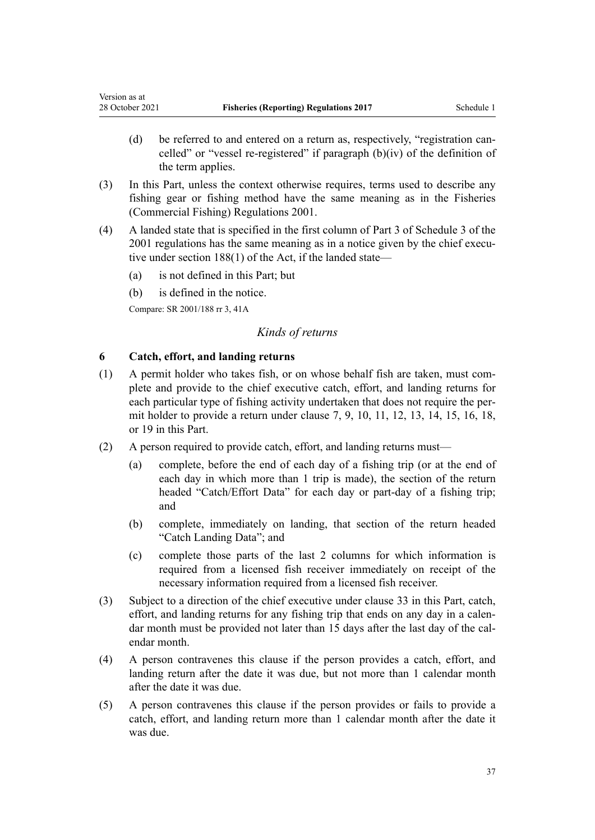- (d) be referred to and entered on a return as, respectively, "registration cancelled" or "vessel re-registered" if paragraph (b)(iv) of the definition of the term applies.
- (3) In this Part, unless the context otherwise requires, terms used to describe any fishing gear or fishing method have the same meaning as in the [Fisheries](http://legislation.govt.nz/pdflink.aspx?id=DLM76406) [\(Commercial Fishing\) Regulations 2001.](http://legislation.govt.nz/pdflink.aspx?id=DLM76406)
- (4) A landed state that is specified in the first column of Part 3 of [Schedule 3](#page-68-0) of the 2001 regulations has the same meaning as in a notice given by the chief executive under [section 188\(1\)](http://legislation.govt.nz/pdflink.aspx?id=DLM398372) of the Act, if the landed state—
	- (a) is not defined in this Part; but
	- (b) is defined in the notice.

Compare: SR 2001/188 [rr 3](http://legislation.govt.nz/pdflink.aspx?id=DLM60583), [41A](http://legislation.govt.nz/pdflink.aspx?id=DLM2407406)

<span id="page-36-0"></span>Version as at

## *Kinds of returns*

# **6 Catch, effort, and landing returns**

- $(1)$  A permit holder who takes fish, or on whose behalf fish are taken, must complete and provide to the chief executive catch, effort, and landing returns for each particular type of fishing activity undertaken that does not require the permit holder to provide a return under [clause 7,](#page-37-0) [9,](#page-40-0) [10,](#page-40-0) [11](#page-41-0), [12](#page-42-0), [13,](#page-43-0) [14,](#page-43-0) [15,](#page-44-0) [16](#page-45-0), [18](#page-47-0), or [19](#page-48-0) in this Part.
- (2) A person required to provide catch, effort, and landing returns must—
	- (a) complete, before the end of each day of a fishing trip (or at the end of each day in which more than 1 trip is made), the section of the return headed "Catch/Effort Data" for each day or part-day of a fishing trip; and
	- (b) complete, immediately on landing, that section of the return headed "Catch Landing Data"; and
	- (c) complete those parts of the last 2 columns for which information is required from a licensed fish receiver immediately on receipt of the necessary information required from a licensed fish receiver.
- (3) Subject to a direction of the chief executive under [clause 33](#page-57-0) in this Part, catch, effort, and landing returns for any fishing trip that ends on any day in a calendar month must be provided not later than 15 days after the last day of the calendar month.
- (4) A person contravenes this clause if the person provides a catch, effort, and landing return after the date it was due, but not more than 1 calendar month after the date it was due.
- (5) A person contravenes this clause if the person provides or fails to provide a catch, effort, and landing return more than 1 calendar month after the date it was due.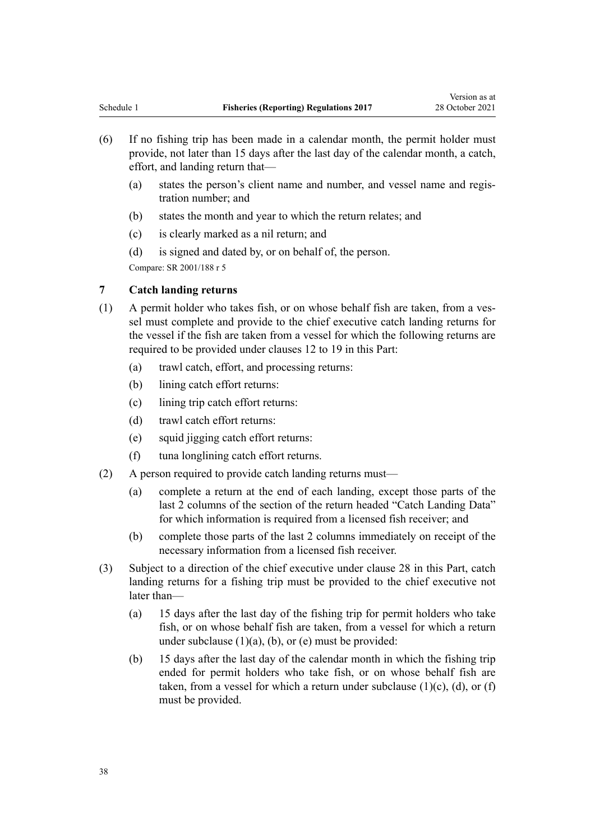- <span id="page-37-0"></span>(6) If no fishing trip has been made in a calendar month, the permit holder must provide, not later than 15 days after the last day of the calendar month, a catch, effort, and landing return that—
	- (a) states the person's client name and number, and vessel name and regis‐ tration number; and
	- (b) states the month and year to which the return relates; and
	- (c) is clearly marked as a nil return; and
	- (d) is signed and dated by, or on behalf of, the person.

# **7 Catch landing returns**

- (1) A permit holder who takes fish, or on whose behalf fish are taken, from a ves‐ sel must complete and provide to the chief executive catch landing returns for the vessel if the fish are taken from a vessel for which the following returns are required to be provided under [clauses 12 to 19](#page-42-0) in this Part:
	- (a) trawl catch, effort, and processing returns:
	- (b) lining catch effort returns:
	- (c) lining trip catch effort returns:
	- (d) trawl catch effort returns:
	- (e) squid jigging catch effort returns:
	- (f) tuna longlining catch effort returns.
- (2) A person required to provide catch landing returns must—
	- (a) complete a return at the end of each landing, except those parts of the last 2 columns of the section of the return headed "Catch Landing Data" for which information is required from a licensed fish receiver; and
	- (b) complete those parts of the last 2 columns immediately on receipt of the necessary information from a licensed fish receiver.
- (3) Subject to a direction of the chief executive under [clause 28](#page-52-0) in this Part, catch landing returns for a fishing trip must be provided to the chief executive not later than—
	- (a) 15 days after the last day of the fishing trip for permit holders who take fish, or on whose behalf fish are taken, from a vessel for which a return under subclause  $(1)(a)$ ,  $(b)$ , or  $(e)$  must be provided:
	- (b) 15 days after the last day of the calendar month in which the fishing trip ended for permit holders who take fish, or on whose behalf fish are taken, from a vessel for which a return under subclause  $(1)(c)$ ,  $(d)$ , or  $(f)$ must be provided.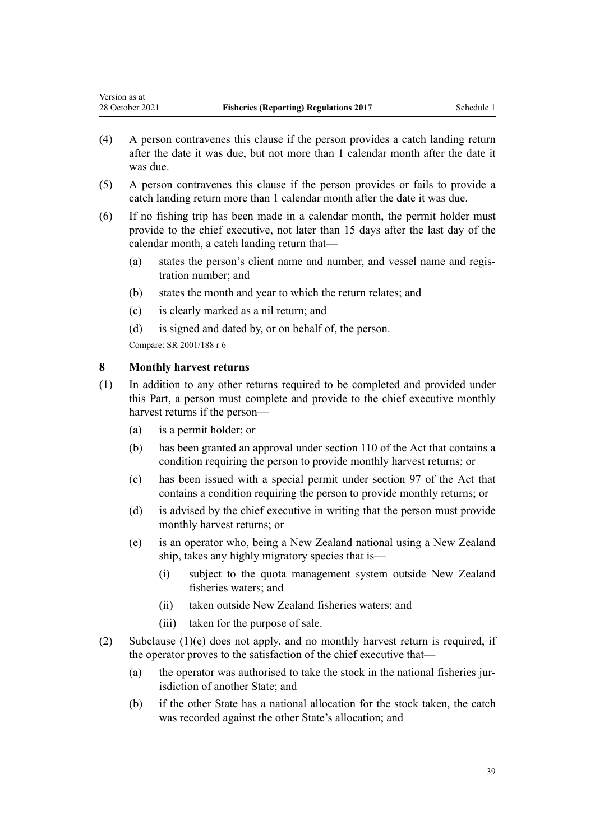- (4) A person contravenes this clause if the person provides a catch landing return after the date it was due, but not more than 1 calendar month after the date it was due.
- (5) A person contravenes this clause if the person provides or fails to provide a catch landing return more than 1 calendar month after the date it was due.
- (6) If no fishing trip has been made in a calendar month, the permit holder must provide to the chief executive, not later than 15 days after the last day of the calendar month, a catch landing return that—
	- (a) states the person's client name and number, and vessel name and regis‐ tration number; and
	- (b) states the month and year to which the return relates; and
	- (c) is clearly marked as a nil return; and
	- (d) is signed and dated by, or on behalf of, the person.

<span id="page-38-0"></span>Version as at

# **8 Monthly harvest returns**

- (1) In addition to any other returns required to be completed and provided under this Part, a person must complete and provide to the chief executive monthly harvest returns if the person—
	- (a) is a permit holder; or
	- (b) has been granted an approval under [section 110](http://legislation.govt.nz/pdflink.aspx?id=DLM396997) of the Act that contains a condition requiring the person to provide monthly harvest returns; or
	- (c) has been issued with a special permit under [section 97](http://legislation.govt.nz/pdflink.aspx?id=DLM396952) of the Act that contains a condition requiring the person to provide monthly returns; or
	- (d) is advised by the chief executive in writing that the person must provide monthly harvest returns; or
	- (e) is an operator who, being a New Zealand national using a New Zealand ship, takes any highly migratory species that is—
		- (i) subject to the quota management system outside New Zealand fisheries waters; and
		- (ii) taken outside New Zealand fisheries waters; and
		- (iii) taken for the purpose of sale.
- (2) Subclause (1)(e) does not apply, and no monthly harvest return is required, if the operator proves to the satisfaction of the chief executive that—
	- (a) the operator was authorised to take the stock in the national fisheries jurisdiction of another State; and
	- (b) if the other State has a national allocation for the stock taken, the catch was recorded against the other State's allocation; and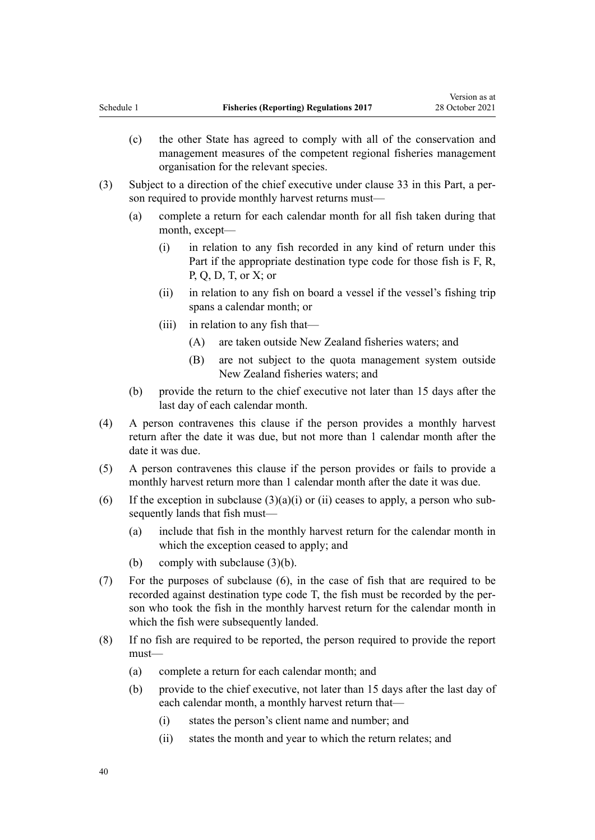- (c) the other State has agreed to comply with all of the conservation and management measures of the competent regional fisheries management organisation for the relevant species.
- (3) Subject to a direction of the chief executive under [clause 33](#page-57-0) in this Part, a per‐ son required to provide monthly harvest returns must—
	- (a) complete a return for each calendar month for all fish taken during that month, except—
		- (i) in relation to any fish recorded in any kind of return under this Part if the appropriate destination type code for those fish is F, R, P, Q, D, T, or X; or
		- (ii) in relation to any fish on board a vessel if the vessel's fishing trip spans a calendar month; or
		- (iii) in relation to any fish that—
			- (A) are taken outside New Zealand fisheries waters; and
			- (B) are not subject to the quota management system outside New Zealand fisheries waters; and
	- (b) provide the return to the chief executive not later than 15 days after the last day of each calendar month.
- (4) A person contravenes this clause if the person provides a monthly harvest return after the date it was due, but not more than 1 calendar month after the date it was due.
- (5) A person contravenes this clause if the person provides or fails to provide a monthly harvest return more than 1 calendar month after the date it was due.
- (6) If the exception in subclause  $(3)(a)(i)$  or (ii) ceases to apply, a person who subsequently lands that fish must—
	- (a) include that fish in the monthly harvest return for the calendar month in which the exception ceased to apply; and
	- (b) comply with subclause (3)(b).
- (7) For the purposes of subclause (6), in the case of fish that are required to be recorded against destination type code T, the fish must be recorded by the per‐ son who took the fish in the monthly harvest return for the calendar month in which the fish were subsequently landed.
- (8) If no fish are required to be reported, the person required to provide the report must—
	- (a) complete a return for each calendar month; and
	- (b) provide to the chief executive, not later than 15 days after the last day of each calendar month, a monthly harvest return that—
		- (i) states the person's client name and number; and
		- (ii) states the month and year to which the return relates; and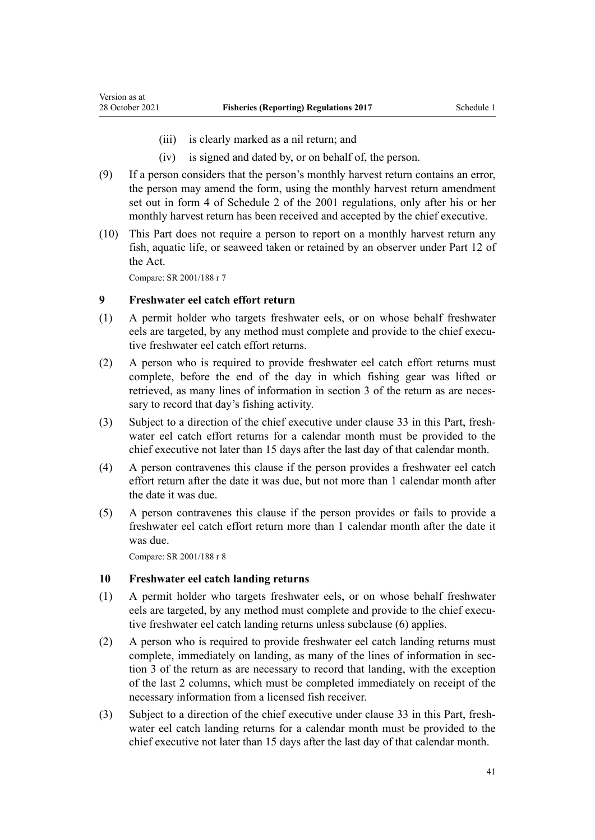- (iii) is clearly marked as a nil return; and
- (iv) is signed and dated by, or on behalf of, the person.
- <span id="page-40-0"></span>(9) If a person considers that the person's monthly harvest return contains an error, the person may amend the form, using the monthly harvest return amendment set out in [form 4](http://legislation.govt.nz/pdflink.aspx?id=DLM62934) of Schedule 2 of the 2001 regulations, only after his or her monthly harvest return has been received and accepted by the chief executive.
- (10) This Part does not require a person to report on a monthly harvest return any fish, aquatic life, or seaweed taken or retained by an observer under [Part 12](http://legislation.govt.nz/pdflink.aspx?id=DLM398666) of the Act.

#### **9 Freshwater eel catch effort return**

- (1) A permit holder who targets freshwater eels, or on whose behalf freshwater eels are targeted, by any method must complete and provide to the chief executive freshwater eel catch effort returns.
- (2) A person who is required to provide freshwater eel catch effort returns must complete, before the end of the day in which fishing gear was lifted or retrieved, as many lines of information in section 3 of the return as are necessary to record that day's fishing activity.
- (3) Subject to a direction of the chief executive under [clause 33](#page-57-0) in this Part, fresh‐ water eel catch effort returns for a calendar month must be provided to the chief executive not later than 15 days after the last day of that calendar month.
- (4) A person contravenes this clause if the person provides a freshwater eel catch effort return after the date it was due, but not more than 1 calendar month after the date it was due.
- (5) A person contravenes this clause if the person provides or fails to provide a freshwater eel catch effort return more than 1 calendar month after the date it was due.

Compare: SR 2001/188 [r 8](http://legislation.govt.nz/pdflink.aspx?id=DLM61838)

#### **10 Freshwater eel catch landing returns**

- (1) A permit holder who targets freshwater eels, or on whose behalf freshwater eels are targeted, by any method must complete and provide to the chief executive freshwater eel catch landing returns unless subclause (6) applies.
- (2) A person who is required to provide freshwater eel catch landing returns must complete, immediately on landing, as many of the lines of information in section 3 of the return as are necessary to record that landing, with the exception of the last 2 columns, which must be completed immediately on receipt of the necessary information from a licensed fish receiver.
- (3) Subject to a direction of the chief executive under [clause 33](#page-57-0) in this Part, freshwater eel catch landing returns for a calendar month must be provided to the chief executive not later than 15 days after the last day of that calendar month.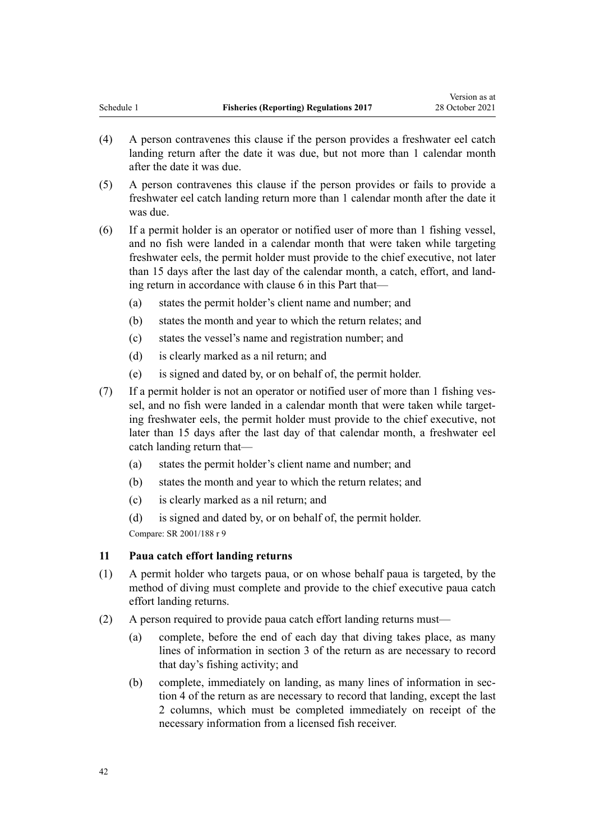Version as at

- <span id="page-41-0"></span>(4) A person contravenes this clause if the person provides a freshwater eel catch landing return after the date it was due, but not more than 1 calendar month after the date it was due.
- (5) A person contravenes this clause if the person provides or fails to provide a freshwater eel catch landing return more than 1 calendar month after the date it was due.
- (6) If a permit holder is an operator or notified user of more than 1 fishing vessel, and no fish were landed in a calendar month that were taken while targeting freshwater eels, the permit holder must provide to the chief executive, not later than 15 days after the last day of the calendar month, a catch, effort, and land‐ ing return in accordance with [clause 6](#page-36-0) in this Part that—
	- (a) states the permit holder's client name and number; and
	- (b) states the month and year to which the return relates; and
	- (c) states the vessel's name and registration number; and
	- (d) is clearly marked as a nil return; and
	- (e) is signed and dated by, or on behalf of, the permit holder.
- (7) If a permit holder is not an operator or notified user of more than 1 fishing ves‐ sel, and no fish were landed in a calendar month that were taken while targeting freshwater eels, the permit holder must provide to the chief executive, not later than 15 days after the last day of that calendar month, a freshwater eel catch landing return that—
	- (a) states the permit holder's client name and number; and
	- (b) states the month and year to which the return relates; and
	- (c) is clearly marked as a nil return; and
	- (d) is signed and dated by, or on behalf of, the permit holder. Compare: SR 2001/188 [r 9](http://legislation.govt.nz/pdflink.aspx?id=DLM61840)

#### **11 Paua catch effort landing returns**

- (1) A permit holder who targets paua, or on whose behalf paua is targeted, by the method of diving must complete and provide to the chief executive paua catch effort landing returns.
- (2) A person required to provide paua catch effort landing returns must—
	- (a) complete, before the end of each day that diving takes place, as many lines of information in section 3 of the return as are necessary to record that day's fishing activity; and
	- (b) complete, immediately on landing, as many lines of information in section 4 of the return as are necessary to record that landing, except the last 2 columns, which must be completed immediately on receipt of the necessary information from a licensed fish receiver.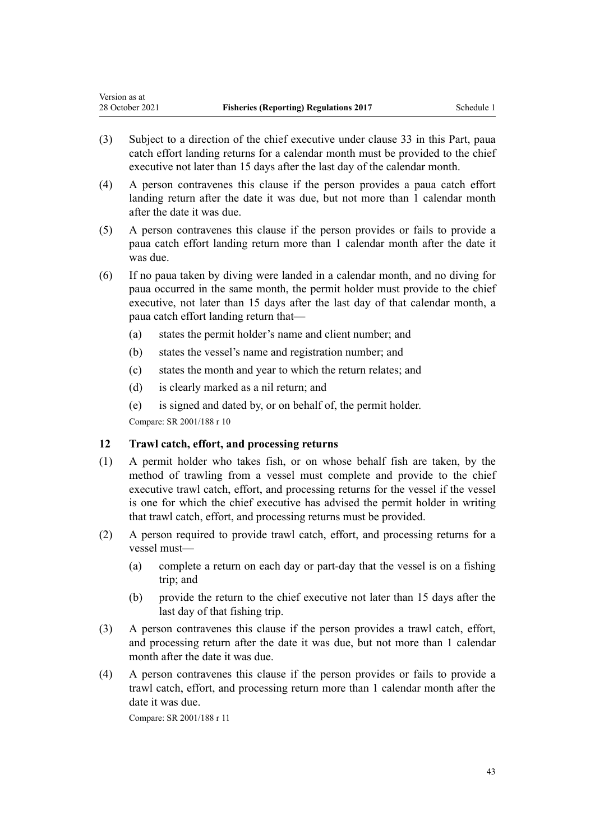<span id="page-42-0"></span>Version as at

- (3) Subject to a direction of the chief executive under [clause 33](#page-57-0) in this Part, paua catch effort landing returns for a calendar month must be provided to the chief executive not later than 15 days after the last day of the calendar month.
- (4) A person contravenes this clause if the person provides a paua catch effort landing return after the date it was due, but not more than 1 calendar month after the date it was due.
- (5) A person contravenes this clause if the person provides or fails to provide a paua catch effort landing return more than 1 calendar month after the date it was due.
- (6) If no paua taken by diving were landed in a calendar month, and no diving for paua occurred in the same month, the permit holder must provide to the chief executive, not later than 15 days after the last day of that calendar month, a paua catch effort landing return that—
	- (a) states the permit holder's name and client number; and
	- (b) states the vessel's name and registration number; and
	- (c) states the month and year to which the return relates; and
	- (d) is clearly marked as a nil return; and
	- (e) is signed and dated by, or on behalf of, the permit holder.

Compare: SR 2001/188 [r 10](http://legislation.govt.nz/pdflink.aspx?id=DLM61842)

#### **12 Trawl catch, effort, and processing returns**

- (1) A permit holder who takes fish, or on whose behalf fish are taken, by the method of trawling from a vessel must complete and provide to the chief executive trawl catch, effort, and processing returns for the vessel if the vessel is one for which the chief executive has advised the permit holder in writing that trawl catch, effort, and processing returns must be provided.
- (2) A person required to provide trawl catch, effort, and processing returns for a vessel must—
	- (a) complete a return on each day or part-day that the vessel is on a fishing trip; and
	- (b) provide the return to the chief executive not later than 15 days after the last day of that fishing trip.
- (3) A person contravenes this clause if the person provides a trawl catch, effort, and processing return after the date it was due, but not more than 1 calendar month after the date it was due.
- (4) A person contravenes this clause if the person provides or fails to provide a trawl catch, effort, and processing return more than 1 calendar month after the date it was due.

Compare: SR 2001/188 [r 11](http://legislation.govt.nz/pdflink.aspx?id=DLM61844)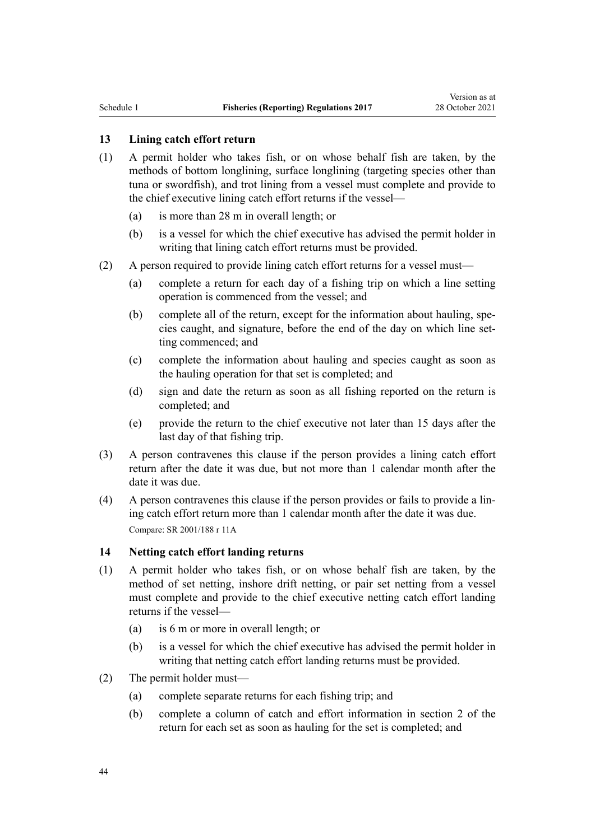# <span id="page-43-0"></span>**13 Lining catch effort return**

- (1) A permit holder who takes fish, or on whose behalf fish are taken, by the methods of bottom longlining, surface longlining (targeting species other than tuna or swordfish), and trot lining from a vessel must complete and provide to the chief executive lining catch effort returns if the vessel—
	- (a) is more than 28 m in overall length; or
	- (b) is a vessel for which the chief executive has advised the permit holder in writing that lining catch effort returns must be provided.
- (2) A person required to provide lining catch effort returns for a vessel must—
	- (a) complete a return for each day of a fishing trip on which a line setting operation is commenced from the vessel; and
	- (b) complete all of the return, except for the information about hauling, spe‐ cies caught, and signature, before the end of the day on which line setting commenced; and
	- (c) complete the information about hauling and species caught as soon as the hauling operation for that set is completed; and
	- (d) sign and date the return as soon as all fishing reported on the return is completed; and
	- (e) provide the return to the chief executive not later than 15 days after the last day of that fishing trip.
- (3) A person contravenes this clause if the person provides a lining catch effort return after the date it was due, but not more than 1 calendar month after the date it was due.
- (4) A person contravenes this clause if the person provides or fails to provide a lin‐ ing catch effort return more than 1 calendar month after the date it was due. Compare: SR 2001/188 [r 11A](http://legislation.govt.nz/pdflink.aspx?id=DLM61847)

#### **14 Netting catch effort landing returns**

- (1) A permit holder who takes fish, or on whose behalf fish are taken, by the method of set netting, inshore drift netting, or pair set netting from a vessel must complete and provide to the chief executive netting catch effort landing returns if the vessel—
	- (a) is 6 m or more in overall length; or
	- (b) is a vessel for which the chief executive has advised the permit holder in writing that netting catch effort landing returns must be provided.
- (2) The permit holder must—
	- (a) complete separate returns for each fishing trip; and
	- (b) complete a column of catch and effort information in section 2 of the return for each set as soon as hauling for the set is completed; and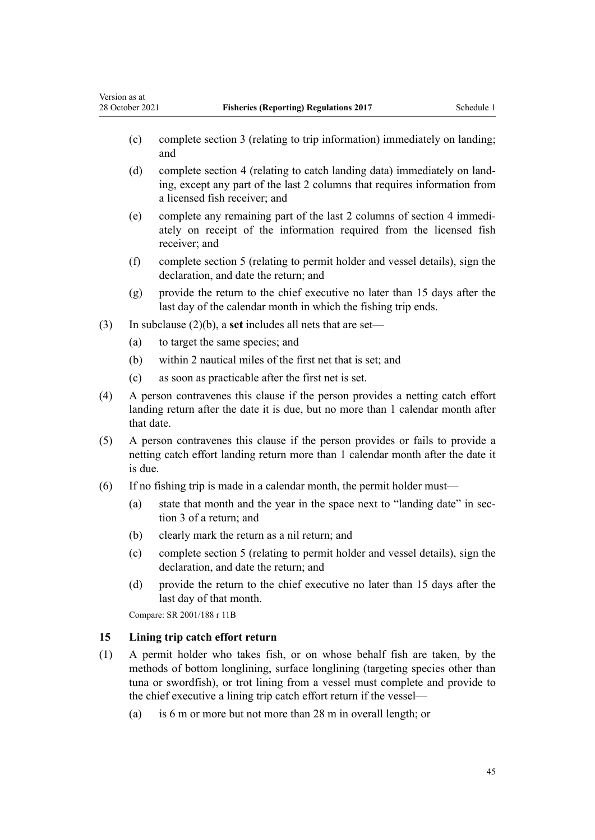- (c) complete section 3 (relating to trip information) immediately on landing; and
- (d) complete section 4 (relating to catch landing data) immediately on land‐ ing, except any part of the last 2 columns that requires information from a licensed fish receiver; and
- (e) complete any remaining part of the last 2 columns of section 4 immedi‐ ately on receipt of the information required from the licensed fish receiver; and
- (f) complete section 5 (relating to permit holder and vessel details), sign the declaration, and date the return; and
- (g) provide the return to the chief executive no later than 15 days after the last day of the calendar month in which the fishing trip ends.
- (3) In subclause (2)(b), a **set** includes all nets that are set—
	- (a) to target the same species; and

<span id="page-44-0"></span>Version as at

- (b) within 2 nautical miles of the first net that is set; and
- (c) as soon as practicable after the first net is set.
- (4) A person contravenes this clause if the person provides a netting catch effort landing return after the date it is due, but no more than 1 calendar month after that date.
- (5) A person contravenes this clause if the person provides or fails to provide a netting catch effort landing return more than 1 calendar month after the date it is due.
- (6) If no fishing trip is made in a calendar month, the permit holder must—
	- (a) state that month and the year in the space next to "landing date" in section 3 of a return; and
	- (b) clearly mark the return as a nil return; and
	- (c) complete section 5 (relating to permit holder and vessel details), sign the declaration, and date the return; and
	- (d) provide the return to the chief executive no later than 15 days after the last day of that month.

Compare: SR 2001/188 [r 11B](http://legislation.govt.nz/pdflink.aspx?id=DLM61850)

# **15 Lining trip catch effort return**

- (1) A permit holder who takes fish, or on whose behalf fish are taken, by the methods of bottom longlining, surface longlining (targeting species other than tuna or swordfish), or trot lining from a vessel must complete and provide to the chief executive a lining trip catch effort return if the vessel—
	- (a) is 6 m or more but not more than 28 m in overall length; or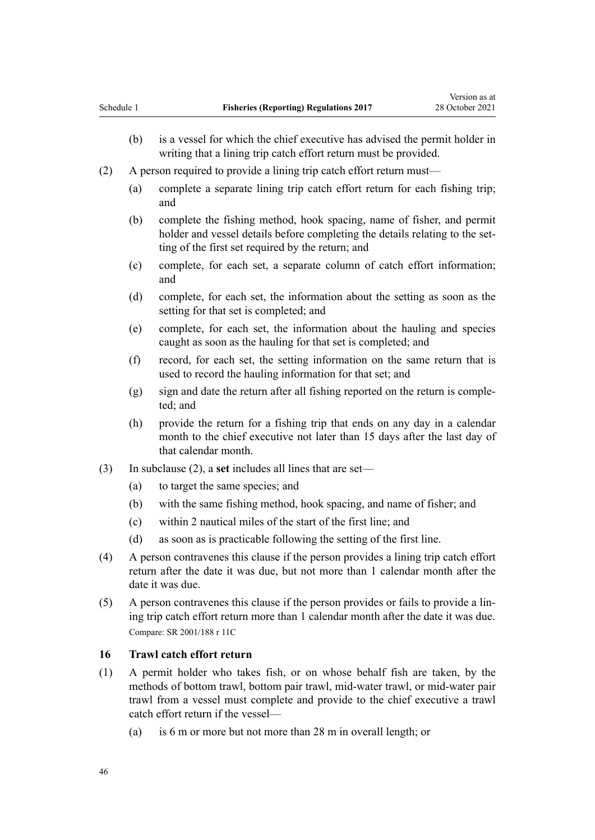- <span id="page-45-0"></span>(b) is a vessel for which the chief executive has advised the permit holder in writing that a lining trip catch effort return must be provided.
- (2) A person required to provide a lining trip catch effort return must—
	- (a) complete a separate lining trip catch effort return for each fishing trip; and
	- (b) complete the fishing method, hook spacing, name of fisher, and permit holder and vessel details before completing the details relating to the setting of the first set required by the return; and
	- (c) complete, for each set, a separate column of catch effort information; and
	- (d) complete, for each set, the information about the setting as soon as the setting for that set is completed; and
	- (e) complete, for each set, the information about the hauling and species caught as soon as the hauling for that set is completed; and
	- (f) record, for each set, the setting information on the same return that is used to record the hauling information for that set; and
	- $(g)$  sign and date the return after all fishing reported on the return is completed; and
	- (h) provide the return for a fishing trip that ends on any day in a calendar month to the chief executive not later than 15 days after the last day of that calendar month.
- (3) In subclause (2), a **set** includes all lines that are set—
	- (a) to target the same species; and
	- (b) with the same fishing method, hook spacing, and name of fisher; and
	- (c) within 2 nautical miles of the start of the first line; and
	- (d) as soon as is practicable following the setting of the first line.
- (4) A person contravenes this clause if the person provides a lining trip catch effort return after the date it was due, but not more than 1 calendar month after the date it was due.
- (5) A person contravenes this clause if the person provides or fails to provide a lin‐ ing trip catch effort return more than 1 calendar month after the date it was due. Compare: SR 2001/188 [r 11C](http://legislation.govt.nz/pdflink.aspx?id=DLM1069713)

#### **16 Trawl catch effort return**

- (1) A permit holder who takes fish, or on whose behalf fish are taken, by the methods of bottom trawl, bottom pair trawl, mid-water trawl, or mid-water pair trawl from a vessel must complete and provide to the chief executive a trawl catch effort return if the vessel—
	- (a) is 6 m or more but not more than 28 m in overall length; or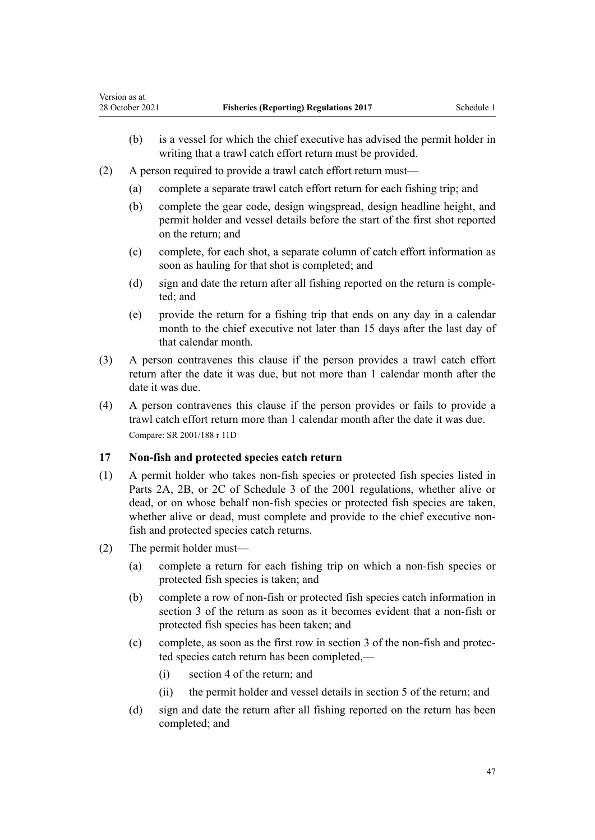- <span id="page-46-0"></span>(b) is a vessel for which the chief executive has advised the permit holder in writing that a trawl catch effort return must be provided.
- (2) A person required to provide a trawl catch effort return must—
	- (a) complete a separate trawl catch effort return for each fishing trip; and
	- (b) complete the gear code, design wingspread, design headline height, and permit holder and vessel details before the start of the first shot reported on the return; and
	- (c) complete, for each shot, a separate column of catch effort information as soon as hauling for that shot is completed; and
	- (d) sign and date the return after all fishing reported on the return is comple‐ ted; and
	- (e) provide the return for a fishing trip that ends on any day in a calendar month to the chief executive not later than 15 days after the last day of that calendar month.
- (3) A person contravenes this clause if the person provides a trawl catch effort return after the date it was due, but not more than 1 calendar month after the date it was due.
- (4) A person contravenes this clause if the person provides or fails to provide a trawl catch effort return more than 1 calendar month after the date it was due. Compare: SR 2001/188 [r 11D](http://legislation.govt.nz/pdflink.aspx?id=DLM1069715)

## **17 Non-fish and protected species catch return**

- (1) A permit holder who takes non-fish species or protected fish species listed in Parts 2A, 2B, or 2C of [Schedule 3](http://legislation.govt.nz/pdflink.aspx?id=DLM62960) of the 2001 regulations, whether alive or dead, or on whose behalf non-fish species or protected fish species are taken, whether alive or dead, must complete and provide to the chief executive nonfish and protected species catch returns.
- (2) The permit holder must—
	- (a) complete a return for each fishing trip on which a non-fish species or protected fish species is taken; and
	- (b) complete a row of non-fish or protected fish species catch information in section 3 of the return as soon as it becomes evident that a non-fish or protected fish species has been taken; and
	- (c) complete, as soon as the first row in section 3 of the non-fish and protec‐ ted species catch return has been completed,—
		- (i) section 4 of the return; and
		- (ii) the permit holder and vessel details in section 5 of the return; and
	- (d) sign and date the return after all fishing reported on the return has been completed; and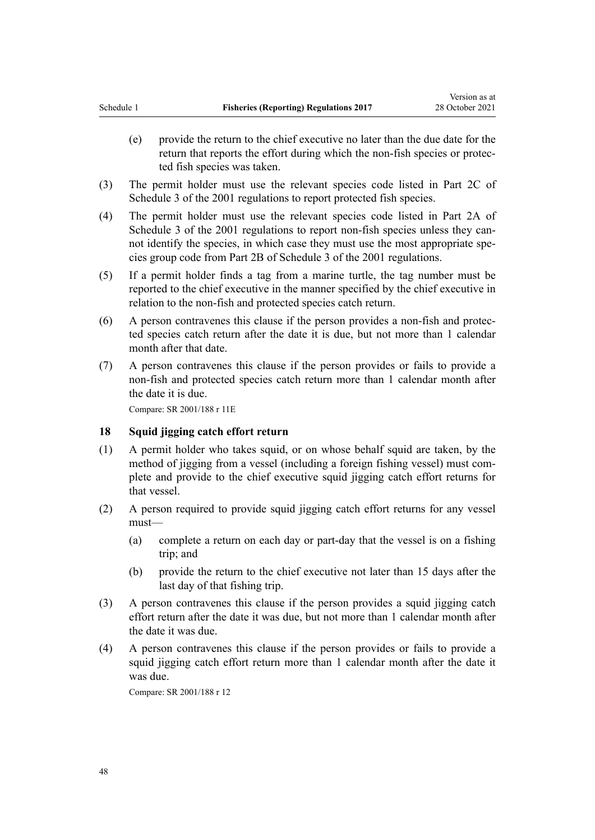- <span id="page-47-0"></span>(e) provide the return to the chief executive no later than the due date for the return that reports the effort during which the non-fish species or protec‐ ted fish species was taken.
- (3) The permit holder must use the relevant species code listed in Part 2C of [Schedule 3](http://legislation.govt.nz/pdflink.aspx?id=DLM62960) of the 2001 regulations to report protected fish species.
- (4) The permit holder must use the relevant species code listed in Part 2A of [Schedule 3](http://legislation.govt.nz/pdflink.aspx?id=DLM62960) of the 2001 regulations to report non-fish species unless they cannot identify the species, in which case they must use the most appropriate species group code from Part 2B of [Schedule 3](http://legislation.govt.nz/pdflink.aspx?id=DLM62960) of the 2001 regulations.
- (5) If a permit holder finds a tag from a marine turtle, the tag number must be reported to the chief executive in the manner specified by the chief executive in relation to the non-fish and protected species catch return.
- (6) A person contravenes this clause if the person provides a non-fish and protec‐ ted species catch return after the date it is due, but not more than 1 calendar month after that date.
- (7) A person contravenes this clause if the person provides or fails to provide a non-fish and protected species catch return more than 1 calendar month after the date it is due.

#### **18 Squid jigging catch effort return**

- (1) A permit holder who takes squid, or on whose behalf squid are taken, by the method of jigging from a vessel (including a foreign fishing vessel) must com‐ plete and provide to the chief executive squid jigging catch effort returns for that vessel.
- (2) A person required to provide squid jigging catch effort returns for any vessel must—
	- (a) complete a return on each day or part-day that the vessel is on a fishing trip; and
	- (b) provide the return to the chief executive not later than 15 days after the last day of that fishing trip.
- (3) A person contravenes this clause if the person provides a squid jigging catch effort return after the date it was due, but not more than 1 calendar month after the date it was due.
- (4) A person contravenes this clause if the person provides or fails to provide a squid jigging catch effort return more than 1 calendar month after the date it was due.

Compare: SR 2001/188 [r 12](http://legislation.govt.nz/pdflink.aspx?id=DLM61853)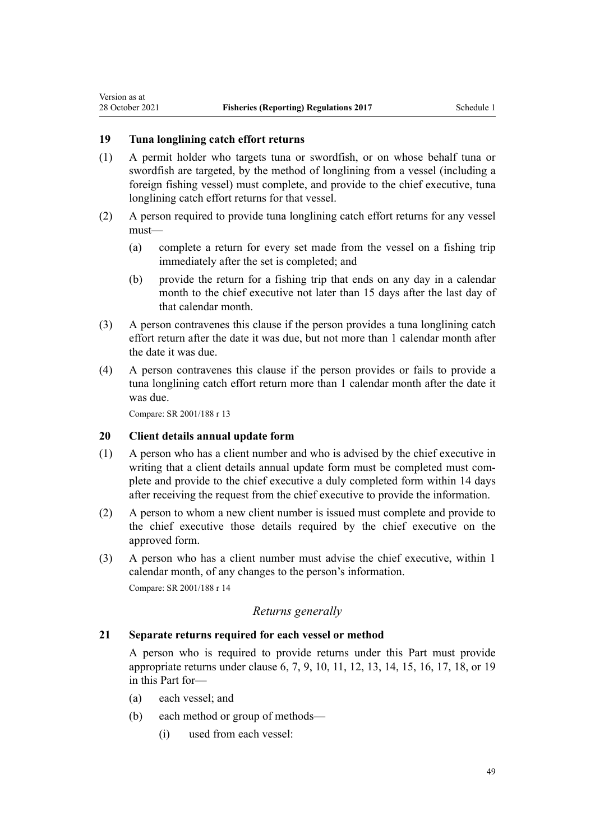# **19 Tuna longlining catch effort returns**

<span id="page-48-0"></span>Version as at

- (1) A permit holder who targets tuna or swordfish, or on whose behalf tuna or swordfish are targeted, by the method of longlining from a vessel (including a foreign fishing vessel) must complete, and provide to the chief executive, tuna longlining catch effort returns for that vessel.
- (2) A person required to provide tuna longlining catch effort returns for any vessel must—
	- (a) complete a return for every set made from the vessel on a fishing trip immediately after the set is completed; and
	- (b) provide the return for a fishing trip that ends on any day in a calendar month to the chief executive not later than 15 days after the last day of that calendar month.
- (3) A person contravenes this clause if the person provides a tuna longlining catch effort return after the date it was due, but not more than 1 calendar month after the date it was due.
- (4) A person contravenes this clause if the person provides or fails to provide a tuna longlining catch effort return more than 1 calendar month after the date it was due.

Compare: SR 2001/188 [r 13](http://legislation.govt.nz/pdflink.aspx?id=DLM61856)

#### **20 Client details annual update form**

- (1) A person who has a client number and who is advised by the chief executive in writing that a client details annual update form must be completed must complete and provide to the chief executive a duly completed form within 14 days after receiving the request from the chief executive to provide the information.
- (2) A person to whom a new client number is issued must complete and provide to the chief executive those details required by the chief executive on the approved form.
- (3) A person who has a client number must advise the chief executive, within 1 calendar month, of any changes to the person's information. Compare: SR 2001/188 [r 14](http://legislation.govt.nz/pdflink.aspx?id=DLM61860)

# *Returns generally*

#### **21 Separate returns required for each vessel or method**

A person who is required to provide returns under this Part must provide appropriate returns under [clause 6](#page-36-0), [7](#page-37-0), [9,](#page-40-0) [10](#page-40-0), [11](#page-41-0), [12,](#page-42-0) [13,](#page-43-0) [14](#page-43-0), [15,](#page-44-0) [16](#page-45-0), [17,](#page-46-0) [18](#page-47-0), or 19 in this Part for—

- (a) each vessel; and
- (b) each method or group of methods—
	- (i) used from each vessel: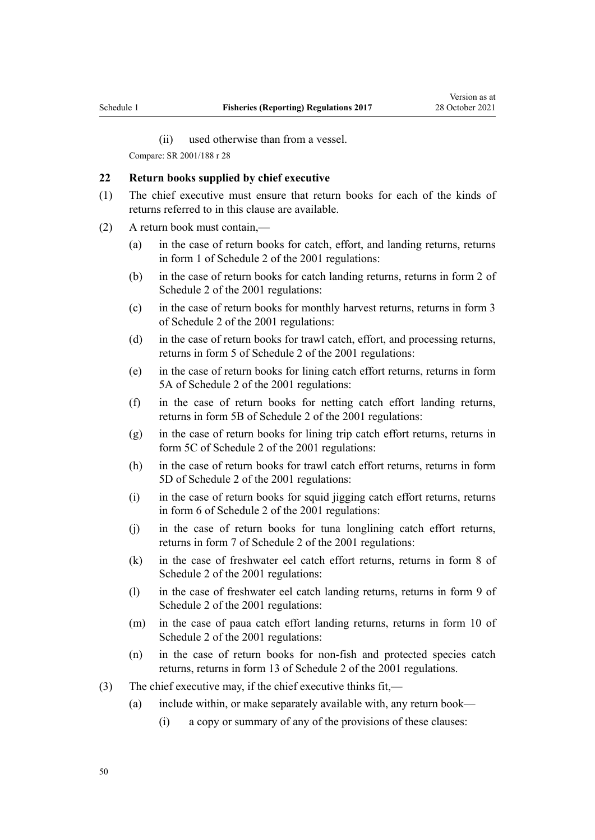(ii) used otherwise than from a vessel.

<span id="page-49-0"></span>Compare: SR 2001/188 [r 28](http://legislation.govt.nz/pdflink.aspx?id=DLM61879)

#### **22 Return books supplied by chief executive**

- (1) The chief executive must ensure that return books for each of the kinds of returns referred to in this clause are available.
- (2) A return book must contain,—
	- (a) in the case of return books for catch, effort, and landing returns, returns in [form 1](http://legislation.govt.nz/pdflink.aspx?id=DLM62925) of Schedule 2 of the 2001 regulations:
	- (b) in the case of return books for catch landing returns, returns in [form 2](http://legislation.govt.nz/pdflink.aspx?id=DLM62930) of Schedule 2 of the 2001 regulations:
	- (c) in the case of return books for monthly harvest returns, returns in [form 3](http://legislation.govt.nz/pdflink.aspx?id=DLM62932) of Schedule 2 of the 2001 regulations:
	- (d) in the case of return books for trawl catch, effort, and processing returns, returns in [form 5](http://legislation.govt.nz/pdflink.aspx?id=DLM62936) of Schedule 2 of the 2001 regulations:
	- (e) in the case of return books for lining catch effort returns, returns in [form](http://legislation.govt.nz/pdflink.aspx?id=DLM62938) [5A](http://legislation.govt.nz/pdflink.aspx?id=DLM62938) of Schedule 2 of the 2001 regulations:
	- (f) in the case of return books for netting catch effort landing returns, returns in [form 5B](http://legislation.govt.nz/pdflink.aspx?id=DLM62941) of Schedule 2 of the 2001 regulations:
	- (g) in the case of return books for lining trip catch effort returns, returns in [form 5C](http://legislation.govt.nz/pdflink.aspx?id=DLM1112700) of Schedule 2 of the 2001 regulations:
	- (h) in the case of return books for trawl catch effort returns, returns in [form](http://legislation.govt.nz/pdflink.aspx?id=DLM1112702) [5D](http://legislation.govt.nz/pdflink.aspx?id=DLM1112702) of Schedule 2 of the 2001 regulations:
	- (i) in the case of return books for squid jigging catch effort returns, returns in [form 6](http://legislation.govt.nz/pdflink.aspx?id=DLM62945) of Schedule 2 of the 2001 regulations:
	- (j) in the case of return books for tuna longlining catch effort returns, returns in [form 7](http://legislation.govt.nz/pdflink.aspx?id=DLM62947) of Schedule 2 of the 2001 regulations:
	- (k) in the case of freshwater eel catch effort returns, returns in [form 8](http://legislation.govt.nz/pdflink.aspx?id=DLM62950) of Schedule 2 of the 2001 regulations:
	- (l) in the case of freshwater eel catch landing returns, returns in [form 9](http://legislation.govt.nz/pdflink.aspx?id=DLM62952) of Schedule 2 of the 2001 regulations:
	- (m) in the case of paua catch effort landing returns, returns in [form 10](http://legislation.govt.nz/pdflink.aspx?id=DLM62954) of Schedule 2 of the 2001 regulations:
	- (n) in the case of return books for non-fish and protected species catch returns, returns in [form 13](http://legislation.govt.nz/pdflink.aspx?id=DLM1650383) of Schedule 2 of the 2001 regulations.
- (3) The chief executive may, if the chief executive thinks fit,—
	- (a) include within, or make separately available with, any return book—
		- (i) a copy or summary of any of the provisions of these clauses: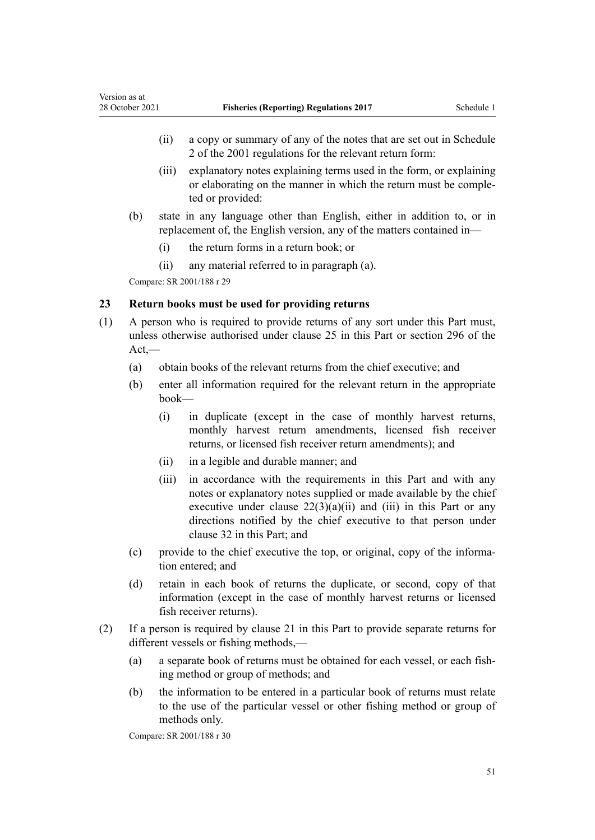- <span id="page-50-0"></span>(ii) a copy or summary of any of the notes that are set out in [Schedule](http://legislation.govt.nz/pdflink.aspx?id=DLM62924) [2](http://legislation.govt.nz/pdflink.aspx?id=DLM62924) of the 2001 regulations for the relevant return form:
- (iii) explanatory notes explaining terms used in the form, or explaining or elaborating on the manner in which the return must be comple‐ ted or provided:
- (b) state in any language other than English, either in addition to, or in replacement of, the English version, any of the matters contained in—
	- (i) the return forms in a return book; or
	- (ii) any material referred to in paragraph (a).

#### **23 Return books must be used for providing returns**

- (1) A person who is required to provide returns of any sort under this Part must, unless otherwise authorised under [clause 25](#page-51-0) in this Part or [section 296](http://legislation.govt.nz/pdflink.aspx?id=DLM399501) of the Act,—
	- (a) obtain books of the relevant returns from the chief executive; and
	- (b) enter all information required for the relevant return in the appropriate book—
		- (i) in duplicate (except in the case of monthly harvest returns, monthly harvest return amendments, licensed fish receiver returns, or licensed fish receiver return amendments); and
		- (ii) in a legible and durable manner; and
		- (iii) in accordance with the requirements in this Part and with any notes or explanatory notes supplied or made available by the chief executive under clause  $22(3)(a)(ii)$  and (iii) in this Part or any directions notified by the chief executive to that person under [clause 32](#page-56-0) in this Part; and
	- (c) provide to the chief executive the top, or original, copy of the information entered; and
	- (d) retain in each book of returns the duplicate, or second, copy of that information (except in the case of monthly harvest returns or licensed fish receiver returns).
- (2) If a person is required by [clause 21](#page-48-0) in this Part to provide separate returns for different vessels or fishing methods,—
	- (a) a separate book of returns must be obtained for each vessel, or each fish‐ ing method or group of methods; and
	- (b) the information to be entered in a particular book of returns must relate to the use of the particular vessel or other fishing method or group of methods only.

Compare: SR 2001/188 [r 30](http://legislation.govt.nz/pdflink.aspx?id=DLM61886)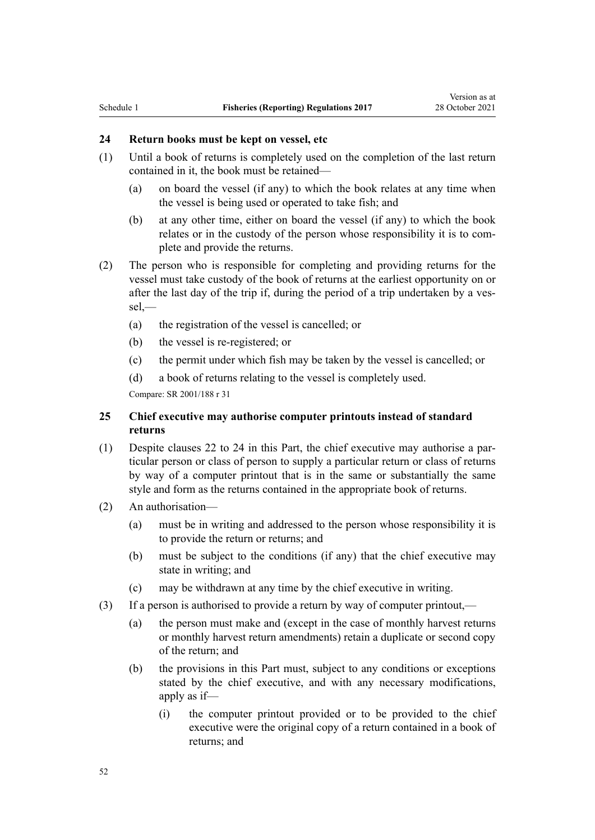# <span id="page-51-0"></span>**24 Return books must be kept on vessel, etc**

- (1) Until a book of returns is completely used on the completion of the last return contained in it, the book must be retained—
	- (a) on board the vessel (if any) to which the book relates at any time when the vessel is being used or operated to take fish; and
	- (b) at any other time, either on board the vessel (if any) to which the book relates or in the custody of the person whose responsibility it is to com‐ plete and provide the returns.
- (2) The person who is responsible for completing and providing returns for the vessel must take custody of the book of returns at the earliest opportunity on or after the last day of the trip if, during the period of a trip undertaken by a vessel,—
	- (a) the registration of the vessel is cancelled; or
	- (b) the vessel is re-registered; or
	- (c) the permit under which fish may be taken by the vessel is cancelled; or
	- (d) a book of returns relating to the vessel is completely used.

Compare: SR 2001/188 [r 31](http://legislation.govt.nz/pdflink.aspx?id=DLM61887)

# **25 Chief executive may authorise computer printouts instead of standard returns**

- (1) Despite [clauses 22 to 24](#page-49-0) in this Part, the chief executive may authorise a par‐ ticular person or class of person to supply a particular return or class of returns by way of a computer printout that is in the same or substantially the same style and form as the returns contained in the appropriate book of returns.
- (2) An authorisation—
	- (a) must be in writing and addressed to the person whose responsibility it is to provide the return or returns; and
	- (b) must be subject to the conditions (if any) that the chief executive may state in writing; and
	- (c) may be withdrawn at any time by the chief executive in writing.
- (3) If a person is authorised to provide a return by way of computer printout,—
	- (a) the person must make and (except in the case of monthly harvest returns or monthly harvest return amendments) retain a duplicate or second copy of the return; and
	- (b) the provisions in this Part must, subject to any conditions or exceptions stated by the chief executive, and with any necessary modifications, apply as if—
		- (i) the computer printout provided or to be provided to the chief executive were the original copy of a return contained in a book of returns; and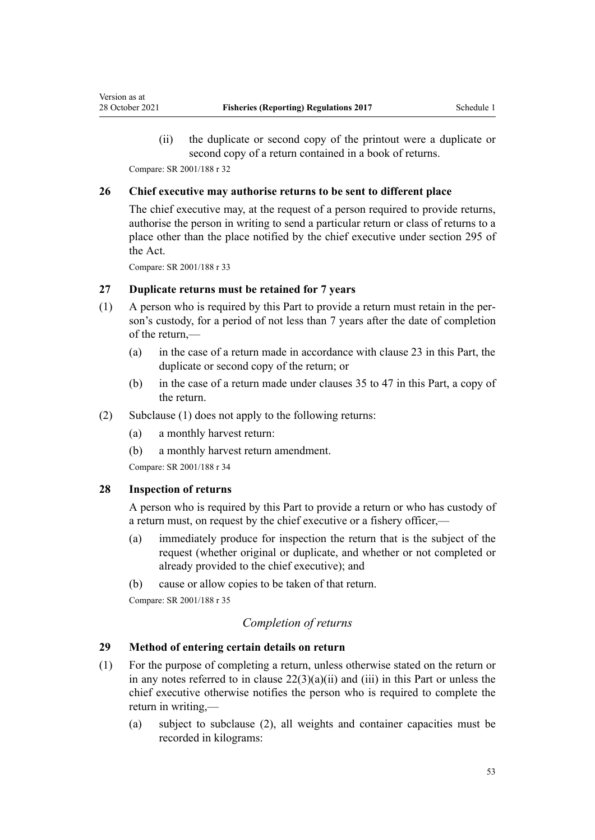<span id="page-52-0"></span>(ii) the duplicate or second copy of the printout were a duplicate or second copy of a return contained in a book of returns.

Compare: SR 2001/188 [r 32](http://legislation.govt.nz/pdflink.aspx?id=DLM61888)

#### **26 Chief executive may authorise returns to be sent to different place**

The chief executive may, at the request of a person required to provide returns, authorise the person in writing to send a particular return or class of returns to a place other than the place notified by the chief executive under [section 295](http://legislation.govt.nz/pdflink.aspx?id=DLM399399) of the Act.

Compare: SR 2001/188 [r 33](http://legislation.govt.nz/pdflink.aspx?id=DLM61889)

### **27 Duplicate returns must be retained for 7 years**

- (1) A person who is required by this Part to provide a return must retain in the per‐ son's custody, for a period of not less than 7 years after the date of completion of the return,—
	- (a) in the case of a return made in accordance with [clause 23](#page-50-0) in this Part, the duplicate or second copy of the return; or
	- (b) in the case of a return made under [clauses 35 to 47](#page-58-0) in this Part, a copy of the return.
- (2) Subclause (1) does not apply to the following returns:
	- (a) a monthly harvest return:
	- (b) a monthly harvest return amendment.

Compare: SR 2001/188 [r 34](http://legislation.govt.nz/pdflink.aspx?id=DLM61890)

# **28 Inspection of returns**

A person who is required by this Part to provide a return or who has custody of a return must, on request by the chief executive or a fishery officer,—

- (a) immediately produce for inspection the return that is the subject of the request (whether original or duplicate, and whether or not completed or already provided to the chief executive); and
- (b) cause or allow copies to be taken of that return. Compare: SR 2001/188 [r 35](http://legislation.govt.nz/pdflink.aspx?id=DLM61891)

### *Completion of returns*

#### **29 Method of entering certain details on return**

- (1) For the purpose of completing a return, unless otherwise stated on the return or in any notes referred to in clause  $22(3)(a)(ii)$  and (iii) in this Part or unless the chief executive otherwise notifies the person who is required to complete the return in writing,—
	- (a) subject to subclause (2), all weights and container capacities must be recorded in kilograms: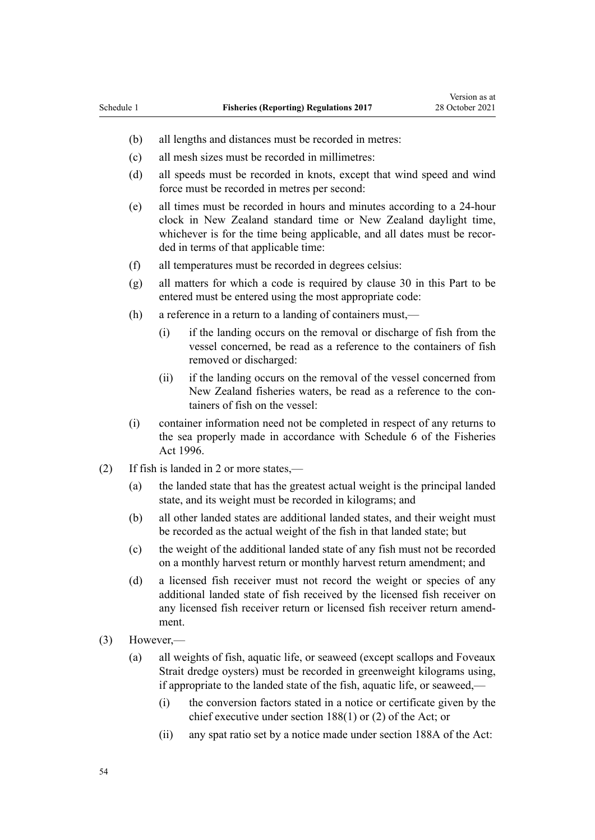- (b) all lengths and distances must be recorded in metres:
- (c) all mesh sizes must be recorded in millimetres:
- (d) all speeds must be recorded in knots, except that wind speed and wind force must be recorded in metres per second:
- (e) all times must be recorded in hours and minutes according to a 24-hour clock in New Zealand standard time or New Zealand daylight time, whichever is for the time being applicable, and all dates must be recorded in terms of that applicable time:
- (f) all temperatures must be recorded in degrees celsius:
- (g) all matters for which a code is required by [clause 30](#page-54-0) in this Part to be entered must be entered using the most appropriate code:
- (h) a reference in a return to a landing of containers must,—
	- (i) if the landing occurs on the removal or discharge of fish from the vessel concerned, be read as a reference to the containers of fish removed or discharged:
	- (ii) if the landing occurs on the removal of the vessel concerned from New Zealand fisheries waters, be read as a reference to the con‐ tainers of fish on the vessel:
- (i) container information need not be completed in respect of any returns to the sea properly made in accordance with [Schedule 6](http://legislation.govt.nz/pdflink.aspx?id=DLM401761) of the Fisheries Act 1996.
- (2) If fish is landed in 2 or more states,—
	- (a) the landed state that has the greatest actual weight is the principal landed state, and its weight must be recorded in kilograms; and
	- (b) all other landed states are additional landed states, and their weight must be recorded as the actual weight of the fish in that landed state; but
	- (c) the weight of the additional landed state of any fish must not be recorded on a monthly harvest return or monthly harvest return amendment; and
	- (d) a licensed fish receiver must not record the weight or species of any additional landed state of fish received by the licensed fish receiver on any licensed fish receiver return or licensed fish receiver return amend‐ ment.
- (3) However,—
	- (a) all weights of fish, aquatic life, or seaweed (except scallops and Foveaux Strait dredge oysters) must be recorded in greenweight kilograms using, if appropriate to the landed state of the fish, aquatic life, or seaweed,—
		- (i) the conversion factors stated in a notice or certificate given by the chief executive under [section 188\(1\) or \(2\)](http://legislation.govt.nz/pdflink.aspx?id=DLM398372) of the Act; or
		- (ii) any spat ratio set by a notice made under [section 188A](http://legislation.govt.nz/pdflink.aspx?id=DLM398375) of the Act: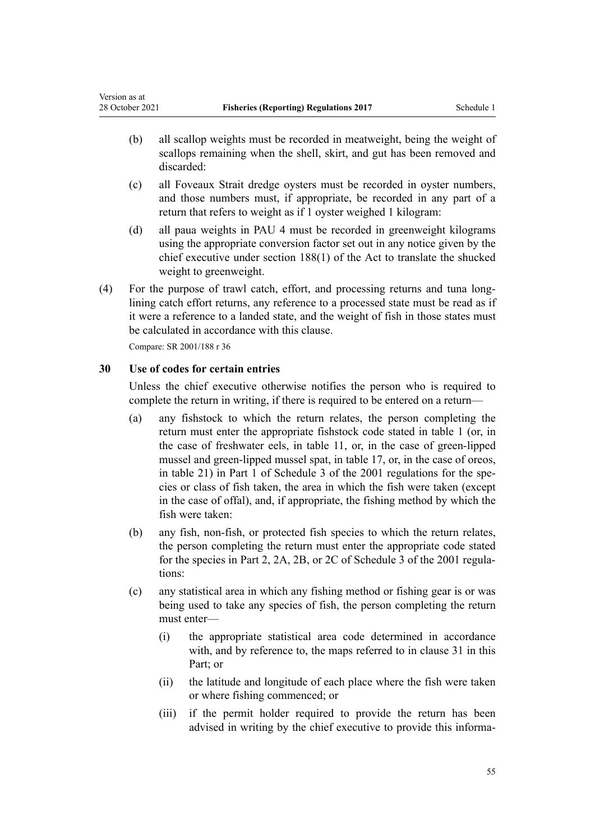- <span id="page-54-0"></span>(b) all scallop weights must be recorded in meatweight, being the weight of scallops remaining when the shell, skirt, and gut has been removed and discarded:
- (c) all Foveaux Strait dredge oysters must be recorded in oyster numbers, and those numbers must, if appropriate, be recorded in any part of a return that refers to weight as if 1 oyster weighed 1 kilogram:
- (d) all paua weights in PAU 4 must be recorded in greenweight kilograms using the appropriate conversion factor set out in any notice given by the chief executive under [section 188\(1\)](http://legislation.govt.nz/pdflink.aspx?id=DLM398372) of the Act to translate the shucked weight to greenweight.
- (4) For the purpose of trawl catch, effort, and processing returns and tuna long‐ lining catch effort returns, any reference to a processed state must be read as if it were a reference to a landed state, and the weight of fish in those states must be calculated in accordance with this clause.

# **30 Use of codes for certain entries**

Unless the chief executive otherwise notifies the person who is required to complete the return in writing, if there is required to be entered on a return—

- (a) any fishstock to which the return relates, the person completing the return must enter the appropriate fishstock code stated in table 1 (or, in the case of freshwater eels, in table 11, or, in the case of green-lipped mussel and green-lipped mussel spat, in table 17, or, in the case of oreos, in table 21) in Part 1 of [Schedule 3](http://legislation.govt.nz/pdflink.aspx?id=DLM62960) of the 2001 regulations for the species or class of fish taken, the area in which the fish were taken (except in the case of offal), and, if appropriate, the fishing method by which the fish were taken:
- (b) any fish, non-fish, or protected fish species to which the return relates, the person completing the return must enter the appropriate code stated for the species in Part 2, 2A, 2B, or 2C of [Schedule 3](http://legislation.govt.nz/pdflink.aspx?id=DLM62960) of the 2001 regulations:
- (c) any statistical area in which any fishing method or fishing gear is or was being used to take any species of fish, the person completing the return must enter—
	- (i) the appropriate statistical area code determined in accordance with, and by reference to, the maps referred to in [clause 31](#page-55-0) in this Part; or
	- (ii) the latitude and longitude of each place where the fish were taken or where fishing commenced; or
	- (iii) if the permit holder required to provide the return has been advised in writing by the chief executive to provide this informa-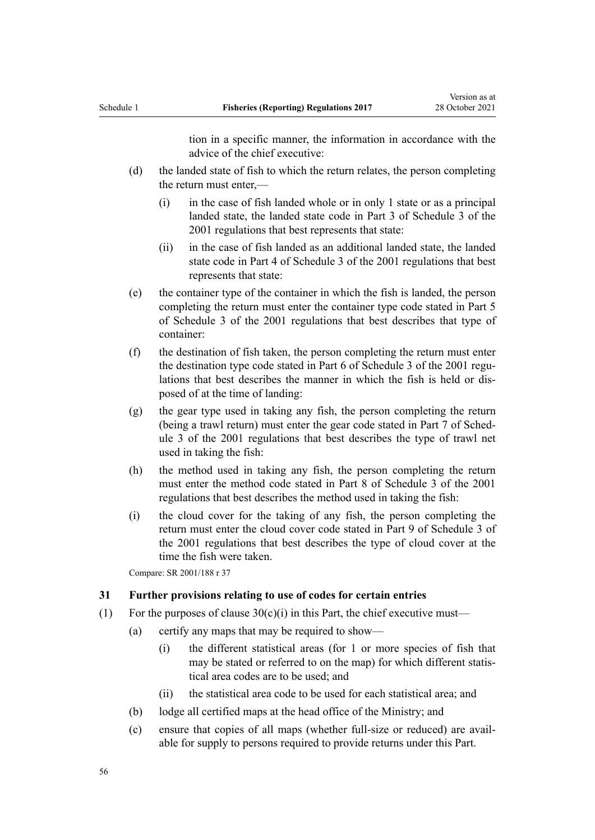tion in a specific manner, the information in accordance with the advice of the chief executive:

- <span id="page-55-0"></span>(d) the landed state of fish to which the return relates, the person completing the return must enter,—
	- (i) in the case of fish landed whole or in only 1 state or as a principal landed state, the landed state code in Part 3 of [Schedule 3](http://legislation.govt.nz/pdflink.aspx?id=DLM62960) of the 2001 regulations that best represents that state:
	- (ii) in the case of fish landed as an additional landed state, the landed state code in Part 4 of [Schedule 3](http://legislation.govt.nz/pdflink.aspx?id=DLM62960) of the 2001 regulations that best represents that state:
- (e) the container type of the container in which the fish is landed, the person completing the return must enter the container type code stated in Part 5 of [Schedule 3](http://legislation.govt.nz/pdflink.aspx?id=DLM62960) of the 2001 regulations that best describes that type of container:
- (f) the destination of fish taken, the person completing the return must enter the destination type code stated in Part 6 of [Schedule 3](http://legislation.govt.nz/pdflink.aspx?id=DLM62960) of the 2001 regulations that best describes the manner in which the fish is held or dis‐ posed of at the time of landing:
- (g) the gear type used in taking any fish, the person completing the return (being a trawl return) must enter the gear code stated in Part 7 of [Sched‐](http://legislation.govt.nz/pdflink.aspx?id=DLM62960) [ule 3](http://legislation.govt.nz/pdflink.aspx?id=DLM62960) of the 2001 regulations that best describes the type of trawl net used in taking the fish:
- (h) the method used in taking any fish, the person completing the return must enter the method code stated in Part 8 of [Schedule 3](http://legislation.govt.nz/pdflink.aspx?id=DLM62960) of the 2001 regulations that best describes the method used in taking the fish:
- (i) the cloud cover for the taking of any fish, the person completing the return must enter the cloud cover code stated in Part 9 of [Schedule 3](http://legislation.govt.nz/pdflink.aspx?id=DLM62960) of the 2001 regulations that best describes the type of cloud cover at the time the fish were taken.

Compare: SR 2001/188 [r 37](http://legislation.govt.nz/pdflink.aspx?id=DLM61897)

#### **31 Further provisions relating to use of codes for certain entries**

- (1) For the purposes of clause  $30(c)(i)$  in this Part, the chief executive must—
	- (a) certify any maps that may be required to show—
		- (i) the different statistical areas (for 1 or more species of fish that may be stated or referred to on the map) for which different statistical area codes are to be used; and
		- (ii) the statistical area code to be used for each statistical area; and
	- (b) lodge all certified maps at the head office of the Ministry; and
	- (c) ensure that copies of all maps (whether full-size or reduced) are avail‐ able for supply to persons required to provide returns under this Part.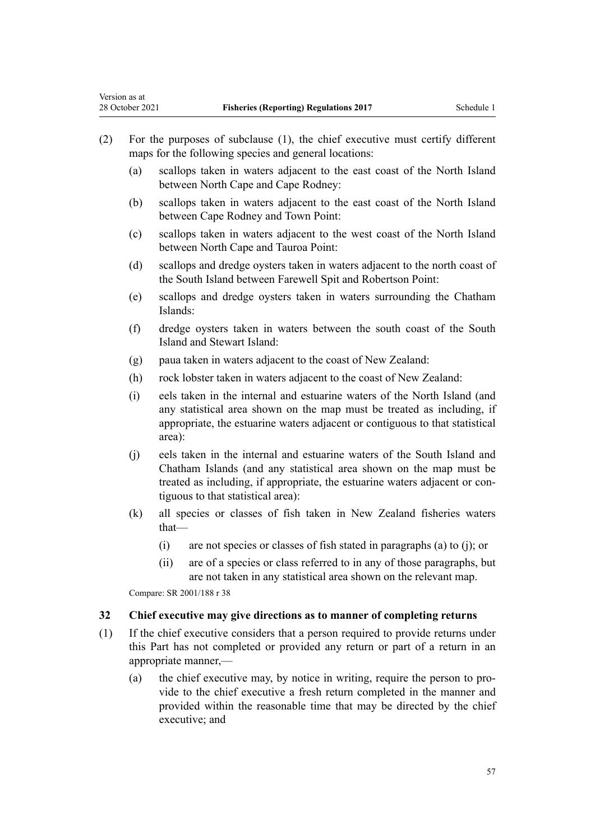<span id="page-56-0"></span>Version as at

- (2) For the purposes of subclause (1), the chief executive must certify different maps for the following species and general locations:
	- (a) scallops taken in waters adjacent to the east coast of the North Island between North Cape and Cape Rodney:
	- (b) scallops taken in waters adjacent to the east coast of the North Island between Cape Rodney and Town Point:
	- (c) scallops taken in waters adjacent to the west coast of the North Island between North Cape and Tauroa Point:
	- (d) scallops and dredge oysters taken in waters adjacent to the north coast of the South Island between Farewell Spit and Robertson Point:
	- (e) scallops and dredge oysters taken in waters surrounding the Chatham Islands:
	- (f) dredge oysters taken in waters between the south coast of the South Island and Stewart Island:
	- (g) paua taken in waters adjacent to the coast of New Zealand:
	- (h) rock lobster taken in waters adjacent to the coast of New Zealand:
	- (i) eels taken in the internal and estuarine waters of the North Island (and any statistical area shown on the map must be treated as including, if appropriate, the estuarine waters adjacent or contiguous to that statistical area):
	- (j) eels taken in the internal and estuarine waters of the South Island and Chatham Islands (and any statistical area shown on the map must be treated as including, if appropriate, the estuarine waters adjacent or contiguous to that statistical area):
	- (k) all species or classes of fish taken in New Zealand fisheries waters that—
		- (i) are not species or classes of fish stated in paragraphs (a) to (j); or
		- (ii) are of a species or class referred to in any of those paragraphs, but are not taken in any statistical area shown on the relevant map.

Compare: SR 2001/188 [r 38](http://legislation.govt.nz/pdflink.aspx?id=DLM62902)

#### **32 Chief executive may give directions as to manner of completing returns**

- (1) If the chief executive considers that a person required to provide returns under this Part has not completed or provided any return or part of a return in an appropriate manner,—
	- (a) the chief executive may, by notice in writing, require the person to provide to the chief executive a fresh return completed in the manner and provided within the reasonable time that may be directed by the chief executive; and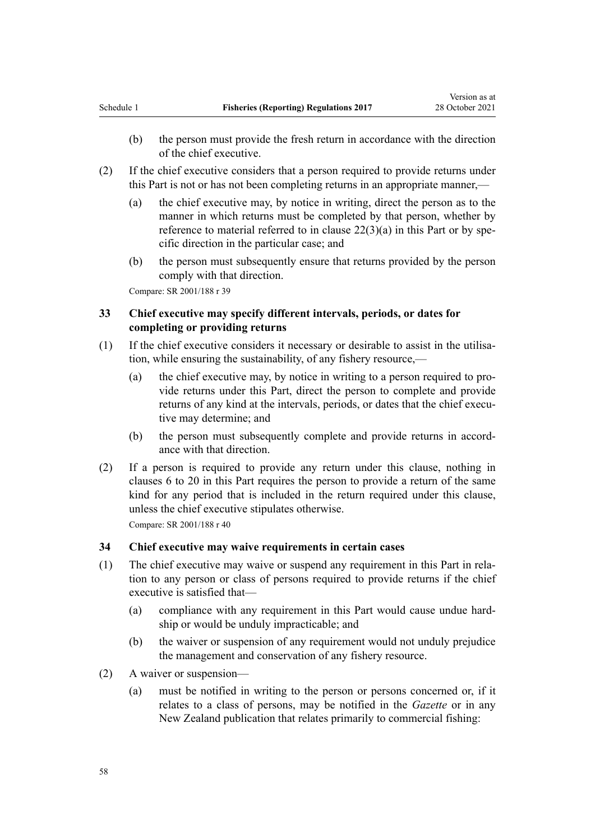- <span id="page-57-0"></span>(b) the person must provide the fresh return in accordance with the direction of the chief executive.
- (2) If the chief executive considers that a person required to provide returns under this Part is not or has not been completing returns in an appropriate manner,—
	- (a) the chief executive may, by notice in writing, direct the person as to the manner in which returns must be completed by that person, whether by reference to material referred to in clause  $22(3)(a)$  in this Part or by specific direction in the particular case; and
	- (b) the person must subsequently ensure that returns provided by the person comply with that direction.

# **33 Chief executive may specify different intervals, periods, or dates for completing or providing returns**

- (1) If the chief executive considers it necessary or desirable to assist in the utilisa‐ tion, while ensuring the sustainability, of any fishery resource,—
	- (a) the chief executive may, by notice in writing to a person required to provide returns under this Part, direct the person to complete and provide returns of any kind at the intervals, periods, or dates that the chief executive may determine; and
	- (b) the person must subsequently complete and provide returns in accordance with that direction.
- (2) If a person is required to provide any return under this clause, nothing in [clauses 6 to 20](#page-36-0) in this Part requires the person to provide a return of the same kind for any period that is included in the return required under this clause, unless the chief executive stipulates otherwise.

Compare: SR 2001/188 [r 40](http://legislation.govt.nz/pdflink.aspx?id=DLM62904)

#### **34 Chief executive may waive requirements in certain cases**

- (1) The chief executive may waive or suspend any requirement in this Part in rela‐ tion to any person or class of persons required to provide returns if the chief executive is satisfied that—
	- (a) compliance with any requirement in this Part would cause undue hard‐ ship or would be unduly impracticable; and
	- (b) the waiver or suspension of any requirement would not unduly prejudice the management and conservation of any fishery resource.
- (2) A waiver or suspension—
	- (a) must be notified in writing to the person or persons concerned or, if it relates to a class of persons, may be notified in the *Gazette* or in any New Zealand publication that relates primarily to commercial fishing: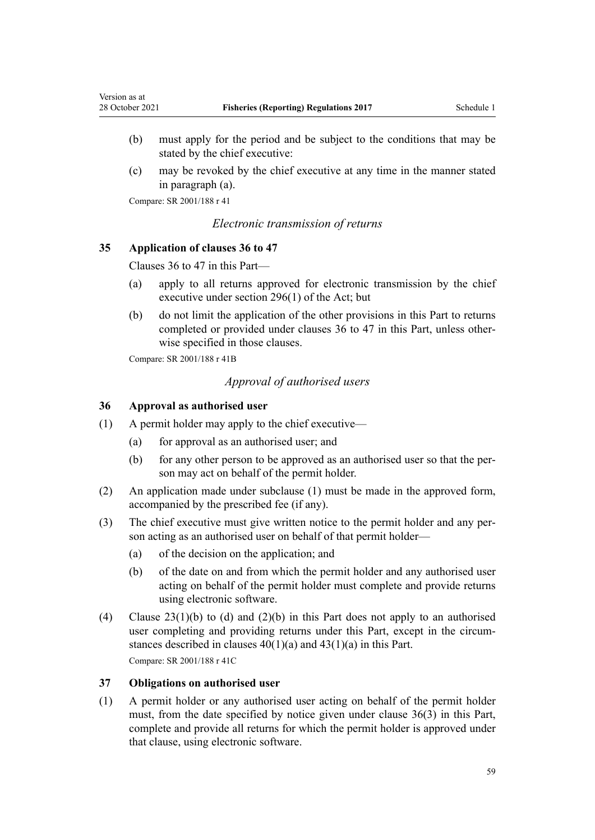- <span id="page-58-0"></span>(b) must apply for the period and be subject to the conditions that may be stated by the chief executive:
- (c) may be revoked by the chief executive at any time in the manner stated in paragraph (a).

# *Electronic transmission of returns*

# **35 Application of clauses 36 to 47**

Clauses 36 to 47 in this Part—

- (a) apply to all returns approved for electronic transmission by the chief executive under [section 296\(1\)](http://legislation.govt.nz/pdflink.aspx?id=DLM399501) of the Act; but
- (b) do not limit the application of the other provisions in this Part to returns completed or provided under clauses 36 to 47 in this Part, unless otherwise specified in those clauses.

Compare: SR 2001/188 [r 41B](http://legislation.govt.nz/pdflink.aspx?id=DLM2407413)

# *Approval of authorised users*

#### **36 Approval as authorised user**

- (1) A permit holder may apply to the chief executive—
	- (a) for approval as an authorised user; and
	- (b) for any other person to be approved as an authorised user so that the per‐ son may act on behalf of the permit holder.
- (2) An application made under subclause (1) must be made in the approved form, accompanied by the prescribed fee (if any).
- (3) The chief executive must give written notice to the permit holder and any person acting as an authorised user on behalf of that permit holder—
	- (a) of the decision on the application; and
	- (b) of the date on and from which the permit holder and any authorised user acting on behalf of the permit holder must complete and provide returns using electronic software.
- (4) Clause  $23(1)(b)$  to (d) and  $(2)(b)$  in this Part does not apply to an authorised user completing and providing returns under this Part, except in the circumstances described in [clauses 40\(1\)\(a\)](#page-59-0) and [43\(1\)\(a\)](#page-61-0) in this Part. Compare: SR 2001/188 [r 41C](http://legislation.govt.nz/pdflink.aspx?id=DLM2407415)

#### **37 Obligations on authorised user**

(1) A permit holder or any authorised user acting on behalf of the permit holder must, from the date specified by notice given under clause 36(3) in this Part, complete and provide all returns for which the permit holder is approved under that clause, using electronic software.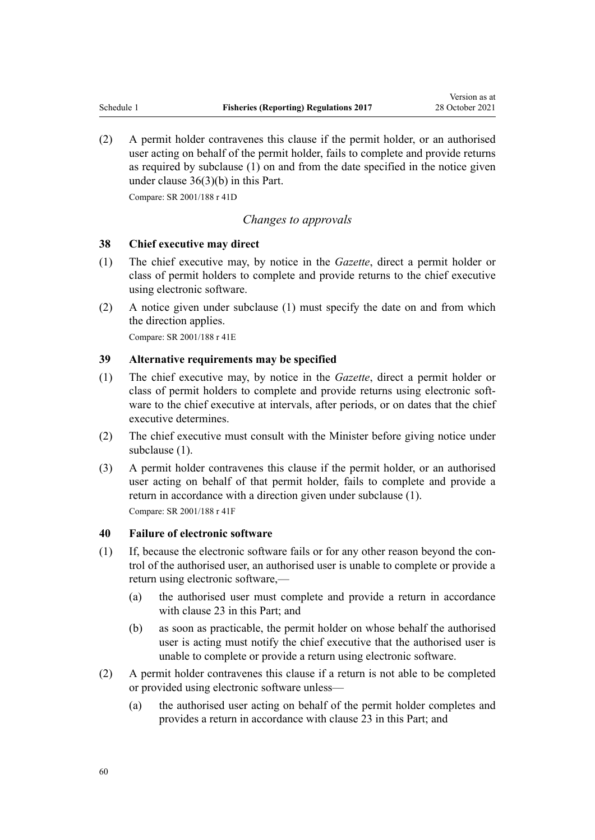<span id="page-59-0"></span>(2) A permit holder contravenes this clause if the permit holder, or an authorised user acting on behalf of the permit holder, fails to complete and provide returns as required by subclause (1) on and from the date specified in the notice given under [clause 36\(3\)\(b\)](#page-58-0) in this Part.

Compare: SR 2001/188 [r 41D](http://legislation.govt.nz/pdflink.aspx?id=DLM2407416)

#### *Changes to approvals*

#### **38 Chief executive may direct**

- (1) The chief executive may, by notice in the *Gazette*, direct a permit holder or class of permit holders to complete and provide returns to the chief executive using electronic software.
- (2) A notice given under subclause (1) must specify the date on and from which the direction applies.

Compare: SR 2001/188 [r 41E](http://legislation.govt.nz/pdflink.aspx?id=DLM2407418)

## **39 Alternative requirements may be specified**

- (1) The chief executive may, by notice in the *Gazette*, direct a permit holder or class of permit holders to complete and provide returns using electronic software to the chief executive at intervals, after periods, or on dates that the chief executive determines.
- (2) The chief executive must consult with the Minister before giving notice under subclause (1).
- (3) A permit holder contravenes this clause if the permit holder, or an authorised user acting on behalf of that permit holder, fails to complete and provide a return in accordance with a direction given under subclause (1).

Compare: SR 2001/188 [r 41F](http://legislation.govt.nz/pdflink.aspx?id=DLM2407419)

#### **40 Failure of electronic software**

- $(1)$  If, because the electronic software fails or for any other reason beyond the control of the authorised user, an authorised user is unable to complete or provide a return using electronic software,—
	- (a) the authorised user must complete and provide a return in accordance with [clause 23](#page-50-0) in this Part; and
	- (b) as soon as practicable, the permit holder on whose behalf the authorised user is acting must notify the chief executive that the authorised user is unable to complete or provide a return using electronic software.
- (2) A permit holder contravenes this clause if a return is not able to be completed or provided using electronic software unless—
	- (a) the authorised user acting on behalf of the permit holder completes and provides a return in accordance with [clause 23](#page-50-0) in this Part; and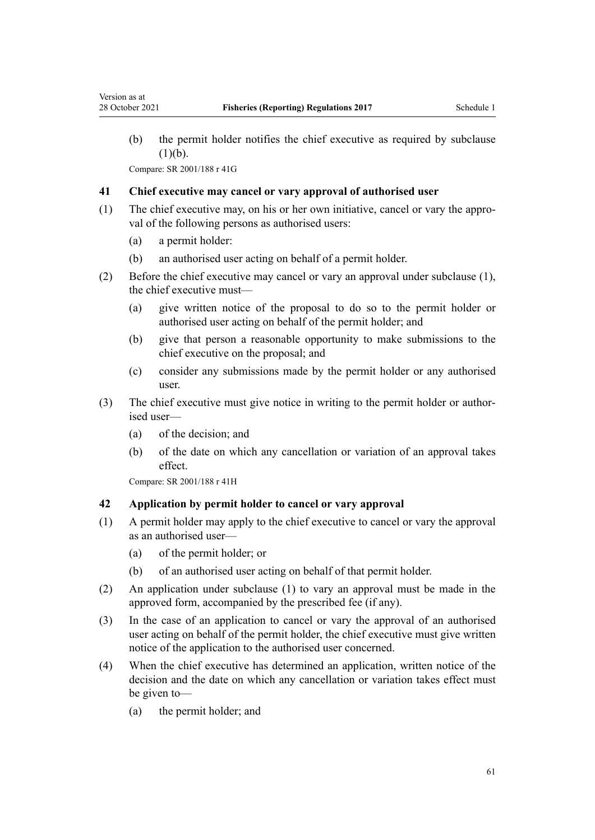(b) the permit holder notifies the chief executive as required by subclause  $(1)(b).$ 

Compare: SR 2001/188 [r 41G](http://legislation.govt.nz/pdflink.aspx?id=DLM2407420)

<span id="page-60-0"></span>Version as at

#### **41 Chief executive may cancel or vary approval of authorised user**

- (1) The chief executive may, on his or her own initiative, cancel or vary the appro‐ val of the following persons as authorised users:
	- (a) a permit holder:
	- (b) an authorised user acting on behalf of a permit holder.
- (2) Before the chief executive may cancel or vary an approval under subclause (1), the chief executive must—
	- (a) give written notice of the proposal to do so to the permit holder or authorised user acting on behalf of the permit holder; and
	- (b) give that person a reasonable opportunity to make submissions to the chief executive on the proposal; and
	- (c) consider any submissions made by the permit holder or any authorised user.
- (3) The chief executive must give notice in writing to the permit holder or author‐ ised user—
	- (a) of the decision; and
	- (b) of the date on which any cancellation or variation of an approval takes effect.

Compare: SR 2001/188 [r 41H](http://legislation.govt.nz/pdflink.aspx?id=DLM2407421)

#### **42 Application by permit holder to cancel or vary approval**

- (1) A permit holder may apply to the chief executive to cancel or vary the approval as an authorised user—
	- (a) of the permit holder; or
	- (b) of an authorised user acting on behalf of that permit holder.
- (2) An application under subclause (1) to vary an approval must be made in the approved form, accompanied by the prescribed fee (if any).
- (3) In the case of an application to cancel or vary the approval of an authorised user acting on behalf of the permit holder, the chief executive must give written notice of the application to the authorised user concerned.
- (4) When the chief executive has determined an application, written notice of the decision and the date on which any cancellation or variation takes effect must be given to—
	- (a) the permit holder; and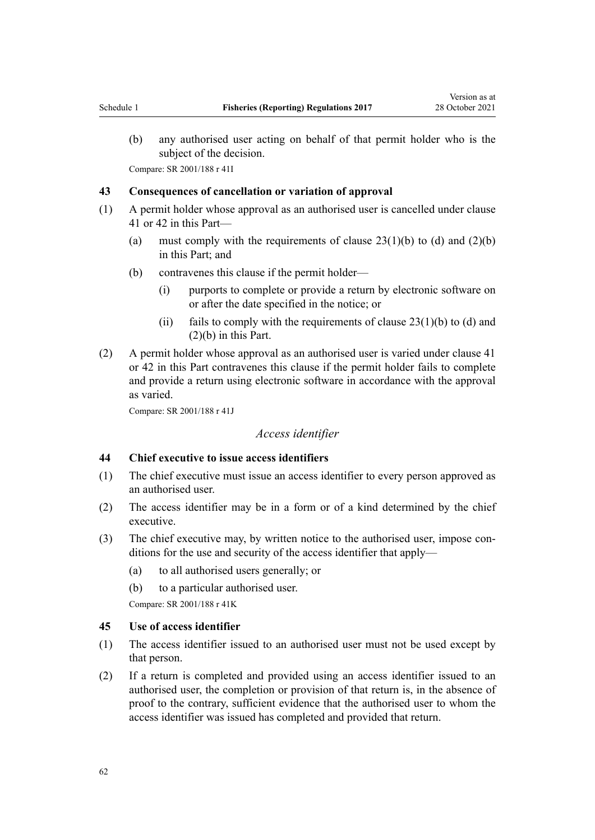<span id="page-61-0"></span>(b) any authorised user acting on behalf of that permit holder who is the subject of the decision.

Compare: SR 2001/188 [r 41I](http://legislation.govt.nz/pdflink.aspx?id=DLM2407422)

#### **43 Consequences of cancellation or variation of approval**

- (1) A permit holder whose approval as an authorised user is cancelled under [clause](#page-60-0) [41](#page-60-0) or [42](#page-60-0) in this Part—
	- (a) must comply with the requirements of clause  $23(1)(b)$  to (d) and  $(2)(b)$ in this Part; and
	- (b) contravenes this clause if the permit holder—
		- (i) purports to complete or provide a return by electronic software on or after the date specified in the notice; or
		- (ii) fails to comply with the requirements of clause  $23(1)(b)$  to (d) and [\(2\)\(b\)](#page-50-0) in this Part.
- (2) A permit holder whose approval as an authorised user is varied under [clause 41](#page-60-0) or [42](#page-60-0) in this Part contravenes this clause if the permit holder fails to complete and provide a return using electronic software in accordance with the approval as varied.

Compare: SR 2001/188 [r 41J](http://legislation.govt.nz/pdflink.aspx?id=DLM2407423)

# *Access identifier*

#### **44 Chief executive to issue access identifiers**

- (1) The chief executive must issue an access identifier to every person approved as an authorised user.
- (2) The access identifier may be in a form or of a kind determined by the chief executive.
- (3) The chief executive may, by written notice to the authorised user, impose conditions for the use and security of the access identifier that apply—
	- (a) to all authorised users generally; or
	- (b) to a particular authorised user.

Compare: SR 2001/188 [r 41K](http://legislation.govt.nz/pdflink.aspx?id=DLM2407425)

#### **45 Use of access identifier**

- (1) The access identifier issued to an authorised user must not be used except by that person.
- (2) If a return is completed and provided using an access identifier issued to an authorised user, the completion or provision of that return is, in the absence of proof to the contrary, sufficient evidence that the authorised user to whom the access identifier was issued has completed and provided that return.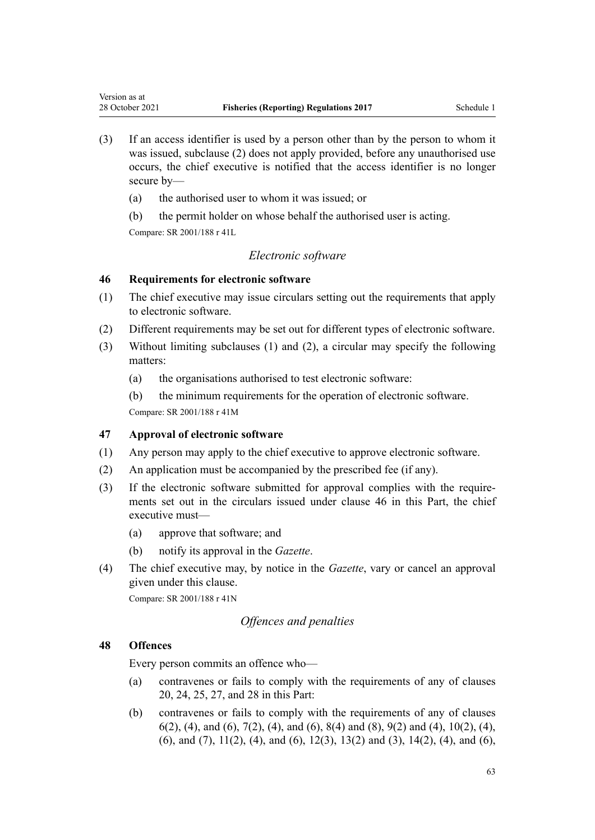- (3) If an access identifier is used by a person other than by the person to whom it was issued, subclause (2) does not apply provided, before any unauthorised use occurs, the chief executive is notified that the access identifier is no longer secure by—
	- (a) the authorised user to whom it was issued; or
	- (b) the permit holder on whose behalf the authorised user is acting.

<span id="page-62-0"></span>Version as at

## *Electronic software*

#### **46 Requirements for electronic software**

- (1) The chief executive may issue circulars setting out the requirements that apply to electronic software.
- (2) Different requirements may be set out for different types of electronic software.
- (3) Without limiting subclauses (1) and (2), a circular may specify the following matters:
	- (a) the organisations authorised to test electronic software:
	- (b) the minimum requirements for the operation of electronic software.

Compare: SR 2001/188 [r 41M](http://legislation.govt.nz/pdflink.aspx?id=DLM2407428)

# **47 Approval of electronic software**

- (1) Any person may apply to the chief executive to approve electronic software.
- (2) An application must be accompanied by the prescribed fee (if any).
- (3) If the electronic software submitted for approval complies with the require‐ ments set out in the circulars issued under clause 46 in this Part, the chief executive must—
	- (a) approve that software; and
	- (b) notify its approval in the *Gazette*.
- (4) The chief executive may, by notice in the *Gazette*, vary or cancel an approval given under this clause.

Compare: SR 2001/188 [r 41N](http://legislation.govt.nz/pdflink.aspx?id=DLM2407429)

# *Offences and penalties*

# **48 Offences**

Every person commits an offence who—

- (a) contravenes or fails to comply with the requirements of any of [clauses](#page-48-0) [20,](#page-48-0) [24,](#page-51-0) [25](#page-51-0), [27](#page-52-0), and [28](#page-52-0) in this Part:
- (b) contravenes or fails to comply with the requirements of any of [clauses](#page-36-0) [6\(2\), \(4\), and \(6\),](#page-36-0) [7\(2\), \(4\), and \(6\)](#page-37-0), [8\(4\) and \(8\),](#page-38-0) [9\(2\) and \(4\),](#page-40-0) [10\(2\), \(4\),](#page-40-0) [\(6\), and \(7\)](#page-40-0), [11\(2\), \(4\), and \(6\),](#page-41-0) [12\(3\)](#page-42-0), [13\(2\) and \(3\)](#page-43-0), [14\(2\), \(4\), and \(6\)](#page-43-0),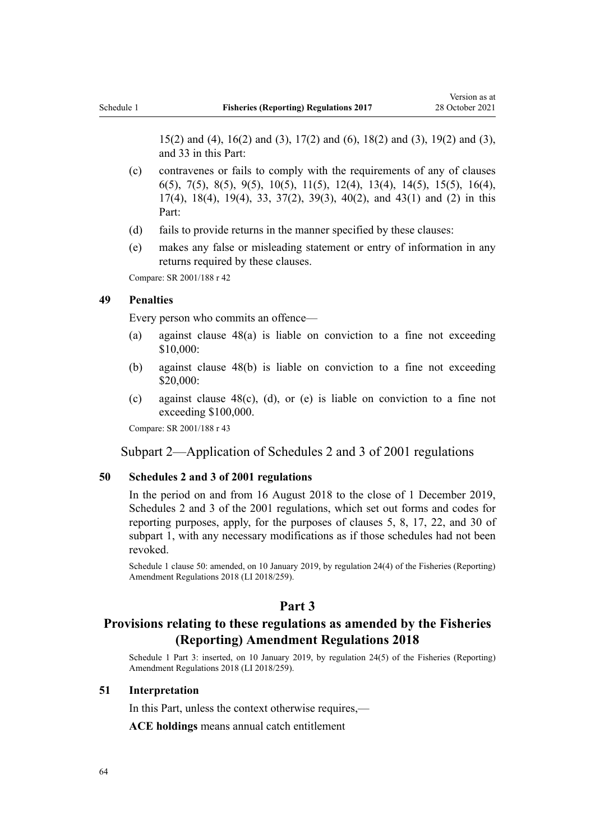[15\(2\) and \(4\),](#page-44-0) [16\(2\) and \(3\)](#page-45-0), [17\(2\) and \(6\)](#page-46-0), [18\(2\) and \(3\)](#page-47-0), [19\(2\) and \(3\)](#page-48-0), and [33](#page-57-0) in this Part:

- (c) contravenes or fails to comply with the requirements of any of [clauses](#page-36-0) [6\(5\)](#page-36-0), [7\(5\),](#page-37-0) [8\(5\)](#page-38-0), [9\(5\),](#page-40-0) [10\(5\)](#page-40-0), [11\(5\),](#page-41-0) [12\(4\)](#page-42-0), [13\(4\)](#page-43-0), [14\(5\),](#page-43-0) [15\(5\),](#page-44-0) [16\(4\)](#page-45-0), [17\(4\)](#page-46-0), [18\(4\),](#page-47-0) [19\(4\)](#page-48-0), [33,](#page-57-0) [37\(2\)](#page-58-0), [39\(3\)](#page-59-0), [40\(2\),](#page-59-0) and [43\(1\) and \(2\)](#page-61-0) in this Part:
- (d) fails to provide returns in the manner specified by these clauses:
- (e) makes any false or misleading statement or entry of information in any returns required by these clauses.

Compare: SR 2001/188 [r 42](http://legislation.govt.nz/pdflink.aspx?id=DLM62907)

#### **49 Penalties**

Every person who commits an offence—

- (a) against [clause 48\(a\)](#page-62-0) is liable on conviction to a fine not exceeding \$10,000:
- (b) against [clause 48\(b\)](#page-62-0) is liable on conviction to a fine not exceeding \$20,000:
- (c) against [clause 48\(c\), \(d\), or \(e\)](#page-62-0) is liable on conviction to a fine not exceeding \$100,000.

Compare: SR 2001/188 [r 43](http://legislation.govt.nz/pdflink.aspx?id=DLM62917)

#### Subpart 2—Application of Schedules 2 and 3 of 2001 regulations

#### **50 Schedules 2 and 3 of 2001 regulations**

In the period on and from 16 August 2018 to the close of 1 December 2019, [Schedules 2](http://legislation.govt.nz/pdflink.aspx?id=DLM62924) and [3](http://legislation.govt.nz/pdflink.aspx?id=DLM62960) of the 2001 regulations, which set out forms and codes for reporting purposes, apply, for the purposes of [clauses 5](#page-31-0), [8,](#page-38-0) [17](#page-46-0), [22,](#page-49-0) and [30](#page-54-0) of subpart 1, with any necessary modifications as if those schedules had not been revoked.

Schedule 1 clause 50: amended, on 10 January 2019, by [regulation 24\(4\)](http://legislation.govt.nz/pdflink.aspx?id=LMS140470) of the Fisheries (Reporting) Amendment Regulations 2018 (LI 2018/259).

# **Part 3**

# **Provisions relating to these regulations as amended by the Fisheries (Reporting) Amendment Regulations 2018**

Schedule 1 Part 3: inserted, on 10 January 2019, by [regulation 24\(5\)](http://legislation.govt.nz/pdflink.aspx?id=LMS140470) of the Fisheries (Reporting) Amendment Regulations 2018 (LI 2018/259).

#### **51 Interpretation**

In this Part, unless the context otherwise requires,—

**ACE holdings** means annual catch entitlement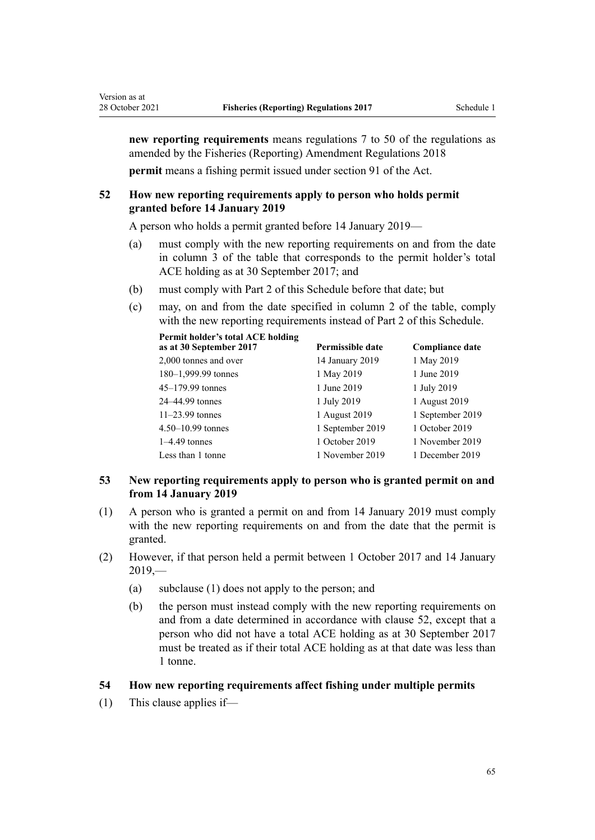**new reporting requirements** means [regulations 7 to 50](#page-7-0) of the regulations as amended by the [Fisheries \(Reporting\) Amendment Regulations 2018](http://legislation.govt.nz/pdflink.aspx?id=LMS140440) **permit** means a fishing permit issued under [section 91](http://legislation.govt.nz/pdflink.aspx?id=DLM396924) of the Act.

# **52 How new reporting requirements apply to person who holds permit granted before 14 January 2019**

A person who holds a permit granted before 14 January 2019—

- (a) must comply with the new reporting requirements on and from the date in column 3 of the table that corresponds to the permit holder's total ACE holding as at 30 September 2017; and
- (b) must comply with [Part 2](#page-31-0) of this Schedule before that date; but
- (c) may, on and from the date specified in column 2 of the table, comply with the new reporting requirements instead of [Part 2](#page-31-0) of this Schedule.

| Permit holder's total ACE holding<br>as at 30 September 2017 | Permissible date | <b>Compliance date</b> |
|--------------------------------------------------------------|------------------|------------------------|
| 2,000 tonnes and over                                        | 14 January 2019  | 1 May 2019             |
| $180-1,999.99$ tonnes                                        | 1 May 2019       | 1 June 2019            |
| $45 - 179.99$ tonnes                                         | 1 June 2019      | 1 July 2019            |
| 24–44.99 tonnes                                              | 1 July 2019      | 1 August 2019          |
| $11-23.99$ tonnes                                            | 1 August 2019    | 1 September 2019       |
| $4.50 - 10.99$ tonnes                                        | 1 September 2019 | 1 October 2019         |
| $1-4.49$ tonnes                                              | 1 October 2019   | 1 November 2019        |
| Less than 1 tonne                                            | 1 November 2019  | 1 December 2019        |

# **53 New reporting requirements apply to person who is granted permit on and from 14 January 2019**

- (1) A person who is granted a permit on and from 14 January 2019 must comply with the new reporting requirements on and from the date that the permit is granted.
- (2) However, if that person held a permit between 1 October 2017 and 14 January  $2019 -$ 
	- (a) subclause (1) does not apply to the person; and
	- (b) the person must instead comply with the new reporting requirements on and from a date determined in accordance with clause 52, except that a person who did not have a total ACE holding as at 30 September 2017 must be treated as if their total ACE holding as at that date was less than 1 tonne.

#### **54 How new reporting requirements affect fishing under multiple permits**

(1) This clause applies if—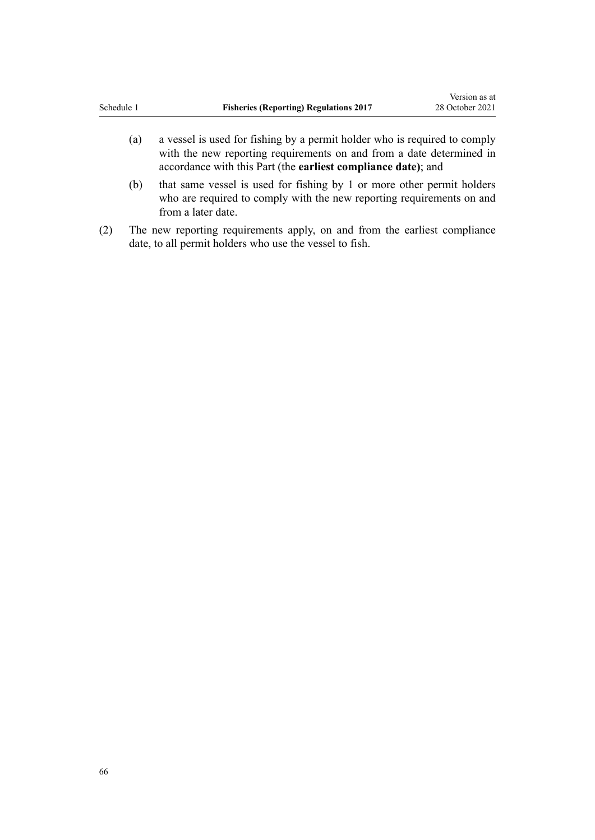- (a) a vessel is used for fishing by a permit holder who is required to comply with the new reporting requirements on and from a date determined in accordance with this Part (the **earliest compliance date)**; and
- (b) that same vessel is used for fishing by 1 or more other permit holders who are required to comply with the new reporting requirements on and from a later date.
- (2) The new reporting requirements apply, on and from the earliest compliance date, to all permit holders who use the vessel to fish.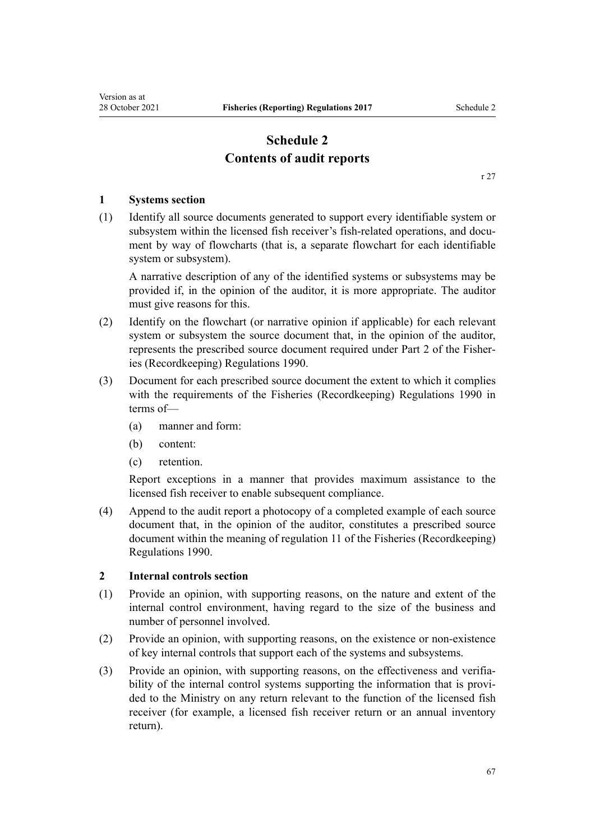# **Schedule 2 Contents of audit reports**

[r 27](#page-18-0)

## **1 Systems section**

(1) Identify all source documents generated to support every identifiable system or subsystem within the licensed fish receiver's fish-related operations, and document by way of flowcharts (that is, a separate flowchart for each identifiable system or subsystem).

A narrative description of any of the identified systems or subsystems may be provided if, in the opinion of the auditor, it is more appropriate. The auditor must give reasons for this.

- (2) Identify on the flowchart (or narrative opinion if applicable) for each relevant system or subsystem the source document that, in the opinion of the auditor, represents the prescribed source document required under [Part 2](http://legislation.govt.nz/pdflink.aspx?id=DLM140077) of the Fisher‐ ies (Recordkeeping) Regulations 1990.
- (3) Document for each prescribed source document the extent to which it complies with the requirements of the [Fisheries \(Recordkeeping\) Regulations 1990](http://legislation.govt.nz/pdflink.aspx?id=DLM139497) in terms of—
	- (a) manner and form:
	- (b) content:
	- (c) retention.

Report exceptions in a manner that provides maximum assistance to the licensed fish receiver to enable subsequent compliance.

(4) Append to the audit report a photocopy of a completed example of each source document that, in the opinion of the auditor, constitutes a prescribed source document within the meaning of [regulation 11](http://legislation.govt.nz/pdflink.aspx?id=DLM140079) of the Fisheries (Recordkeeping) Regulations 1990.

#### **2 Internal controls section**

- (1) Provide an opinion, with supporting reasons, on the nature and extent of the internal control environment, having regard to the size of the business and number of personnel involved.
- (2) Provide an opinion, with supporting reasons, on the existence or non-existence of key internal controls that support each of the systems and subsystems.
- (3) Provide an opinion, with supporting reasons, on the effectiveness and verifia‐ bility of the internal control systems supporting the information that is provided to the Ministry on any return relevant to the function of the licensed fish receiver (for example, a licensed fish receiver return or an annual inventory return).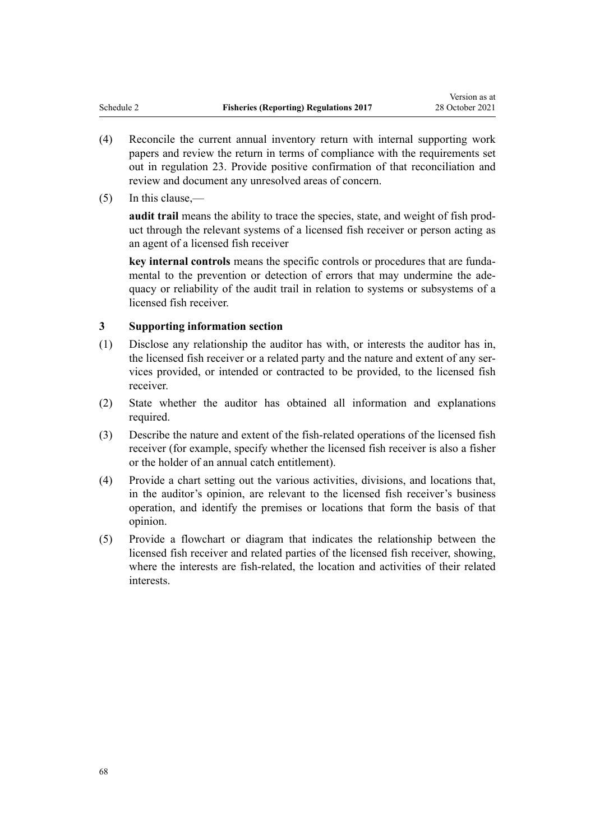- (4) Reconcile the current annual inventory return with internal supporting work papers and review the return in terms of compliance with the requirements set out in [regulation 23](#page-16-0). Provide positive confirmation of that reconciliation and review and document any unresolved areas of concern.
- (5) In this clause,—

**audit trail** means the ability to trace the species, state, and weight of fish prod‐ uct through the relevant systems of a licensed fish receiver or person acting as an agent of a licensed fish receiver

**key internal controls** means the specific controls or procedures that are funda‐ mental to the prevention or detection of errors that may undermine the adequacy or reliability of the audit trail in relation to systems or subsystems of a licensed fish receiver.

# **3 Supporting information section**

- (1) Disclose any relationship the auditor has with, or interests the auditor has in, the licensed fish receiver or a related party and the nature and extent of any services provided, or intended or contracted to be provided, to the licensed fish receiver.
- (2) State whether the auditor has obtained all information and explanations required.
- (3) Describe the nature and extent of the fish-related operations of the licensed fish receiver (for example, specify whether the licensed fish receiver is also a fisher or the holder of an annual catch entitlement).
- (4) Provide a chart setting out the various activities, divisions, and locations that, in the auditor's opinion, are relevant to the licensed fish receiver's business operation, and identify the premises or locations that form the basis of that opinion.
- (5) Provide a flowchart or diagram that indicates the relationship between the licensed fish receiver and related parties of the licensed fish receiver, showing, where the interests are fish-related, the location and activities of their related interests.

68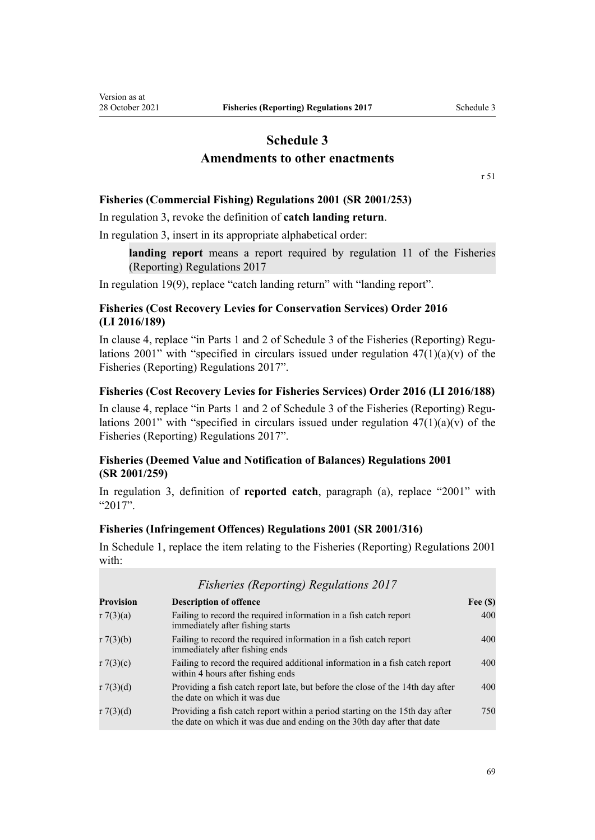# **Schedule 3 Amendments to other enactments**

[r 51](#page-29-0)

## <span id="page-68-0"></span>**Fisheries (Commercial Fishing) Regulations 2001 (SR 2001/253)**

In [regulation 3,](http://legislation.govt.nz/pdflink.aspx?id=DLM76412) revoke the definition of **catch landing return**.

In [regulation 3,](http://legislation.govt.nz/pdflink.aspx?id=DLM76412) insert in its appropriate alphabetical order:

**landing report** means a report required by regulation 11 of the Fisheries (Reporting) Regulations 2017

In [regulation 19\(9\)](http://legislation.govt.nz/pdflink.aspx?id=DLM77042), replace "catch landing return" with "landing report".

# **Fisheries (Cost Recovery Levies for Conservation Services) Order 2016 (LI 2016/189)**

In [clause 4](http://legislation.govt.nz/pdflink.aspx?id=DLM6918525), replace "in Parts 1 and 2 of Schedule 3 of the Fisheries (Reporting) Regulations 2001" with "specified in circulars issued under regulation  $47(1)(a)(v)$  of the Fisheries (Reporting) Regulations 2017".

#### **Fisheries (Cost Recovery Levies for Fisheries Services) Order 2016 (LI 2016/188)**

In [clause 4](http://legislation.govt.nz/pdflink.aspx?id=DLM6918430), replace "in Parts 1 and 2 of Schedule 3 of the Fisheries (Reporting) Regulations 2001" with "specified in circulars issued under regulation  $47(1)(a)(v)$  of the Fisheries (Reporting) Regulations 2017".

# **Fisheries (Deemed Value and Notification of Balances) Regulations 2001 (SR 2001/259)**

In [regulation 3,](http://legislation.govt.nz/pdflink.aspx?id=DLM80958) definition of **reported catch**, paragraph (a), replace "2001" with "2017".

### **Fisheries (Infringement Offences) Regulations 2001 (SR 2001/316)**

In [Schedule 1,](http://legislation.govt.nz/pdflink.aspx?id=DLM88657) replace the item relating to the Fisheries (Reporting) Regulations 2001 with:

| <b>Fisheries (Reporting) Regulations 2017</b> |                                                                                                                                                         |            |  |  |
|-----------------------------------------------|---------------------------------------------------------------------------------------------------------------------------------------------------------|------------|--|--|
| <b>Provision</b>                              | <b>Description of offence</b>                                                                                                                           | Fee $(\$)$ |  |  |
| $r \, 7(3)(a)$                                | Failing to record the required information in a fish catch report<br>immediately after fishing starts                                                   | 400        |  |  |
| $r \, 7(3)(b)$                                | Failing to record the required information in a fish catch report<br>immediately after fishing ends                                                     | 400        |  |  |
| r 7(3)(c)                                     | Failing to record the required additional information in a fish catch report<br>within 4 hours after fishing ends                                       | 400        |  |  |
| r 7(3)(d)                                     | Providing a fish catch report late, but before the close of the 14th day after<br>the date on which it was due                                          | 400        |  |  |
| r 7(3)(d)                                     | Providing a fish catch report within a period starting on the 15th day after<br>the date on which it was due and ending on the 30th day after that date | 750        |  |  |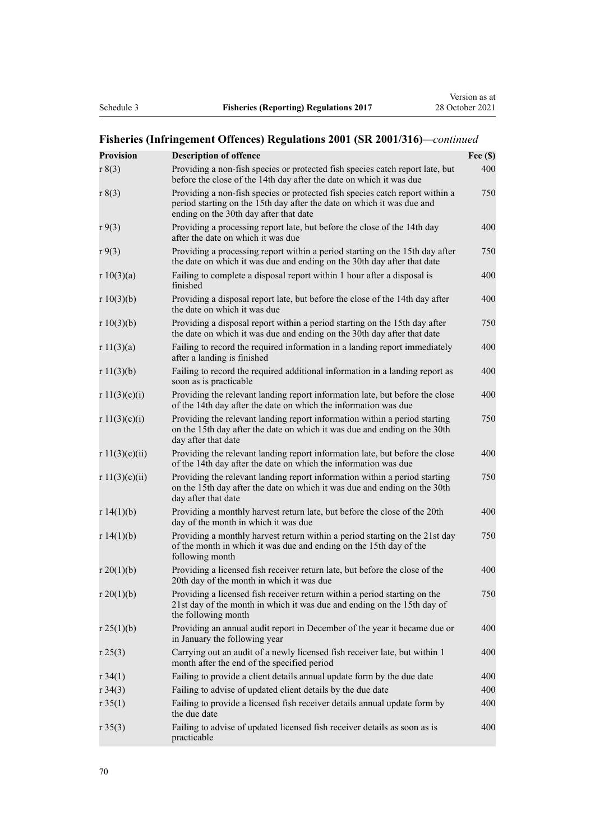# **Fisheries (Infringement Offences) Regulations 2001 (SR 2001/316)***—continued*

| <b>Provision</b> | <b>Description of offence</b>                                                                                                                                                                    | Fee $(\$)$ |
|------------------|--------------------------------------------------------------------------------------------------------------------------------------------------------------------------------------------------|------------|
| r 8(3)           | Providing a non-fish species or protected fish species catch report late, but<br>before the close of the 14th day after the date on which it was due                                             | 400        |
| r 8(3)           | Providing a non-fish species or protected fish species catch report within a<br>period starting on the 15th day after the date on which it was due and<br>ending on the 30th day after that date | 750        |
| r9(3)            | Providing a processing report late, but before the close of the 14th day<br>after the date on which it was due                                                                                   | 400        |
| r9(3)            | Providing a processing report within a period starting on the 15th day after<br>the date on which it was due and ending on the 30th day after that date                                          | 750        |
| r 10(3)(a)       | Failing to complete a disposal report within 1 hour after a disposal is<br>finished                                                                                                              | 400        |
| r $10(3)(b)$     | Providing a disposal report late, but before the close of the 14th day after<br>the date on which it was due                                                                                     | 400        |
| r $10(3)(b)$     | Providing a disposal report within a period starting on the 15th day after<br>the date on which it was due and ending on the 30th day after that date                                            | 750        |
| r 11(3)(a)       | Failing to record the required information in a landing report immediately<br>after a landing is finished                                                                                        | 400        |
| r 11(3)(b)       | Failing to record the required additional information in a landing report as<br>soon as is practicable                                                                                           | 400        |
| r 11(3)(c)(i)    | Providing the relevant landing report information late, but before the close<br>of the 14th day after the date on which the information was due                                                  | 400        |
| r 11(3)(c)(i)    | Providing the relevant landing report information within a period starting<br>on the 15th day after the date on which it was due and ending on the 30th<br>day after that date                   | 750        |
| r 11(3)(c)(ii)   | Providing the relevant landing report information late, but before the close<br>of the 14th day after the date on which the information was due                                                  | 400        |
| r 11(3)(c)(ii)   | Providing the relevant landing report information within a period starting<br>on the 15th day after the date on which it was due and ending on the 30th<br>day after that date                   | 750        |
| r 14(1)(b)       | Providing a monthly harvest return late, but before the close of the 20th<br>day of the month in which it was due                                                                                | 400        |
| r 14(1)(b)       | Providing a monthly harvest return within a period starting on the 21st day<br>of the month in which it was due and ending on the 15th day of the<br>following month                             | 750        |
| r 20(1)(b)       | Providing a licensed fish receiver return late, but before the close of the<br>20th day of the month in which it was due                                                                         | 400        |
| $r \, 20(1)(b)$  | Providing a licensed fish receiver return within a period starting on the<br>21st day of the month in which it was due and ending on the 15th day of<br>the following month                      | 750        |
| r 25(1)(b)       | Providing an annual audit report in December of the year it became due or<br>in January the following year                                                                                       | 400        |
| r25(3)           | Carrying out an audit of a newly licensed fish receiver late, but within 1<br>month after the end of the specified period                                                                        | 400        |
| r34(1)           | Failing to provide a client details annual update form by the due date                                                                                                                           | 400        |
| r34(3)           | Failing to advise of updated client details by the due date                                                                                                                                      | 400        |
| r35(1)           | Failing to provide a licensed fish receiver details annual update form by<br>the due date                                                                                                        | 400        |
| r 35(3)          | Failing to advise of updated licensed fish receiver details as soon as is<br>practicable                                                                                                         | 400        |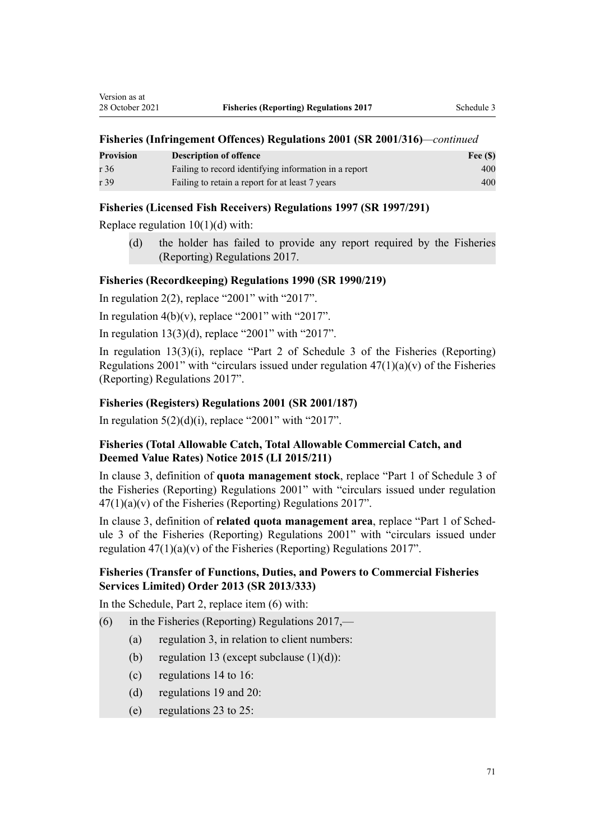#### **Fisheries (Infringement Offences) Regulations 2001 (SR 2001/316)***—continued*

| <b>Provision</b> | <b>Description of offence</b>                         | Fee $(\$)$ |
|------------------|-------------------------------------------------------|------------|
| r 36             | Failing to record identifying information in a report | 400        |
| r 39             | Failing to retain a report for at least 7 years       | 400        |

#### **Fisheries (Licensed Fish Receivers) Regulations 1997 (SR 1997/291)**

Replace regulation  $10(1)(d)$  with:

(d) the holder has failed to provide any report required by the Fisheries (Reporting) Regulations 2017.

### **Fisheries (Recordkeeping) Regulations 1990 (SR 1990/219)**

In regulation  $2(2)$ , replace "2001" with "2017".

In regulation  $4(b)(v)$ , replace "2001" with "2017".

In regulation  $13(3)(d)$ , replace "2001" with "2017".

In [regulation 13\(3\)\(i\),](http://legislation.govt.nz/pdflink.aspx?id=DLM140085) replace "Part 2 of Schedule 3 of the Fisheries (Reporting) Regulations 2001" with "circulars issued under regulation  $47(1)(a)(v)$  of the Fisheries (Reporting) Regulations 2017".

#### **Fisheries (Registers) Regulations 2001 (SR 2001/187)**

In regulation  $5(2)(d)(i)$ , replace "2001" with "2017".

# **Fisheries (Total Allowable Catch, Total Allowable Commercial Catch, and Deemed Value Rates) Notice 2015 (LI 2015/211)**

In [clause 3,](http://legislation.govt.nz/pdflink.aspx?id=DLM6581935) definition of **quota management stock**, replace "Part 1 of Schedule 3 of the Fisheries (Reporting) Regulations 2001" with "circulars issued under regulation  $47(1)(a)(v)$  of the Fisheries (Reporting) Regulations 2017".

In [clause 3,](http://legislation.govt.nz/pdflink.aspx?id=DLM6581935) definition of **related quota management area**, replace "Part 1 of Sched‐ ule 3 of the Fisheries (Reporting) Regulations 2001" with "circulars issued under regulation  $47(1)(a)(v)$  of the Fisheries (Reporting) Regulations 2017".

# **Fisheries (Transfer of Functions, Duties, and Powers to Commercial Fisheries Services Limited) Order 2013 (SR 2013/333)**

In the Schedule, [Part 2,](http://legislation.govt.nz/pdflink.aspx?id=DLM5549048) replace item (6) with:

- (6) in the Fisheries (Reporting) Regulations 2017,—
	- (a) regulation 3, in relation to client numbers:
	- (b) regulation 13 (except subclause  $(1)(d)$ ):
	- (c) regulations 14 to 16:
	- (d) regulations 19 and 20:
	- (e) regulations 23 to 25: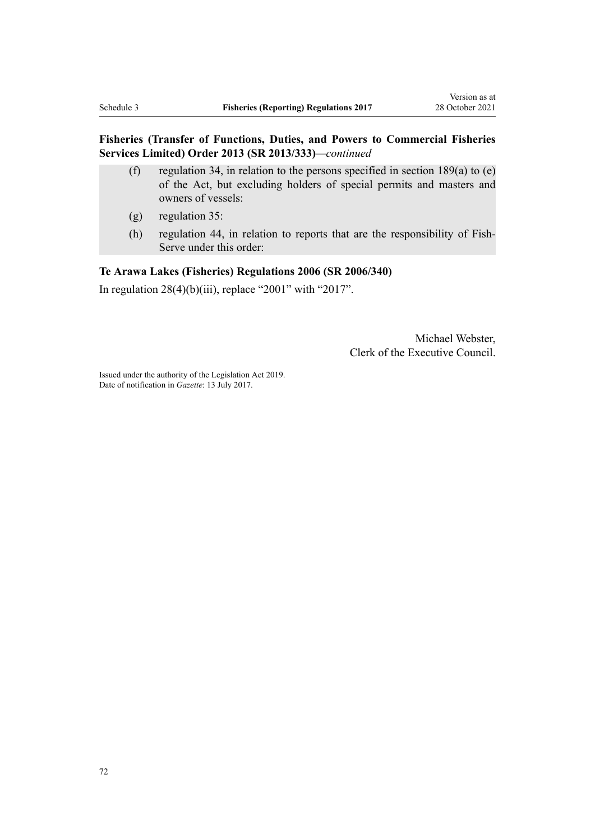# **Fisheries (Transfer of Functions, Duties, and Powers to Commercial Fisheries Services Limited) Order 2013 (SR 2013/333)***—continued*

- (f) regulation 34, in relation to the persons specified in section  $189(a)$  to (e) of the Act, but excluding holders of special permits and masters and owners of vessels:
- (g) regulation 35:
- (h) regulation 44, in relation to reports that are the responsibility of Fish‐ Serve under this order:

# **Te Arawa Lakes (Fisheries) Regulations 2006 (SR 2006/340)**

In regulation  $28(4)(b)(iii)$ , replace "2001" with "2017".

Michael Webster, Clerk of the Executive Council.

Issued under the authority of the [Legislation Act 2019](http://legislation.govt.nz/pdflink.aspx?id=DLM7298104). Date of notification in *Gazette*: 13 July 2017.